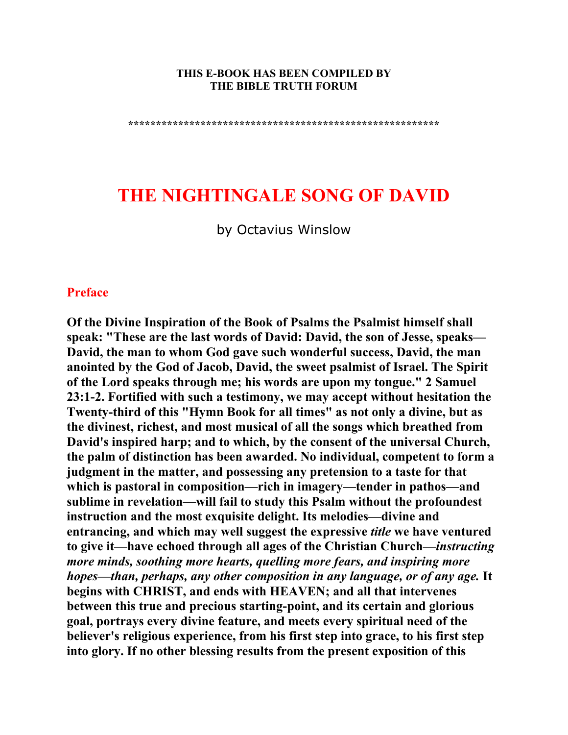#### **THIS E-BOOK HAS BEEN COMPILED BY THE BIBLE TRUTH FORUM**

**\*\*\*\*\*\*\*\*\*\*\*\*\*\*\*\*\*\*\*\*\*\*\*\*\*\*\*\*\*\*\*\*\*\*\*\*\*\*\*\*\*\*\*\*\*\*\*\*\*\*\*\*\*\*\*\*** 

# **THE NIGHTINGALE SONG OF DAVID**

by Octavius Winslow

#### **Preface**

**Of the Divine Inspiration of the Book of Psalms the Psalmist himself shall speak: "These are the last words of David: David, the son of Jesse, speaks— David, the man to whom God gave such wonderful success, David, the man anointed by the God of Jacob, David, the sweet psalmist of Israel. The Spirit of the Lord speaks through me; his words are upon my tongue." 2 Samuel 23:1-2. Fortified with such a testimony, we may accept without hesitation the Twenty-third of this "Hymn Book for all times" as not only a divine, but as the divinest, richest, and most musical of all the songs which breathed from David's inspired harp; and to which, by the consent of the universal Church, the palm of distinction has been awarded. No individual, competent to form a judgment in the matter, and possessing any pretension to a taste for that which is pastoral in composition—rich in imagery—tender in pathos—and sublime in revelation—will fail to study this Psalm without the profoundest instruction and the most exquisite delight. Its melodies—divine and entrancing, and which may well suggest the expressive** *title* **we have ventured to give it—have echoed through all ages of the Christian Church—***instructing more minds, soothing more hearts, quelling more fears, and inspiring more hopes—than, perhaps, any other composition in any language, or of any age.* **It begins with CHRIST, and ends with HEAVEN; and all that intervenes between this true and precious starting-point, and its certain and glorious goal, portrays every divine feature, and meets every spiritual need of the believer's religious experience, from his first step into grace, to his first step into glory. If no other blessing results from the present exposition of this**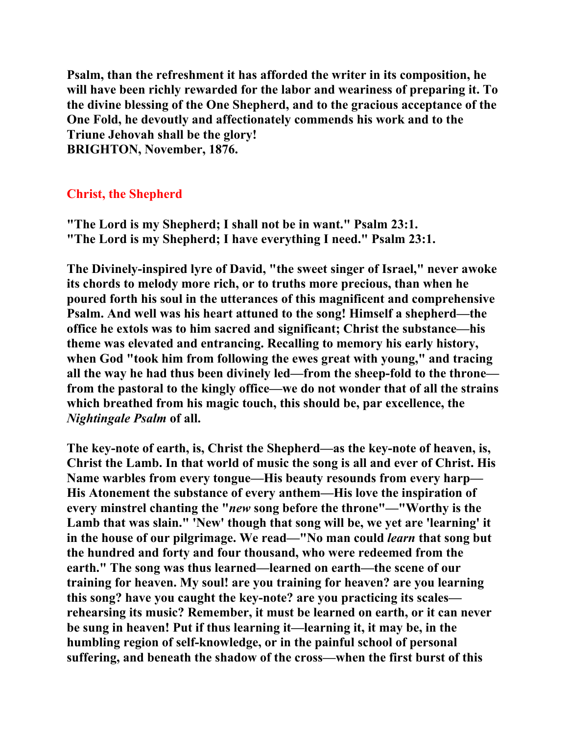**Psalm, than the refreshment it has afforded the writer in its composition, he will have been richly rewarded for the labor and weariness of preparing it. To the divine blessing of the One Shepherd, and to the gracious acceptance of the One Fold, he devoutly and affectionately commends his work and to the Triune Jehovah shall be the glory! BRIGHTON, November, 1876.** 

### **Christ, the Shepherd**

**"The Lord is my Shepherd; I shall not be in want." Psalm 23:1. "The Lord is my Shepherd; I have everything I need." Psalm 23:1.** 

**The Divinely-inspired lyre of David, "the sweet singer of Israel," never awoke its chords to melody more rich, or to truths more precious, than when he poured forth his soul in the utterances of this magnificent and comprehensive Psalm. And well was his heart attuned to the song! Himself a shepherd—the office he extols was to him sacred and significant; Christ the substance—his theme was elevated and entrancing. Recalling to memory his early history, when God "took him from following the ewes great with young," and tracing all the way he had thus been divinely led—from the sheep-fold to the throne from the pastoral to the kingly office—we do not wonder that of all the strains which breathed from his magic touch, this should be, par excellence, the**  *Nightingale Psalm* **of all.** 

**The key-note of earth, is, Christ the Shepherd—as the key-note of heaven, is, Christ the Lamb. In that world of music the song is all and ever of Christ. His Name warbles from every tongue—His beauty resounds from every harp— His Atonement the substance of every anthem—His love the inspiration of every minstrel chanting the "***new* **song before the throne"—"Worthy is the Lamb that was slain." 'New' though that song will be, we yet are 'learning' it in the house of our pilgrimage. We read—"No man could** *learn* **that song but the hundred and forty and four thousand, who were redeemed from the earth." The song was thus learned—learned on earth—the scene of our training for heaven. My soul! are you training for heaven? are you learning this song? have you caught the key-note? are you practicing its scales rehearsing its music? Remember, it must be learned on earth, or it can never be sung in heaven! Put if thus learning it—learning it, it may be, in the humbling region of self-knowledge, or in the painful school of personal suffering, and beneath the shadow of the cross—when the first burst of this**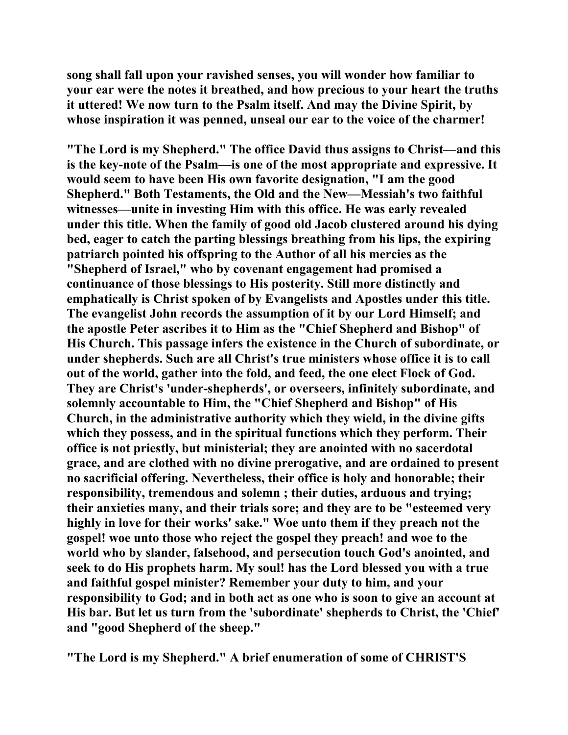**song shall fall upon your ravished senses, you will wonder how familiar to your ear were the notes it breathed, and how precious to your heart the truths it uttered! We now turn to the Psalm itself. And may the Divine Spirit, by whose inspiration it was penned, unseal our ear to the voice of the charmer!** 

**"The Lord is my Shepherd." The office David thus assigns to Christ—and this is the key-note of the Psalm—is one of the most appropriate and expressive. It would seem to have been His own favorite designation, "I am the good Shepherd." Both Testaments, the Old and the New—Messiah's two faithful witnesses—unite in investing Him with this office. He was early revealed under this title. When the family of good old Jacob clustered around his dying bed, eager to catch the parting blessings breathing from his lips, the expiring patriarch pointed his offspring to the Author of all his mercies as the "Shepherd of Israel," who by covenant engagement had promised a continuance of those blessings to His posterity. Still more distinctly and emphatically is Christ spoken of by Evangelists and Apostles under this title. The evangelist John records the assumption of it by our Lord Himself; and the apostle Peter ascribes it to Him as the "Chief Shepherd and Bishop" of His Church. This passage infers the existence in the Church of subordinate, or under shepherds. Such are all Christ's true ministers whose office it is to call out of the world, gather into the fold, and feed, the one elect Flock of God. They are Christ's 'under-shepherds', or overseers, infinitely subordinate, and solemnly accountable to Him, the "Chief Shepherd and Bishop" of His Church, in the administrative authority which they wield, in the divine gifts which they possess, and in the spiritual functions which they perform. Their office is not priestly, but ministerial; they are anointed with no sacerdotal grace, and are clothed with no divine prerogative, and are ordained to present no sacrificial offering. Nevertheless, their office is holy and honorable; their responsibility, tremendous and solemn ; their duties, arduous and trying; their anxieties many, and their trials sore; and they are to be "esteemed very highly in love for their works' sake." Woe unto them if they preach not the gospel! woe unto those who reject the gospel they preach! and woe to the world who by slander, falsehood, and persecution touch God's anointed, and seek to do His prophets harm. My soul! has the Lord blessed you with a true and faithful gospel minister? Remember your duty to him, and your responsibility to God; and in both act as one who is soon to give an account at His bar. But let us turn from the 'subordinate' shepherds to Christ, the 'Chief' and "good Shepherd of the sheep."** 

**"The Lord is my Shepherd." A brief enumeration of some of CHRIST'S**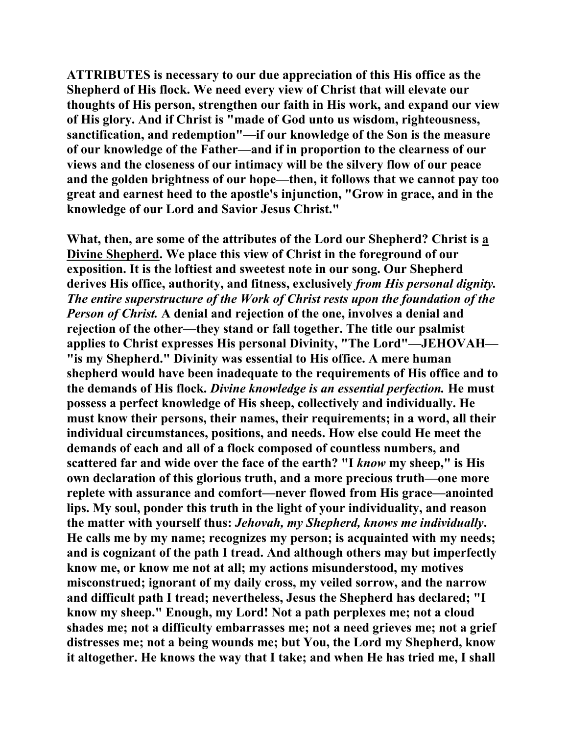**ATTRIBUTES is necessary to our due appreciation of this His office as the Shepherd of His flock. We need every view of Christ that will elevate our thoughts of His person, strengthen our faith in His work, and expand our view of His glory. And if Christ is "made of God unto us wisdom, righteousness, sanctification, and redemption"—if our knowledge of the Son is the measure of our knowledge of the Father—and if in proportion to the clearness of our views and the closeness of our intimacy will be the silvery flow of our peace and the golden brightness of our hope—then, it follows that we cannot pay too great and earnest heed to the apostle's injunction, "Grow in grace, and in the knowledge of our Lord and Savior Jesus Christ."** 

**What, then, are some of the attributes of the Lord our Shepherd? Christ is a Divine Shepherd. We place this view of Christ in the foreground of our exposition. It is the loftiest and sweetest note in our song. Our Shepherd derives His office, authority, and fitness, exclusively** *from His personal dignity. The entire superstructure of the Work of Christ rests upon the foundation of the Person of Christ.* **A denial and rejection of the one, involves a denial and rejection of the other—they stand or fall together. The title our psalmist applies to Christ expresses His personal Divinity, "The Lord"—JEHOVAH— "is my Shepherd." Divinity was essential to His office. A mere human shepherd would have been inadequate to the requirements of His office and to the demands of His flock.** *Divine knowledge is an essential perfection.* **He must possess a perfect knowledge of His sheep, collectively and individually. He must know their persons, their names, their requirements; in a word, all their individual circumstances, positions, and needs. How else could He meet the demands of each and all of a flock composed of countless numbers, and scattered far and wide over the face of the earth? "I** *know* **my sheep," is His own declaration of this glorious truth, and a more precious truth—one more replete with assurance and comfort—never flowed from His grace—anointed lips. My soul, ponder this truth in the light of your individuality, and reason the matter with yourself thus:** *Jehovah, my Shepherd, knows me individually***. He calls me by my name; recognizes my person; is acquainted with my needs; and is cognizant of the path I tread. And although others may but imperfectly know me, or know me not at all; my actions misunderstood, my motives misconstrued; ignorant of my daily cross, my veiled sorrow, and the narrow and difficult path I tread; nevertheless, Jesus the Shepherd has declared; "I know my sheep." Enough, my Lord! Not a path perplexes me; not a cloud shades me; not a difficulty embarrasses me; not a need grieves me; not a grief distresses me; not a being wounds me; but You, the Lord my Shepherd, know it altogether. He knows the way that I take; and when He has tried me, I shall**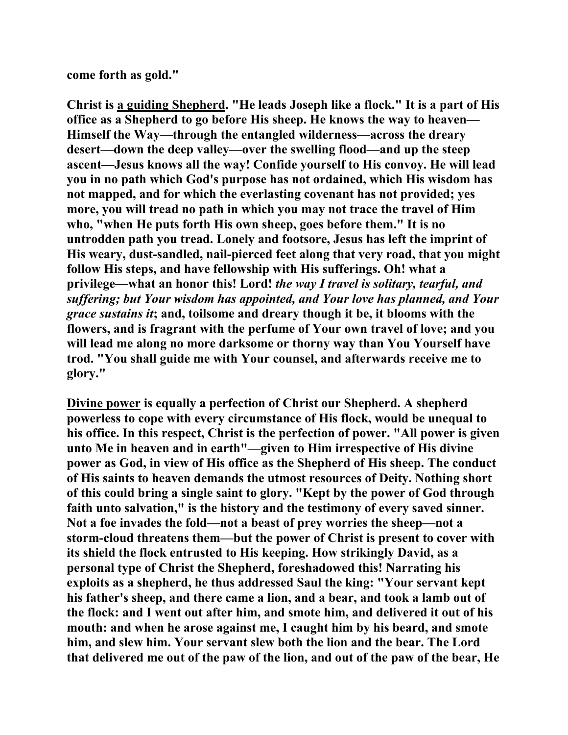**come forth as gold."** 

**Christ is a guiding Shepherd. "He leads Joseph like a flock." It is a part of His office as a Shepherd to go before His sheep. He knows the way to heaven— Himself the Way—through the entangled wilderness—across the dreary desert—down the deep valley—over the swelling flood—and up the steep ascent—Jesus knows all the way! Confide yourself to His convoy. He will lead you in no path which God's purpose has not ordained, which His wisdom has not mapped, and for which the everlasting covenant has not provided; yes more, you will tread no path in which you may not trace the travel of Him who, "when He puts forth His own sheep, goes before them." It is no untrodden path you tread. Lonely and footsore, Jesus has left the imprint of His weary, dust-sandled, nail-pierced feet along that very road, that you might follow His steps, and have fellowship with His sufferings. Oh! what a privilege—what an honor this! Lord!** *the way I travel is solitary, tearful, and suffering; but Your wisdom has appointed, and Your love has planned, and Your grace sustains it***; and, toilsome and dreary though it be, it blooms with the flowers, and is fragrant with the perfume of Your own travel of love; and you will lead me along no more darksome or thorny way than You Yourself have trod. "You shall guide me with Your counsel, and afterwards receive me to glory."** 

**Divine power is equally a perfection of Christ our Shepherd. A shepherd powerless to cope with every circumstance of His flock, would be unequal to his office. In this respect, Christ is the perfection of power. "All power is given unto Me in heaven and in earth"—given to Him irrespective of His divine power as God, in view of His office as the Shepherd of His sheep. The conduct of His saints to heaven demands the utmost resources of Deity. Nothing short of this could bring a single saint to glory. "Kept by the power of God through faith unto salvation," is the history and the testimony of every saved sinner. Not a foe invades the fold—not a beast of prey worries the sheep—not a storm-cloud threatens them—but the power of Christ is present to cover with its shield the flock entrusted to His keeping. How strikingly David, as a personal type of Christ the Shepherd, foreshadowed this! Narrating his exploits as a shepherd, he thus addressed Saul the king: "Your servant kept his father's sheep, and there came a lion, and a bear, and took a lamb out of the flock: and I went out after him, and smote him, and delivered it out of his mouth: and when he arose against me, I caught him by his beard, and smote him, and slew him. Your servant slew both the lion and the bear. The Lord that delivered me out of the paw of the lion, and out of the paw of the bear, He**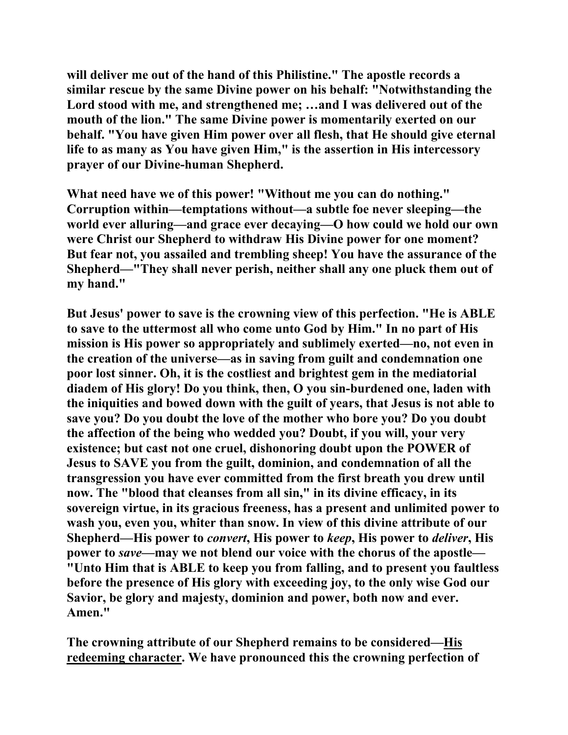**will deliver me out of the hand of this Philistine." The apostle records a similar rescue by the same Divine power on his behalf: "Notwithstanding the Lord stood with me, and strengthened me; …and I was delivered out of the mouth of the lion." The same Divine power is momentarily exerted on our behalf. "You have given Him power over all flesh, that He should give eternal life to as many as You have given Him," is the assertion in His intercessory prayer of our Divine-human Shepherd.** 

**What need have we of this power! "Without me you can do nothing." Corruption within—temptations without—a subtle foe never sleeping—the world ever alluring—and grace ever decaying—O how could we hold our own were Christ our Shepherd to withdraw His Divine power for one moment? But fear not, you assailed and trembling sheep! You have the assurance of the Shepherd—"They shall never perish, neither shall any one pluck them out of my hand."** 

**But Jesus' power to save is the crowning view of this perfection. "He is ABLE to save to the uttermost all who come unto God by Him." In no part of His mission is His power so appropriately and sublimely exerted—no, not even in the creation of the universe—as in saving from guilt and condemnation one poor lost sinner. Oh, it is the costliest and brightest gem in the mediatorial diadem of His glory! Do you think, then, O you sin-burdened one, laden with the iniquities and bowed down with the guilt of years, that Jesus is not able to save you? Do you doubt the love of the mother who bore you? Do you doubt the affection of the being who wedded you? Doubt, if you will, your very existence; but cast not one cruel, dishonoring doubt upon the POWER of Jesus to SAVE you from the guilt, dominion, and condemnation of all the transgression you have ever committed from the first breath you drew until now. The "blood that cleanses from all sin," in its divine efficacy, in its sovereign virtue, in its gracious freeness, has a present and unlimited power to wash you, even you, whiter than snow. In view of this divine attribute of our Shepherd—His power to** *convert***, His power to** *keep***, His power to** *deliver***, His power to** *save—***may we not blend our voice with the chorus of the apostle— "Unto Him that is ABLE to keep you from falling, and to present you faultless before the presence of His glory with exceeding joy, to the only wise God our Savior, be glory and majesty, dominion and power, both now and ever. Amen."** 

**The crowning attribute of our Shepherd remains to be considered—His redeeming character. We have pronounced this the crowning perfection of**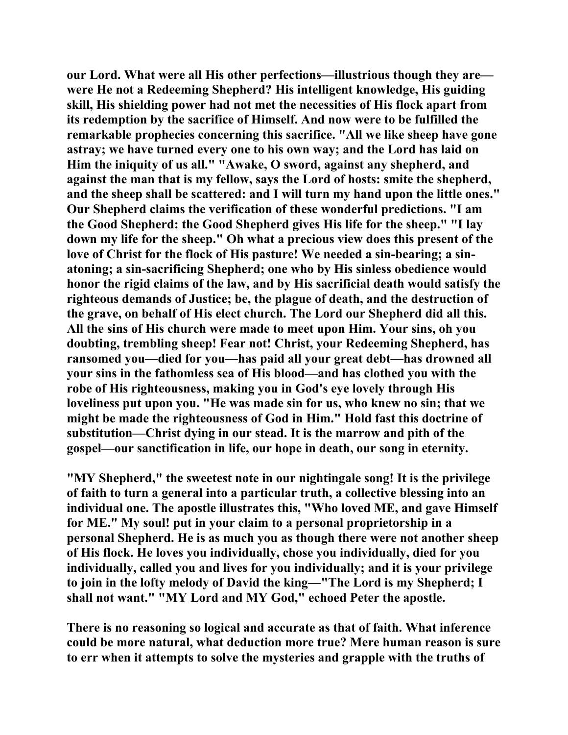**our Lord. What were all His other perfections—illustrious though they are were He not a Redeeming Shepherd? His intelligent knowledge, His guiding skill, His shielding power had not met the necessities of His flock apart from its redemption by the sacrifice of Himself. And now were to be fulfilled the remarkable prophecies concerning this sacrifice. "All we like sheep have gone astray; we have turned every one to his own way; and the Lord has laid on Him the iniquity of us all." "Awake, O sword, against any shepherd, and against the man that is my fellow, says the Lord of hosts: smite the shepherd, and the sheep shall be scattered: and I will turn my hand upon the little ones." Our Shepherd claims the verification of these wonderful predictions. "I am the Good Shepherd: the Good Shepherd gives His life for the sheep." "I lay down my life for the sheep." Oh what a precious view does this present of the love of Christ for the flock of His pasture! We needed a sin-bearing; a sinatoning; a sin-sacrificing Shepherd; one who by His sinless obedience would honor the rigid claims of the law, and by His sacrificial death would satisfy the righteous demands of Justice; be, the plague of death, and the destruction of the grave, on behalf of His elect church. The Lord our Shepherd did all this. All the sins of His church were made to meet upon Him. Your sins, oh you doubting, trembling sheep! Fear not! Christ, your Redeeming Shepherd, has ransomed you—died for you—has paid all your great debt—has drowned all your sins in the fathomless sea of His blood—and has clothed you with the robe of His righteousness, making you in God's eye lovely through His loveliness put upon you. "He was made sin for us, who knew no sin; that we might be made the righteousness of God in Him." Hold fast this doctrine of substitution—Christ dying in our stead. It is the marrow and pith of the gospel—our sanctification in life, our hope in death, our song in eternity.** 

**"MY Shepherd," the sweetest note in our nightingale song! It is the privilege of faith to turn a general into a particular truth, a collective blessing into an individual one. The apostle illustrates this, "Who loved ME, and gave Himself for ME." My soul! put in your claim to a personal proprietorship in a personal Shepherd. He is as much you as though there were not another sheep of His flock. He loves you individually, chose you individually, died for you individually, called you and lives for you individually; and it is your privilege to join in the lofty melody of David the king—"The Lord is my Shepherd; I shall not want." "MY Lord and MY God," echoed Peter the apostle.** 

**There is no reasoning so logical and accurate as that of faith. What inference could be more natural, what deduction more true? Mere human reason is sure to err when it attempts to solve the mysteries and grapple with the truths of**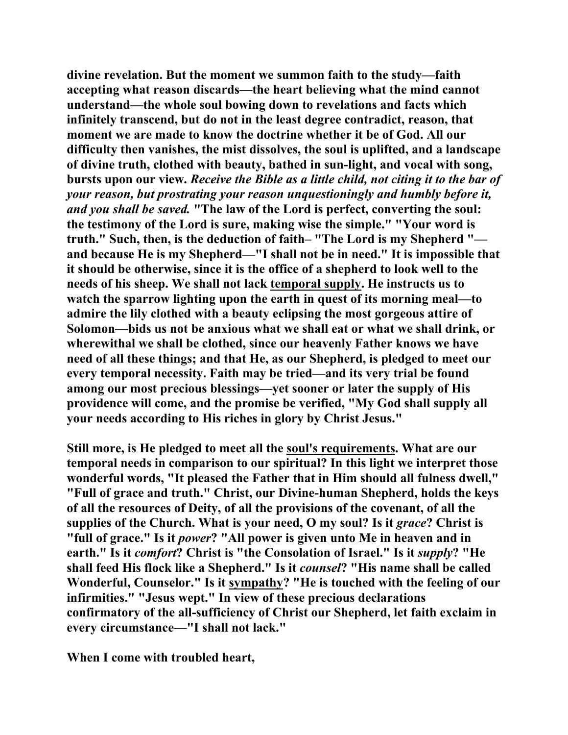**divine revelation. But the moment we summon faith to the study—faith accepting what reason discards—the heart believing what the mind cannot understand—the whole soul bowing down to revelations and facts which infinitely transcend, but do not in the least degree contradict, reason, that moment we are made to know the doctrine whether it be of God. All our difficulty then vanishes, the mist dissolves, the soul is uplifted, and a landscape of divine truth, clothed with beauty, bathed in sun-light, and vocal with song, bursts upon our view.** *Receive the Bible as a little child, not citing it to the bar of your reason, but prostrating your reason unquestioningly and humbly before it, and you shall be saved.* **"The law of the Lord is perfect, converting the soul: the testimony of the Lord is sure, making wise the simple." "Your word is truth." Such, then, is the deduction of faith– "The Lord is my Shepherd " and because He is my Shepherd—"I shall not be in need." It is impossible that it should be otherwise, since it is the office of a shepherd to look well to the needs of his sheep. We shall not lack temporal supply. He instructs us to watch the sparrow lighting upon the earth in quest of its morning meal—to admire the lily clothed with a beauty eclipsing the most gorgeous attire of Solomon—bids us not be anxious what we shall eat or what we shall drink, or wherewithal we shall be clothed, since our heavenly Father knows we have need of all these things; and that He, as our Shepherd, is pledged to meet our every temporal necessity. Faith may be tried—and its very trial be found among our most precious blessings—yet sooner or later the supply of His providence will come, and the promise be verified, "My God shall supply all your needs according to His riches in glory by Christ Jesus."** 

**Still more, is He pledged to meet all the soul's requirements. What are our temporal needs in comparison to our spiritual? In this light we interpret those wonderful words, "It pleased the Father that in Him should all fulness dwell," "Full of grace and truth." Christ, our Divine-human Shepherd, holds the keys of all the resources of Deity, of all the provisions of the covenant, of all the**  supplies of the Church. What is your need, O my soul? Is it *grace*? Christ is **"full of grace." Is it** *power***? "All power is given unto Me in heaven and in earth." Is it** *comfort***? Christ is "the Consolation of Israel." Is it** *supply***? "He shall feed His flock like a Shepherd." Is it** *counsel***? "His name shall be called Wonderful, Counselor." Is it sympathy? "He is touched with the feeling of our infirmities." "Jesus wept." In view of these precious declarations confirmatory of the all-sufficiency of Christ our Shepherd, let faith exclaim in every circumstance—"I shall not lack."** 

**When I come with troubled heart,**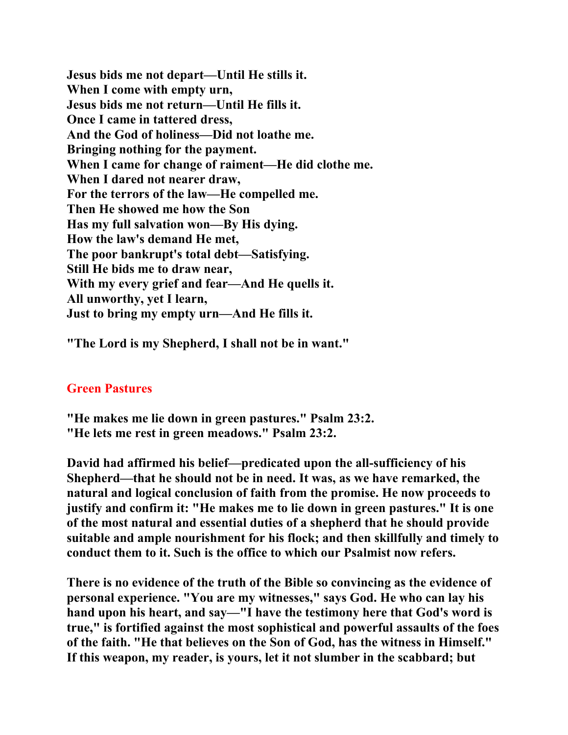**Jesus bids me not depart—Until He stills it. When I come with empty urn, Jesus bids me not return—Until He fills it. Once I came in tattered dress, And the God of holiness—Did not loathe me. Bringing nothing for the payment. When I came for change of raiment—He did clothe me. When I dared not nearer draw, For the terrors of the law—He compelled me. Then He showed me how the Son Has my full salvation won—By His dying. How the law's demand He met, The poor bankrupt's total debt—Satisfying. Still He bids me to draw near, With my every grief and fear—And He quells it. All unworthy, yet I learn, Just to bring my empty urn—And He fills it.** 

**"The Lord is my Shepherd, I shall not be in want."** 

### **Green Pastures**

- **"He makes me lie down in green pastures." Psalm 23:2.**
- **"He lets me rest in green meadows." Psalm 23:2.**

**David had affirmed his belief—predicated upon the all-sufficiency of his Shepherd—that he should not be in need. It was, as we have remarked, the natural and logical conclusion of faith from the promise. He now proceeds to justify and confirm it: "He makes me to lie down in green pastures." It is one of the most natural and essential duties of a shepherd that he should provide suitable and ample nourishment for his flock; and then skillfully and timely to conduct them to it. Such is the office to which our Psalmist now refers.** 

**There is no evidence of the truth of the Bible so convincing as the evidence of personal experience. "You are my witnesses," says God. He who can lay his hand upon his heart, and say—"I have the testimony here that God's word is true," is fortified against the most sophistical and powerful assaults of the foes of the faith. "He that believes on the Son of God, has the witness in Himself." If this weapon, my reader, is yours, let it not slumber in the scabbard; but**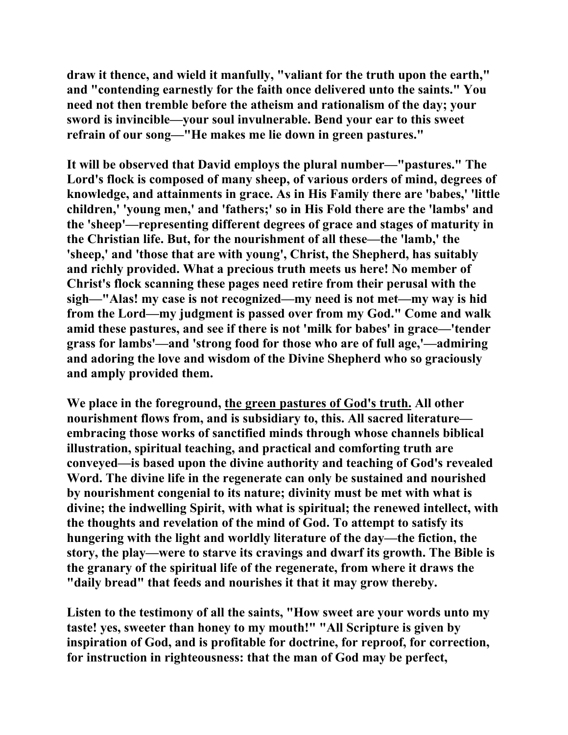**draw it thence, and wield it manfully, "valiant for the truth upon the earth," and "contending earnestly for the faith once delivered unto the saints." You need not then tremble before the atheism and rationalism of the day; your sword is invincible—your soul invulnerable. Bend your ear to this sweet refrain of our song—"He makes me lie down in green pastures."** 

**It will be observed that David employs the plural number—"pastures." The Lord's flock is composed of many sheep, of various orders of mind, degrees of knowledge, and attainments in grace. As in His Family there are 'babes,' 'little children,' 'young men,' and 'fathers;' so in His Fold there are the 'lambs' and the 'sheep'—representing different degrees of grace and stages of maturity in the Christian life. But, for the nourishment of all these—the 'lamb,' the 'sheep,' and 'those that are with young', Christ, the Shepherd, has suitably and richly provided. What a precious truth meets us here! No member of Christ's flock scanning these pages need retire from their perusal with the sigh—"Alas! my case is not recognized—my need is not met—my way is hid from the Lord—my judgment is passed over from my God." Come and walk amid these pastures, and see if there is not 'milk for babes' in grace—'tender grass for lambs'—and 'strong food for those who are of full age,'—admiring and adoring the love and wisdom of the Divine Shepherd who so graciously and amply provided them.** 

**We place in the foreground, the green pastures of God's truth. All other nourishment flows from, and is subsidiary to, this. All sacred literature embracing those works of sanctified minds through whose channels biblical illustration, spiritual teaching, and practical and comforting truth are conveyed—is based upon the divine authority and teaching of God's revealed Word. The divine life in the regenerate can only be sustained and nourished by nourishment congenial to its nature; divinity must be met with what is divine; the indwelling Spirit, with what is spiritual; the renewed intellect, with the thoughts and revelation of the mind of God. To attempt to satisfy its hungering with the light and worldly literature of the day—the fiction, the story, the play—were to starve its cravings and dwarf its growth. The Bible is the granary of the spiritual life of the regenerate, from where it draws the "daily bread" that feeds and nourishes it that it may grow thereby.** 

**Listen to the testimony of all the saints, "How sweet are your words unto my taste! yes, sweeter than honey to my mouth!" "All Scripture is given by inspiration of God, and is profitable for doctrine, for reproof, for correction, for instruction in righteousness: that the man of God may be perfect,**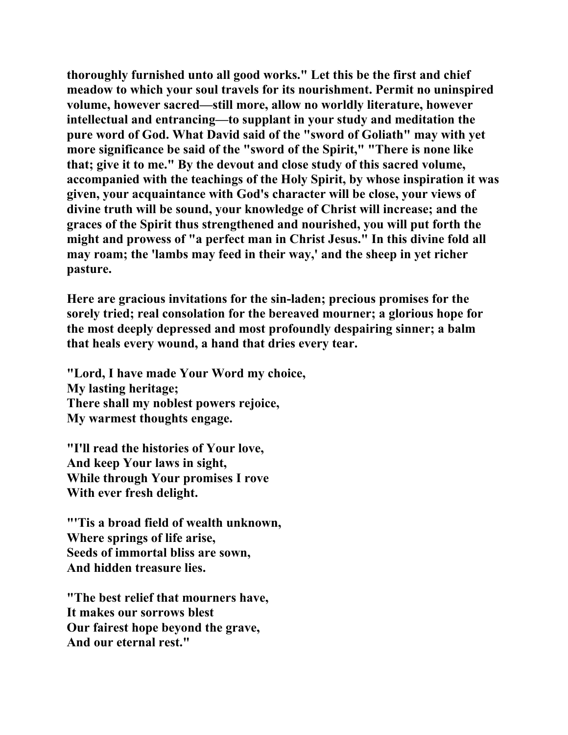**thoroughly furnished unto all good works." Let this be the first and chief meadow to which your soul travels for its nourishment. Permit no uninspired volume, however sacred—still more, allow no worldly literature, however intellectual and entrancing—to supplant in your study and meditation the pure word of God. What David said of the "sword of Goliath" may with yet more significance be said of the "sword of the Spirit," "There is none like that; give it to me." By the devout and close study of this sacred volume, accompanied with the teachings of the Holy Spirit, by whose inspiration it was given, your acquaintance with God's character will be close, your views of divine truth will be sound, your knowledge of Christ will increase; and the graces of the Spirit thus strengthened and nourished, you will put forth the might and prowess of "a perfect man in Christ Jesus." In this divine fold all may roam; the 'lambs may feed in their way,' and the sheep in yet richer pasture.** 

**Here are gracious invitations for the sin-laden; precious promises for the sorely tried; real consolation for the bereaved mourner; a glorious hope for the most deeply depressed and most profoundly despairing sinner; a balm that heals every wound, a hand that dries every tear.** 

**"Lord, I have made Your Word my choice, My lasting heritage; There shall my noblest powers rejoice, My warmest thoughts engage.** 

**"I'll read the histories of Your love, And keep Your laws in sight, While through Your promises I rove With ever fresh delight.** 

**"'Tis a broad field of wealth unknown, Where springs of life arise, Seeds of immortal bliss are sown, And hidden treasure lies.** 

**"The best relief that mourners have, It makes our sorrows blest Our fairest hope beyond the grave, And our eternal rest."**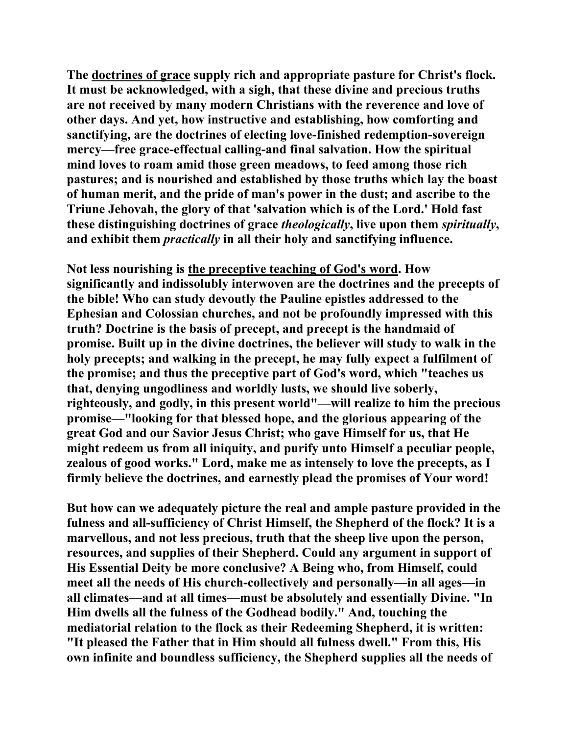**The doctrines of grace supply rich and appropriate pasture for Christ's flock. It must be acknowledged, with a sigh, that these divine and precious truths are not received by many modern Christians with the reverence and love of other days. And yet, how instructive and establishing, how comforting and sanctifying, are the doctrines of electing love-finished redemption-sovereign mercy—free grace-effectual calling-and final salvation. How the spiritual mind loves to roam amid those green meadows, to feed among those rich pastures; and is nourished and established by those truths which lay the boast of human merit, and the pride of man's power in the dust; and ascribe to the Triune Jehovah, the glory of that 'salvation which is of the Lord.' Hold fast these distinguishing doctrines of grace** *theologically***, live upon them** *spiritually***, and exhibit them** *practically* **in all their holy and sanctifying influence.** 

**Not less nourishing is the preceptive teaching of God's word. How significantly and indissolubly interwoven are the doctrines and the precepts of the bible! Who can study devoutly the Pauline epistles addressed to the Ephesian and Colossian churches, and not be profoundly impressed with this truth? Doctrine is the basis of precept, and precept is the handmaid of promise. Built up in the divine doctrines, the believer will study to walk in the holy precepts; and walking in the precept, he may fully expect a fulfilment of the promise; and thus the preceptive part of God's word, which "teaches us that, denying ungodliness and worldly lusts, we should live soberly, righteously, and godly, in this present world"—will realize to him the precious promise—"looking for that blessed hope, and the glorious appearing of the great God and our Savior Jesus Christ; who gave Himself for us, that He might redeem us from all iniquity, and purify unto Himself a peculiar people, zealous of good works." Lord, make me as intensely to love the precepts, as I firmly believe the doctrines, and earnestly plead the promises of Your word!** 

**But how can we adequately picture the real and ample pasture provided in the fulness and all-sufficiency of Christ Himself, the Shepherd of the flock? It is a marvellous, and not less precious, truth that the sheep live upon the person, resources, and supplies of their Shepherd. Could any argument in support of His Essential Deity be more conclusive? A Being who, from Himself, could meet all the needs of His church-collectively and personally—in all ages—in all climates—and at all times—must be absolutely and essentially Divine. "In Him dwells all the fulness of the Godhead bodily." And, touching the mediatorial relation to the flock as their Redeeming Shepherd, it is written: "It pleased the Father that in Him should all fulness dwell." From this, His own infinite and boundless sufficiency, the Shepherd supplies all the needs of**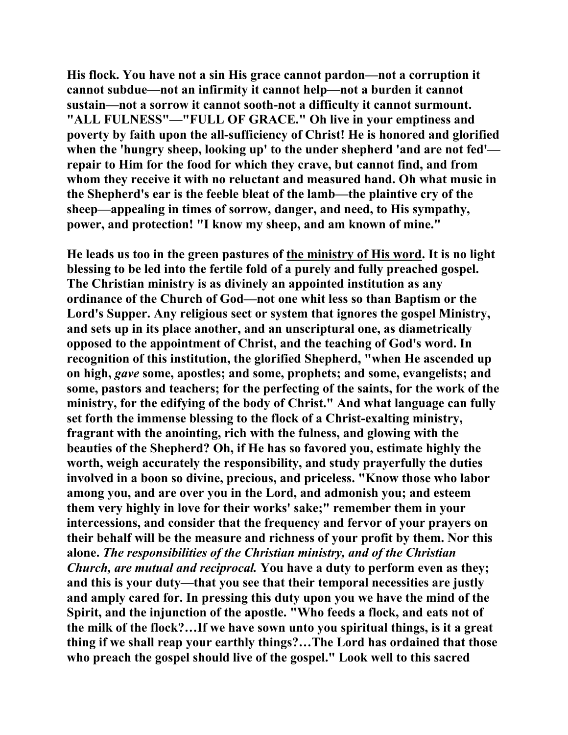**His flock. You have not a sin His grace cannot pardon—not a corruption it cannot subdue—not an infirmity it cannot help—not a burden it cannot sustain—not a sorrow it cannot sooth-not a difficulty it cannot surmount. "ALL FULNESS"—"FULL OF GRACE." Oh live in your emptiness and poverty by faith upon the all-sufficiency of Christ! He is honored and glorified when the 'hungry sheep, looking up' to the under shepherd 'and are not fed' repair to Him for the food for which they crave, but cannot find, and from whom they receive it with no reluctant and measured hand. Oh what music in the Shepherd's ear is the feeble bleat of the lamb—the plaintive cry of the sheep—appealing in times of sorrow, danger, and need, to His sympathy, power, and protection! "I know my sheep, and am known of mine."** 

**He leads us too in the green pastures of the ministry of His word. It is no light blessing to be led into the fertile fold of a purely and fully preached gospel. The Christian ministry is as divinely an appointed institution as any ordinance of the Church of God—not one whit less so than Baptism or the Lord's Supper. Any religious sect or system that ignores the gospel Ministry, and sets up in its place another, and an unscriptural one, as diametrically opposed to the appointment of Christ, and the teaching of God's word. In recognition of this institution, the glorified Shepherd, "when He ascended up on high,** *gave* **some, apostles; and some, prophets; and some, evangelists; and some, pastors and teachers; for the perfecting of the saints, for the work of the ministry, for the edifying of the body of Christ." And what language can fully set forth the immense blessing to the flock of a Christ-exalting ministry, fragrant with the anointing, rich with the fulness, and glowing with the beauties of the Shepherd? Oh, if He has so favored you, estimate highly the worth, weigh accurately the responsibility, and study prayerfully the duties involved in a boon so divine, precious, and priceless. "Know those who labor among you, and are over you in the Lord, and admonish you; and esteem them very highly in love for their works' sake;" remember them in your intercessions, and consider that the frequency and fervor of your prayers on their behalf will be the measure and richness of your profit by them. Nor this alone.** *The responsibilities of the Christian ministry, and of the Christian Church, are mutual and reciprocal.* **You have a duty to perform even as they; and this is your duty—that you see that their temporal necessities are justly and amply cared for. In pressing this duty upon you we have the mind of the Spirit, and the injunction of the apostle. "Who feeds a flock, and eats not of the milk of the flock?…If we have sown unto you spiritual things, is it a great thing if we shall reap your earthly things?…The Lord has ordained that those who preach the gospel should live of the gospel." Look well to this sacred**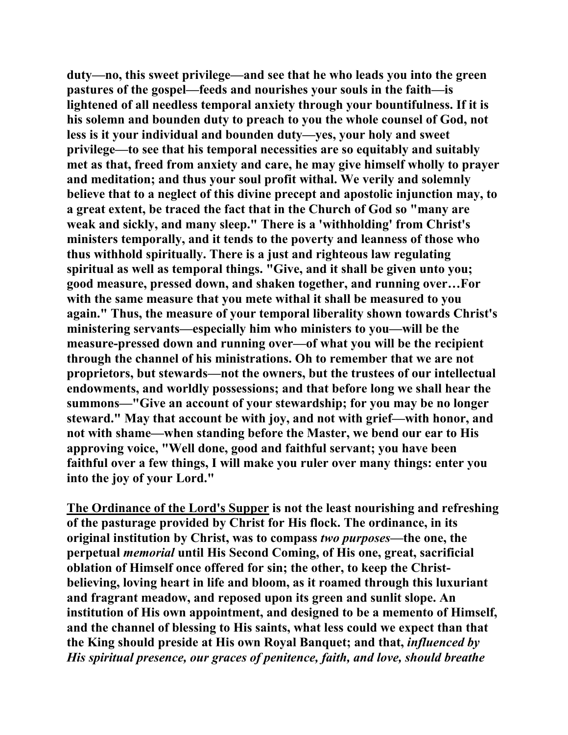**duty—no, this sweet privilege—and see that he who leads you into the green pastures of the gospel—feeds and nourishes your souls in the faith—is lightened of all needless temporal anxiety through your bountifulness. If it is his solemn and bounden duty to preach to you the whole counsel of God, not less is it your individual and bounden duty—yes, your holy and sweet privilege—to see that his temporal necessities are so equitably and suitably met as that, freed from anxiety and care, he may give himself wholly to prayer and meditation; and thus your soul profit withal. We verily and solemnly believe that to a neglect of this divine precept and apostolic injunction may, to a great extent, be traced the fact that in the Church of God so "many are weak and sickly, and many sleep." There is a 'withholding' from Christ's ministers temporally, and it tends to the poverty and leanness of those who thus withhold spiritually. There is a just and righteous law regulating spiritual as well as temporal things. "Give, and it shall be given unto you; good measure, pressed down, and shaken together, and running over…For with the same measure that you mete withal it shall be measured to you again." Thus, the measure of your temporal liberality shown towards Christ's ministering servants—especially him who ministers to you—will be the measure-pressed down and running over—of what you will be the recipient through the channel of his ministrations. Oh to remember that we are not proprietors, but stewards—not the owners, but the trustees of our intellectual endowments, and worldly possessions; and that before long we shall hear the summons—"Give an account of your stewardship; for you may be no longer steward." May that account be with joy, and not with grief—with honor, and not with shame—when standing before the Master, we bend our ear to His approving voice, "Well done, good and faithful servant; you have been faithful over a few things, I will make you ruler over many things: enter you into the joy of your Lord."** 

**The Ordinance of the Lord's Supper is not the least nourishing and refreshing of the pasturage provided by Christ for His flock. The ordinance, in its original institution by Christ, was to compass** *two purposes***—the one, the perpetual** *memorial* **until His Second Coming, of His one, great, sacrificial oblation of Himself once offered for sin; the other, to keep the Christbelieving, loving heart in life and bloom, as it roamed through this luxuriant and fragrant meadow, and reposed upon its green and sunlit slope. An institution of His own appointment, and designed to be a memento of Himself, and the channel of blessing to His saints, what less could we expect than that the King should preside at His own Royal Banquet; and that,** *influenced by His spiritual presence, our graces of penitence, faith, and love, should breathe*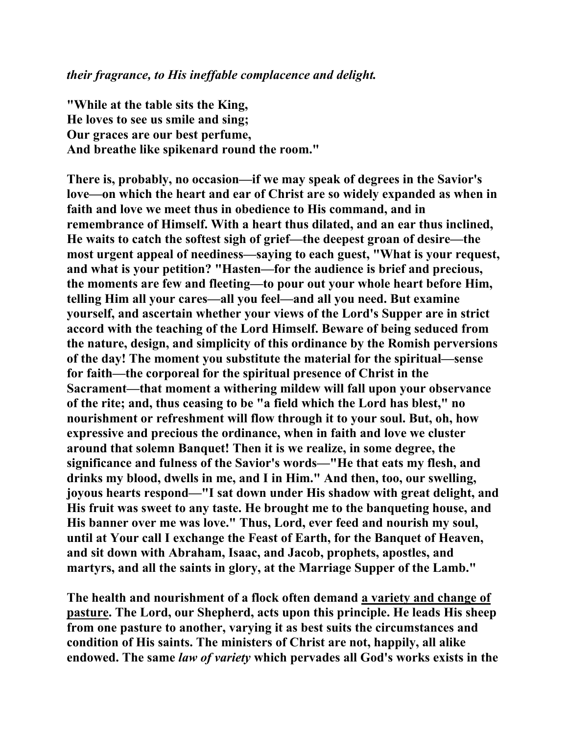**"While at the table sits the King, He loves to see us smile and sing; Our graces are our best perfume, And breathe like spikenard round the room."** 

**There is, probably, no occasion—if we may speak of degrees in the Savior's love—on which the heart and ear of Christ are so widely expanded as when in faith and love we meet thus in obedience to His command, and in remembrance of Himself. With a heart thus dilated, and an ear thus inclined, He waits to catch the softest sigh of grief—the deepest groan of desire—the most urgent appeal of neediness—saying to each guest, "What is your request, and what is your petition? "Hasten—for the audience is brief and precious, the moments are few and fleeting—to pour out your whole heart before Him, telling Him all your cares—all you feel—and all you need. But examine yourself, and ascertain whether your views of the Lord's Supper are in strict accord with the teaching of the Lord Himself. Beware of being seduced from the nature, design, and simplicity of this ordinance by the Romish perversions of the day! The moment you substitute the material for the spiritual—sense for faith—the corporeal for the spiritual presence of Christ in the Sacrament—that moment a withering mildew will fall upon your observance of the rite; and, thus ceasing to be "a field which the Lord has blest," no nourishment or refreshment will flow through it to your soul. But, oh, how expressive and precious the ordinance, when in faith and love we cluster around that solemn Banquet! Then it is we realize, in some degree, the significance and fulness of the Savior's words—"He that eats my flesh, and drinks my blood, dwells in me, and I in Him." And then, too, our swelling, joyous hearts respond—"I sat down under His shadow with great delight, and His fruit was sweet to any taste. He brought me to the banqueting house, and His banner over me was love." Thus, Lord, ever feed and nourish my soul, until at Your call I exchange the Feast of Earth, for the Banquet of Heaven, and sit down with Abraham, Isaac, and Jacob, prophets, apostles, and martyrs, and all the saints in glory, at the Marriage Supper of the Lamb."** 

**The health and nourishment of a flock often demand a variety and change of pasture. The Lord, our Shepherd, acts upon this principle. He leads His sheep from one pasture to another, varying it as best suits the circumstances and condition of His saints. The ministers of Christ are not, happily, all alike endowed. The same** *law of variety* **which pervades all God's works exists in the**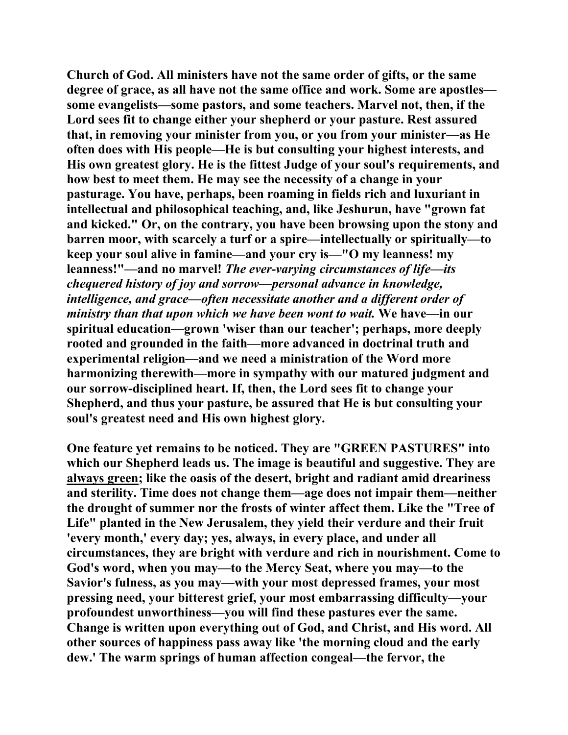**Church of God. All ministers have not the same order of gifts, or the same degree of grace, as all have not the same office and work. Some are apostles some evangelists—some pastors, and some teachers. Marvel not, then, if the Lord sees fit to change either your shepherd or your pasture. Rest assured that, in removing your minister from you, or you from your minister—as He often does with His people—He is but consulting your highest interests, and His own greatest glory. He is the fittest Judge of your soul's requirements, and how best to meet them. He may see the necessity of a change in your pasturage. You have, perhaps, been roaming in fields rich and luxuriant in intellectual and philosophical teaching, and, like Jeshurun, have "grown fat and kicked." Or, on the contrary, you have been browsing upon the stony and barren moor, with scarcely a turf or a spire—intellectually or spiritually—to keep your soul alive in famine—and your cry is—"O my leanness! my leanness!"—and no marvel!** *The ever-varying circumstances of life—its chequered history of joy and sorrow—personal advance in knowledge, intelligence, and grace—often necessitate another and a different order of ministry than that upon which we have been wont to wait.* **We have—in our spiritual education—grown 'wiser than our teacher'; perhaps, more deeply rooted and grounded in the faith—more advanced in doctrinal truth and experimental religion—and we need a ministration of the Word more harmonizing therewith—more in sympathy with our matured judgment and our sorrow-disciplined heart. If, then, the Lord sees fit to change your Shepherd, and thus your pasture, be assured that He is but consulting your soul's greatest need and His own highest glory.** 

**One feature yet remains to be noticed. They are "GREEN PASTURES" into which our Shepherd leads us. The image is beautiful and suggestive. They are always green; like the oasis of the desert, bright and radiant amid dreariness and sterility. Time does not change them—age does not impair them—neither the drought of summer nor the frosts of winter affect them. Like the "Tree of Life" planted in the New Jerusalem, they yield their verdure and their fruit 'every month,' every day; yes, always, in every place, and under all circumstances, they are bright with verdure and rich in nourishment. Come to God's word, when you may—to the Mercy Seat, where you may—to the Savior's fulness, as you may—with your most depressed frames, your most pressing need, your bitterest grief, your most embarrassing difficulty—your profoundest unworthiness—you will find these pastures ever the same. Change is written upon everything out of God, and Christ, and His word. All other sources of happiness pass away like 'the morning cloud and the early dew.' The warm springs of human affection congeal—the fervor, the**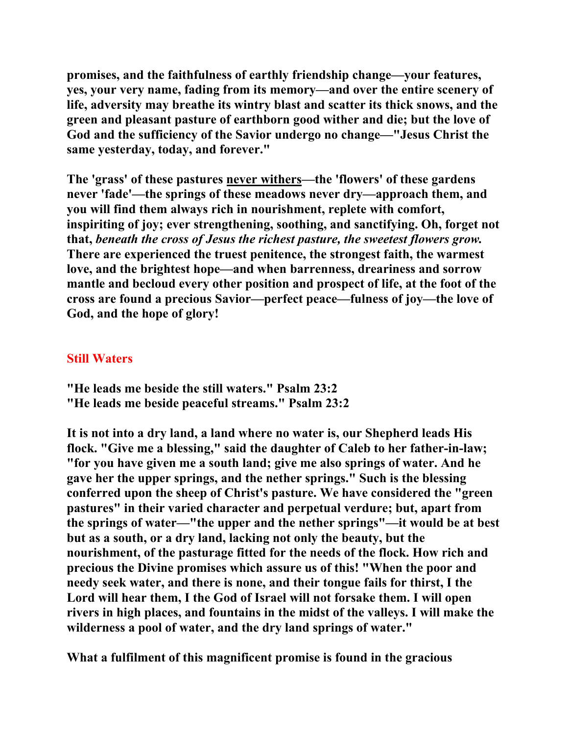**promises, and the faithfulness of earthly friendship change—your features, yes, your very name, fading from its memory—and over the entire scenery of life, adversity may breathe its wintry blast and scatter its thick snows, and the green and pleasant pasture of earthborn good wither and die; but the love of God and the sufficiency of the Savior undergo no change—"Jesus Christ the same yesterday, today, and forever."** 

**The 'grass' of these pastures never withers—the 'flowers' of these gardens never 'fade'—the springs of these meadows never dry—approach them, and you will find them always rich in nourishment, replete with comfort, inspiriting of joy; ever strengthening, soothing, and sanctifying. Oh, forget not that,** *beneath the cross of Jesus the richest pasture, the sweetest flowers grow.*  **There are experienced the truest penitence, the strongest faith, the warmest love, and the brightest hope—and when barrenness, dreariness and sorrow mantle and becloud every other position and prospect of life, at the foot of the cross are found a precious Savior—perfect peace—fulness of joy—the love of God, and the hope of glory!** 

## **Still Waters**

- **"He leads me beside the still waters." Psalm 23:2**
- **"He leads me beside peaceful streams." Psalm 23:2**

**It is not into a dry land, a land where no water is, our Shepherd leads His flock. "Give me a blessing," said the daughter of Caleb to her father-in-law; "for you have given me a south land; give me also springs of water. And he gave her the upper springs, and the nether springs." Such is the blessing conferred upon the sheep of Christ's pasture. We have considered the "green pastures" in their varied character and perpetual verdure; but, apart from the springs of water—"the upper and the nether springs"—it would be at best but as a south, or a dry land, lacking not only the beauty, but the nourishment, of the pasturage fitted for the needs of the flock. How rich and precious the Divine promises which assure us of this! "When the poor and needy seek water, and there is none, and their tongue fails for thirst, I the Lord will hear them, I the God of Israel will not forsake them. I will open rivers in high places, and fountains in the midst of the valleys. I will make the wilderness a pool of water, and the dry land springs of water."** 

**What a fulfilment of this magnificent promise is found in the gracious**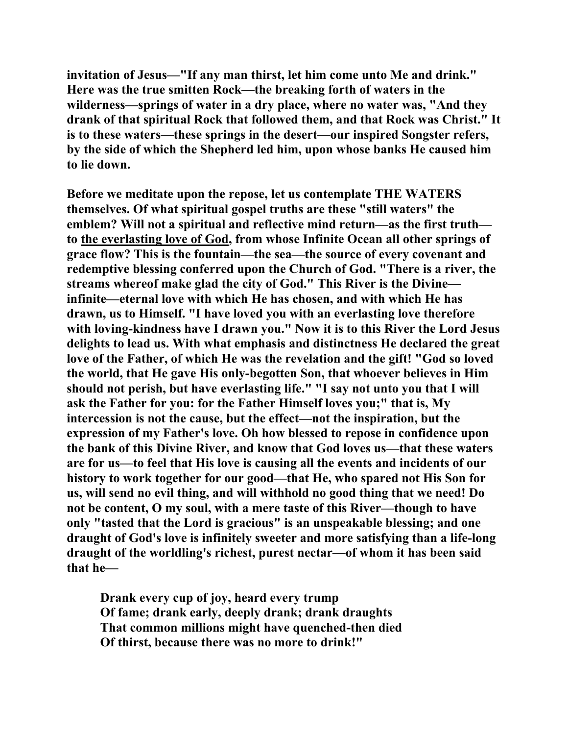**invitation of Jesus—"If any man thirst, let him come unto Me and drink." Here was the true smitten Rock—the breaking forth of waters in the wilderness—springs of water in a dry place, where no water was, "And they drank of that spiritual Rock that followed them, and that Rock was Christ." It is to these waters—these springs in the desert—our inspired Songster refers, by the side of which the Shepherd led him, upon whose banks He caused him to lie down.** 

**Before we meditate upon the repose, let us contemplate THE WATERS themselves. Of what spiritual gospel truths are these "still waters" the emblem? Will not a spiritual and reflective mind return—as the first truth to the everlasting love of God, from whose Infinite Ocean all other springs of grace flow? This is the fountain—the sea—the source of every covenant and redemptive blessing conferred upon the Church of God. "There is a river, the streams whereof make glad the city of God." This River is the Divine infinite—eternal love with which He has chosen, and with which He has drawn, us to Himself. "I have loved you with an everlasting love therefore with loving-kindness have I drawn you." Now it is to this River the Lord Jesus delights to lead us. With what emphasis and distinctness He declared the great love of the Father, of which He was the revelation and the gift! "God so loved the world, that He gave His only-begotten Son, that whoever believes in Him should not perish, but have everlasting life." "I say not unto you that I will ask the Father for you: for the Father Himself loves you;" that is, My intercession is not the cause, but the effect—not the inspiration, but the expression of my Father's love. Oh how blessed to repose in confidence upon the bank of this Divine River, and know that God loves us—that these waters are for us—to feel that His love is causing all the events and incidents of our history to work together for our good—that He, who spared not His Son for us, will send no evil thing, and will withhold no good thing that we need! Do not be content, O my soul, with a mere taste of this River—though to have only "tasted that the Lord is gracious" is an unspeakable blessing; and one draught of God's love is infinitely sweeter and more satisfying than a life-long draught of the worldling's richest, purest nectar—of whom it has been said that he—** 

 **Drank every cup of joy, heard every trump Of fame; drank early, deeply drank; drank draughts That common millions might have quenched-then died Of thirst, because there was no more to drink!"**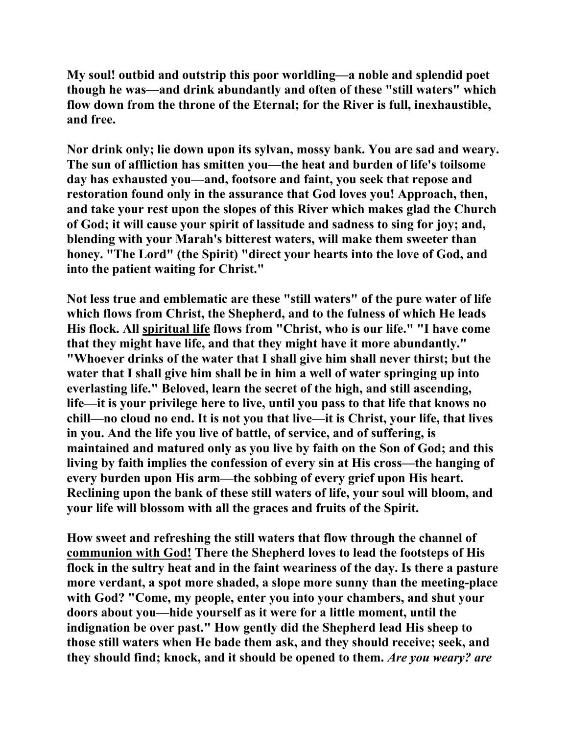**My soul! outbid and outstrip this poor worldling—a noble and splendid poet though he was—and drink abundantly and often of these "still waters" which flow down from the throne of the Eternal; for the River is full, inexhaustible, and free.** 

**Nor drink only; lie down upon its sylvan, mossy bank. You are sad and weary. The sun of affliction has smitten you—the heat and burden of life's toilsome day has exhausted you—and, footsore and faint, you seek that repose and restoration found only in the assurance that God loves you! Approach, then, and take your rest upon the slopes of this River which makes glad the Church of God; it will cause your spirit of lassitude and sadness to sing for joy; and, blending with your Marah's bitterest waters, will make them sweeter than honey. "The Lord" (the Spirit) "direct your hearts into the love of God, and into the patient waiting for Christ."** 

**Not less true and emblematic are these "still waters" of the pure water of life which flows from Christ, the Shepherd, and to the fulness of which He leads His flock. All spiritual life flows from "Christ, who is our life." "I have come that they might have life, and that they might have it more abundantly." "Whoever drinks of the water that I shall give him shall never thirst; but the water that I shall give him shall be in him a well of water springing up into everlasting life." Beloved, learn the secret of the high, and still ascending, life—it is your privilege here to live, until you pass to that life that knows no chill—no cloud no end. It is not you that live—it is Christ, your life, that lives in you. And the life you live of battle, of service, and of suffering, is maintained and matured only as you live by faith on the Son of God; and this living by faith implies the confession of every sin at His cross—the hanging of every burden upon His arm—the sobbing of every grief upon His heart. Reclining upon the bank of these still waters of life, your soul will bloom, and your life will blossom with all the graces and fruits of the Spirit.** 

**How sweet and refreshing the still waters that flow through the channel of communion with God! There the Shepherd loves to lead the footsteps of His flock in the sultry heat and in the faint weariness of the day. Is there a pasture more verdant, a spot more shaded, a slope more sunny than the meeting-place with God? "Come, my people, enter you into your chambers, and shut your doors about you—hide yourself as it were for a little moment, until the indignation be over past." How gently did the Shepherd lead His sheep to those still waters when He bade them ask, and they should receive; seek, and they should find; knock, and it should be opened to them.** *Are you weary? are*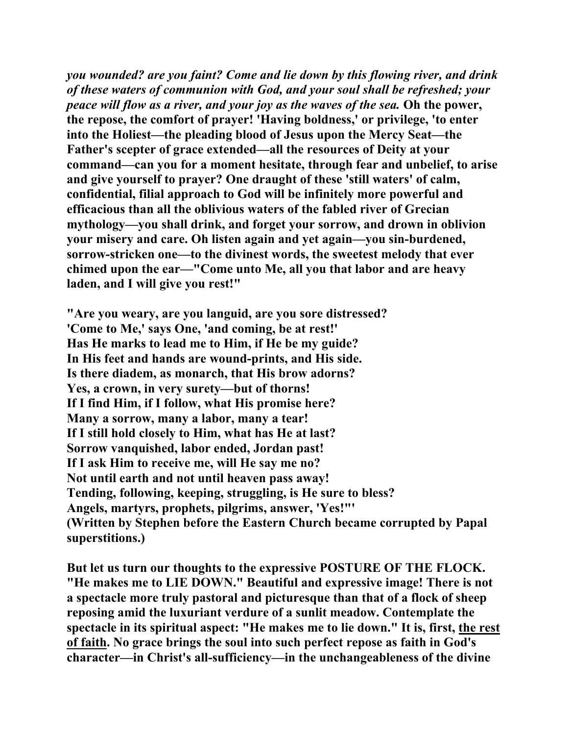*you wounded? are you faint? Come and lie down by this flowing river, and drink of these waters of communion with God, and your soul shall be refreshed; your peace will flow as a river, and your joy as the waves of the sea. Oh the power,* **the repose, the comfort of prayer! 'Having boldness,' or privilege, 'to enter into the Holiest—the pleading blood of Jesus upon the Mercy Seat—the Father's scepter of grace extended—all the resources of Deity at your command—can you for a moment hesitate, through fear and unbelief, to arise and give yourself to prayer? One draught of these 'still waters' of calm, confidential, filial approach to God will be infinitely more powerful and efficacious than all the oblivious waters of the fabled river of Grecian mythology—you shall drink, and forget your sorrow, and drown in oblivion your misery and care. Oh listen again and yet again—you sin-burdened, sorrow-stricken one—to the divinest words, the sweetest melody that ever chimed upon the ear—"Come unto Me, all you that labor and are heavy laden, and I will give you rest!"** 

**"Are you weary, are you languid, are you sore distressed? 'Come to Me,' says One, 'and coming, be at rest!' Has He marks to lead me to Him, if He be my guide? In His feet and hands are wound-prints, and His side. Is there diadem, as monarch, that His brow adorns? Yes, a crown, in very surety—but of thorns! If I find Him, if I follow, what His promise here? Many a sorrow, many a labor, many a tear! If I still hold closely to Him, what has He at last? Sorrow vanquished, labor ended, Jordan past! If I ask Him to receive me, will He say me no? Not until earth and not until heaven pass away! Tending, following, keeping, struggling, is He sure to bless? Angels, martyrs, prophets, pilgrims, answer, 'Yes!"' (Written by Stephen before the Eastern Church became corrupted by Papal superstitions.)** 

**But let us turn our thoughts to the expressive POSTURE OF THE FLOCK. "He makes me to LIE DOWN." Beautiful and expressive image! There is not a spectacle more truly pastoral and picturesque than that of a flock of sheep reposing amid the luxuriant verdure of a sunlit meadow. Contemplate the spectacle in its spiritual aspect: "He makes me to lie down." It is, first, the rest of faith. No grace brings the soul into such perfect repose as faith in God's character—in Christ's all-sufficiency—in the unchangeableness of the divine**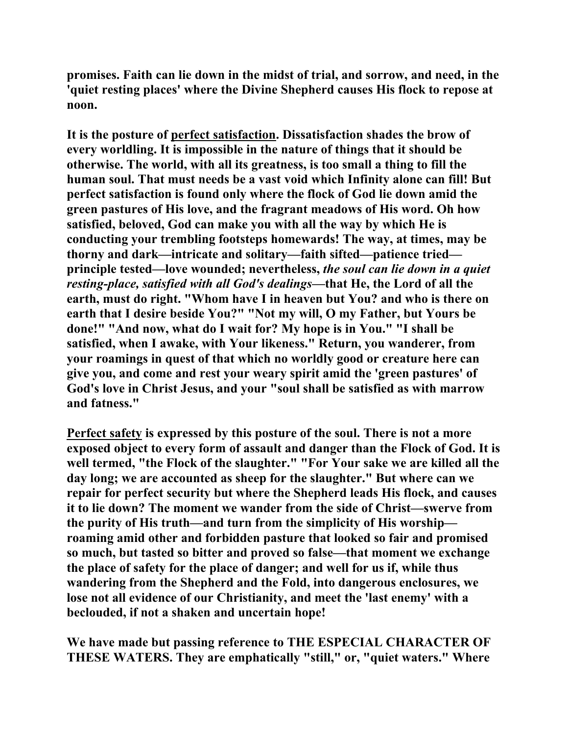**promises. Faith can lie down in the midst of trial, and sorrow, and need, in the 'quiet resting places' where the Divine Shepherd causes His flock to repose at noon.** 

**It is the posture of perfect satisfaction. Dissatisfaction shades the brow of every worldling. It is impossible in the nature of things that it should be otherwise. The world, with all its greatness, is too small a thing to fill the human soul. That must needs be a vast void which Infinity alone can fill! But perfect satisfaction is found only where the flock of God lie down amid the green pastures of His love, and the fragrant meadows of His word. Oh how satisfied, beloved, God can make you with all the way by which He is conducting your trembling footsteps homewards! The way, at times, may be thorny and dark—intricate and solitary—faith sifted—patience tried principle tested—love wounded; nevertheless,** *the soul can lie down in a quiet resting-place, satisfied with all God's dealings***—that He, the Lord of all the earth, must do right. "Whom have I in heaven but You? and who is there on earth that I desire beside You?" "Not my will, O my Father, but Yours be done!" "And now, what do I wait for? My hope is in You." "I shall be satisfied, when I awake, with Your likeness." Return, you wanderer, from your roamings in quest of that which no worldly good or creature here can give you, and come and rest your weary spirit amid the 'green pastures' of God's love in Christ Jesus, and your "soul shall be satisfied as with marrow and fatness."** 

**Perfect safety is expressed by this posture of the soul. There is not a more exposed object to every form of assault and danger than the Flock of God. It is well termed, "the Flock of the slaughter." "For Your sake we are killed all the day long; we are accounted as sheep for the slaughter." But where can we repair for perfect security but where the Shepherd leads His flock, and causes it to lie down? The moment we wander from the side of Christ—swerve from the purity of His truth—and turn from the simplicity of His worship roaming amid other and forbidden pasture that looked so fair and promised so much, but tasted so bitter and proved so false—that moment we exchange the place of safety for the place of danger; and well for us if, while thus wandering from the Shepherd and the Fold, into dangerous enclosures, we lose not all evidence of our Christianity, and meet the 'last enemy' with a beclouded, if not a shaken and uncertain hope!** 

**We have made but passing reference to THE ESPECIAL CHARACTER OF THESE WATERS. They are emphatically "still," or, "quiet waters." Where**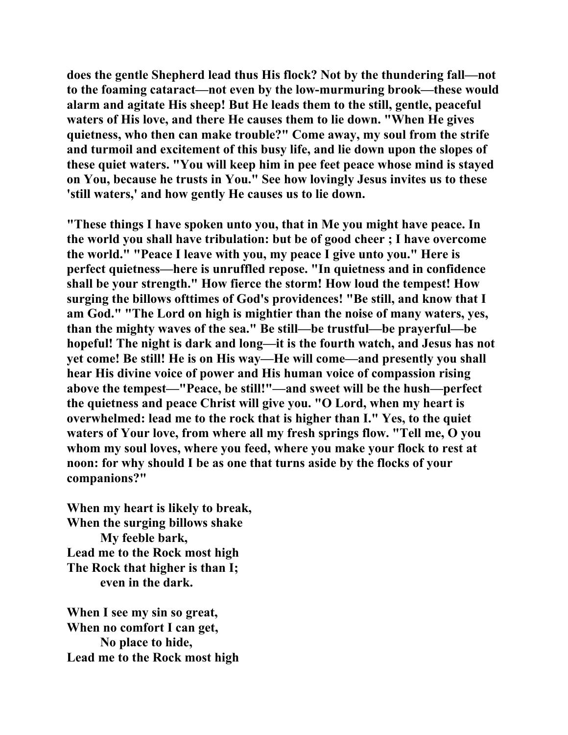**does the gentle Shepherd lead thus His flock? Not by the thundering fall—not to the foaming cataract—not even by the low-murmuring brook—these would alarm and agitate His sheep! But He leads them to the still, gentle, peaceful waters of His love, and there He causes them to lie down. "When He gives quietness, who then can make trouble?" Come away, my soul from the strife and turmoil and excitement of this busy life, and lie down upon the slopes of these quiet waters. "You will keep him in pee feet peace whose mind is stayed on You, because he trusts in You." See how lovingly Jesus invites us to these 'still waters,' and how gently He causes us to lie down.** 

**"These things I have spoken unto you, that in Me you might have peace. In the world you shall have tribulation: but be of good cheer ; I have overcome the world." "Peace I leave with you, my peace I give unto you." Here is perfect quietness—here is unruffled repose. "In quietness and in confidence shall be your strength." How fierce the storm! How loud the tempest! How surging the billows ofttimes of God's providences! "Be still, and know that I am God." "The Lord on high is mightier than the noise of many waters, yes, than the mighty waves of the sea." Be still—be trustful—be prayerful—be hopeful! The night is dark and long—it is the fourth watch, and Jesus has not yet come! Be still! He is on His way—He will come—and presently you shall hear His divine voice of power and His human voice of compassion rising above the tempest—"Peace, be still!"—and sweet will be the hush—perfect the quietness and peace Christ will give you. "O Lord, when my heart is overwhelmed: lead me to the rock that is higher than I." Yes, to the quiet waters of Your love, from where all my fresh springs flow. "Tell me, O you whom my soul loves, where you feed, where you make your flock to rest at noon: for why should I be as one that turns aside by the flocks of your companions?"** 

**When my heart is likely to break, When the surging billows shake My feeble bark, Lead me to the Rock most high The Rock that higher is than I; even in the dark.** 

**When I see my sin so great, When no comfort I can get, No place to hide, Lead me to the Rock most high**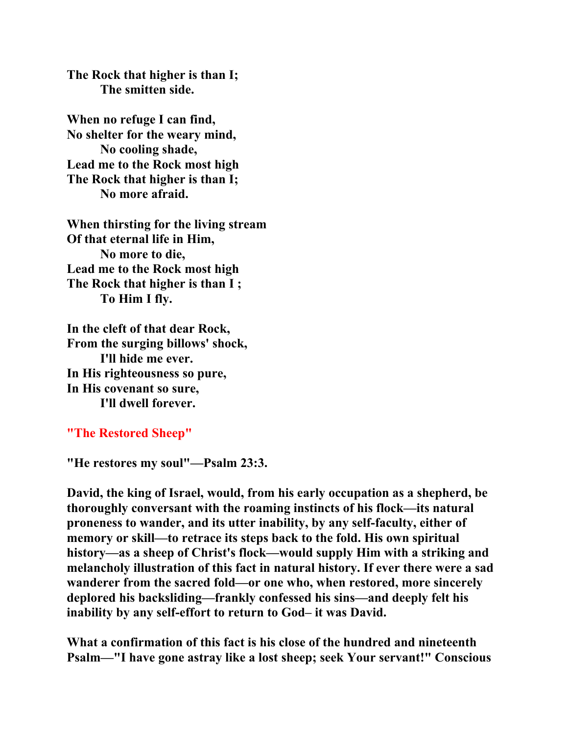**The Rock that higher is than I; The smitten side.** 

**When no refuge I can find, No shelter for the weary mind, No cooling shade, Lead me to the Rock most high The Rock that higher is than I; No more afraid.** 

**When thirsting for the living stream Of that eternal life in Him, No more to die, Lead me to the Rock most high The Rock that higher is than I ; To Him I fly.** 

**In the cleft of that dear Rock, From the surging billows' shock, I'll hide me ever. In His righteousness so pure, In His covenant so sure, I'll dwell forever.** 

**"The Restored Sheep"**

**"He restores my soul"—Psalm 23:3.** 

**David, the king of Israel, would, from his early occupation as a shepherd, be thoroughly conversant with the roaming instincts of his flock—its natural proneness to wander, and its utter inability, by any self-faculty, either of memory or skill—to retrace its steps back to the fold. His own spiritual history—as a sheep of Christ's flock—would supply Him with a striking and melancholy illustration of this fact in natural history. If ever there were a sad wanderer from the sacred fold—or one who, when restored, more sincerely deplored his backsliding—frankly confessed his sins—and deeply felt his inability by any self-effort to return to God– it was David.** 

**What a confirmation of this fact is his close of the hundred and nineteenth Psalm—"I have gone astray like a lost sheep; seek Your servant!" Conscious**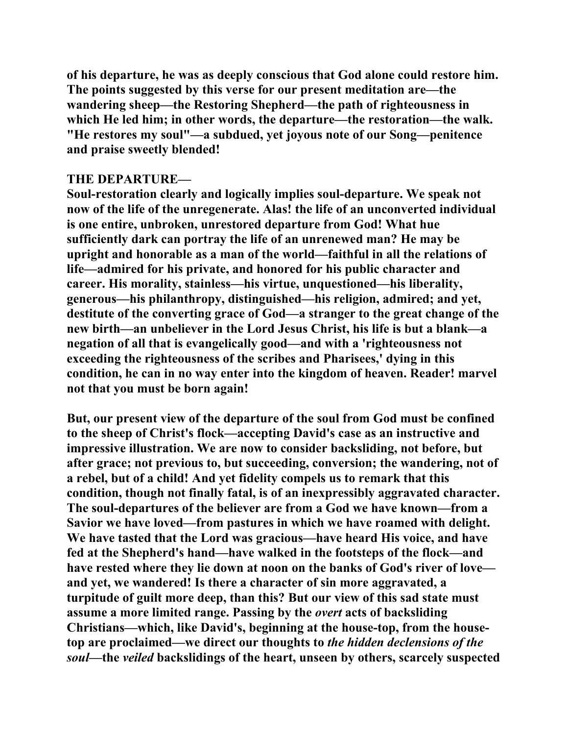**of his departure, he was as deeply conscious that God alone could restore him. The points suggested by this verse for our present meditation are—the wandering sheep—the Restoring Shepherd—the path of righteousness in which He led him; in other words, the departure—the restoration—the walk. "He restores my soul"—a subdued, yet joyous note of our Song—penitence and praise sweetly blended!** 

### **THE DEPARTURE—**

**Soul-restoration clearly and logically implies soul-departure. We speak not now of the life of the unregenerate. Alas! the life of an unconverted individual is one entire, unbroken, unrestored departure from God! What hue sufficiently dark can portray the life of an unrenewed man? He may be upright and honorable as a man of the world—faithful in all the relations of life—admired for his private, and honored for his public character and career. His morality, stainless—his virtue, unquestioned—his liberality, generous—his philanthropy, distinguished—his religion, admired; and yet, destitute of the converting grace of God—a stranger to the great change of the new birth—an unbeliever in the Lord Jesus Christ, his life is but a blank—a negation of all that is evangelically good—and with a 'righteousness not exceeding the righteousness of the scribes and Pharisees,' dying in this condition, he can in no way enter into the kingdom of heaven. Reader! marvel not that you must be born again!** 

**But, our present view of the departure of the soul from God must be confined to the sheep of Christ's flock—accepting David's case as an instructive and impressive illustration. We are now to consider backsliding, not before, but after grace; not previous to, but succeeding, conversion; the wandering, not of a rebel, but of a child! And yet fidelity compels us to remark that this condition, though not finally fatal, is of an inexpressibly aggravated character. The soul-departures of the believer are from a God we have known—from a Savior we have loved—from pastures in which we have roamed with delight. We have tasted that the Lord was gracious—have heard His voice, and have fed at the Shepherd's hand—have walked in the footsteps of the flock—and have rested where they lie down at noon on the banks of God's river of love and yet, we wandered! Is there a character of sin more aggravated, a turpitude of guilt more deep, than this? But our view of this sad state must assume a more limited range. Passing by the** *overt* **acts of backsliding Christians—which, like David's, beginning at the house-top, from the housetop are proclaimed—we direct our thoughts to** *the hidden declensions of the soul***—the** *veiled* **backslidings of the heart, unseen by others, scarcely suspected**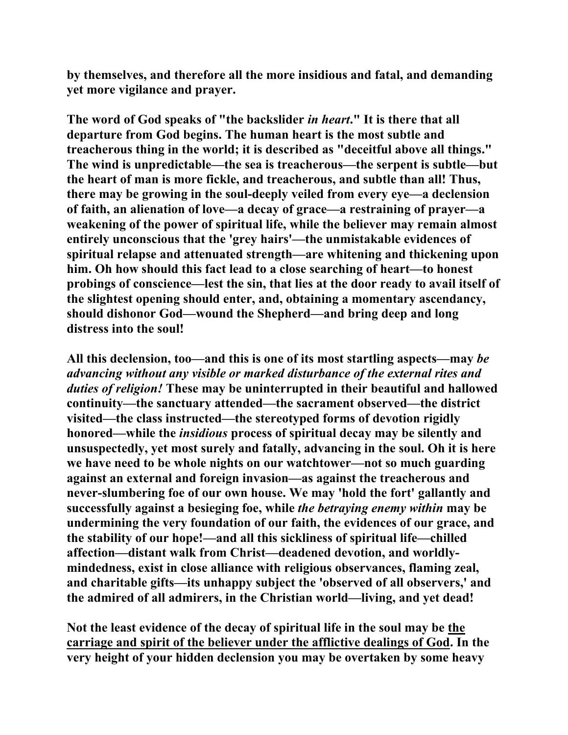**by themselves, and therefore all the more insidious and fatal, and demanding yet more vigilance and prayer.** 

**The word of God speaks of "the backslider** *in heart***." It is there that all departure from God begins. The human heart is the most subtle and treacherous thing in the world; it is described as "deceitful above all things." The wind is unpredictable—the sea is treacherous—the serpent is subtle—but the heart of man is more fickle, and treacherous, and subtle than all! Thus, there may be growing in the soul-deeply veiled from every eye—a declension of faith, an alienation of love—a decay of grace—a restraining of prayer—a weakening of the power of spiritual life, while the believer may remain almost entirely unconscious that the 'grey hairs'—the unmistakable evidences of spiritual relapse and attenuated strength—are whitening and thickening upon him. Oh how should this fact lead to a close searching of heart—to honest probings of conscience—lest the sin, that lies at the door ready to avail itself of the slightest opening should enter, and, obtaining a momentary ascendancy, should dishonor God—wound the Shepherd—and bring deep and long distress into the soul!** 

**All this declension, too—and this is one of its most startling aspects—may** *be advancing without any visible or marked disturbance of the external rites and duties of religion!* **These may be uninterrupted in their beautiful and hallowed continuity—the sanctuary attended—the sacrament observed—the district visited—the class instructed—the stereotyped forms of devotion rigidly honored—while the** *insidious* **process of spiritual decay may be silently and unsuspectedly, yet most surely and fatally, advancing in the soul. Oh it is here we have need to be whole nights on our watchtower—not so much guarding against an external and foreign invasion—as against the treacherous and never-slumbering foe of our own house. We may 'hold the fort' gallantly and successfully against a besieging foe, while** *the betraying enemy within* **may be undermining the very foundation of our faith, the evidences of our grace, and the stability of our hope!—and all this sickliness of spiritual life—chilled affection—distant walk from Christ—deadened devotion, and worldlymindedness, exist in close alliance with religious observances, flaming zeal, and charitable gifts—its unhappy subject the 'observed of all observers,' and the admired of all admirers, in the Christian world—living, and yet dead!** 

**Not the least evidence of the decay of spiritual life in the soul may be the carriage and spirit of the believer under the afflictive dealings of God. In the very height of your hidden declension you may be overtaken by some heavy**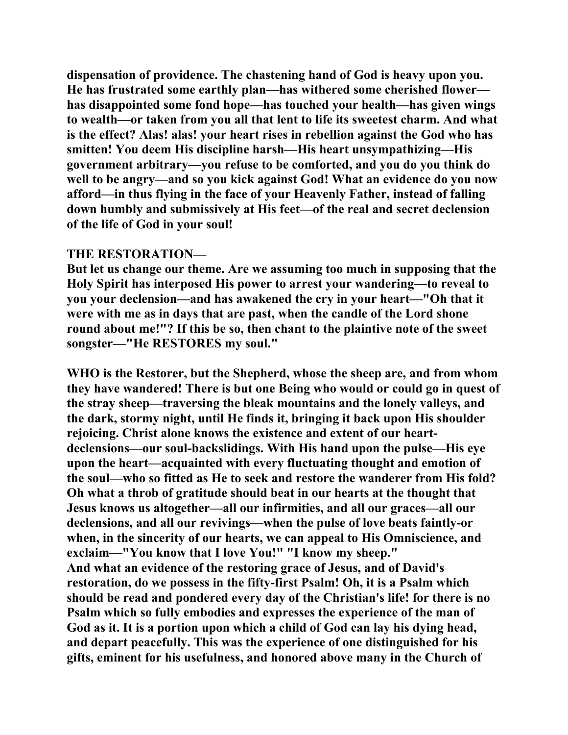**dispensation of providence. The chastening hand of God is heavy upon you. He has frustrated some earthly plan—has withered some cherished flower has disappointed some fond hope—has touched your health—has given wings to wealth—or taken from you all that lent to life its sweetest charm. And what is the effect? Alas! alas! your heart rises in rebellion against the God who has smitten! You deem His discipline harsh—His heart unsympathizing—His government arbitrary—you refuse to be comforted, and you do you think do well to be angry—and so you kick against God! What an evidence do you now afford—in thus flying in the face of your Heavenly Father, instead of falling down humbly and submissively at His feet—of the real and secret declension of the life of God in your soul!** 

#### **THE RESTORATION—**

**But let us change our theme. Are we assuming too much in supposing that the Holy Spirit has interposed His power to arrest your wandering—to reveal to you your declension—and has awakened the cry in your heart—"Oh that it were with me as in days that are past, when the candle of the Lord shone round about me!"? If this be so, then chant to the plaintive note of the sweet songster—"He RESTORES my soul."** 

**WHO is the Restorer, but the Shepherd, whose the sheep are, and from whom they have wandered! There is but one Being who would or could go in quest of the stray sheep—traversing the bleak mountains and the lonely valleys, and the dark, stormy night, until He finds it, bringing it back upon His shoulder rejoicing. Christ alone knows the existence and extent of our heartdeclensions—our soul-backslidings. With His hand upon the pulse—His eye upon the heart—acquainted with every fluctuating thought and emotion of the soul—who so fitted as He to seek and restore the wanderer from His fold? Oh what a throb of gratitude should beat in our hearts at the thought that Jesus knows us altogether—all our infirmities, and all our graces—all our declensions, and all our revivings—when the pulse of love beats faintly-or when, in the sincerity of our hearts, we can appeal to His Omniscience, and exclaim—"You know that I love You!" "I know my sheep." And what an evidence of the restoring grace of Jesus, and of David's restoration, do we possess in the fifty-first Psalm! Oh, it is a Psalm which should be read and pondered every day of the Christian's life! for there is no Psalm which so fully embodies and expresses the experience of the man of God as it. It is a portion upon which a child of God can lay his dying head, and depart peacefully. This was the experience of one distinguished for his gifts, eminent for his usefulness, and honored above many in the Church of**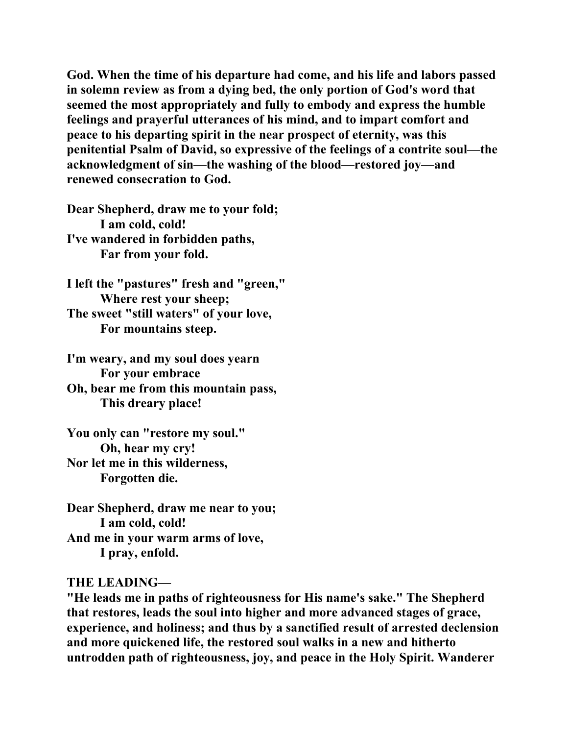**God. When the time of his departure had come, and his life and labors passed in solemn review as from a dying bed, the only portion of God's word that seemed the most appropriately and fully to embody and express the humble feelings and prayerful utterances of his mind, and to impart comfort and peace to his departing spirit in the near prospect of eternity, was this penitential Psalm of David, so expressive of the feelings of a contrite soul—the acknowledgment of sin—the washing of the blood—restored joy—and renewed consecration to God.** 

**Dear Shepherd, draw me to your fold; I am cold, cold! I've wandered in forbidden paths, Far from your fold.** 

**I left the "pastures" fresh and "green," Where rest your sheep; The sweet "still waters" of your love, For mountains steep.** 

**I'm weary, and my soul does yearn For your embrace Oh, bear me from this mountain pass, This dreary place!** 

**You only can "restore my soul." Oh, hear my cry! Nor let me in this wilderness, Forgotten die.** 

**Dear Shepherd, draw me near to you; I am cold, cold! And me in your warm arms of love, I pray, enfold.** 

#### **THE LEADING—**

**"He leads me in paths of righteousness for His name's sake." The Shepherd that restores, leads the soul into higher and more advanced stages of grace, experience, and holiness; and thus by a sanctified result of arrested declension and more quickened life, the restored soul walks in a new and hitherto untrodden path of righteousness, joy, and peace in the Holy Spirit. Wanderer**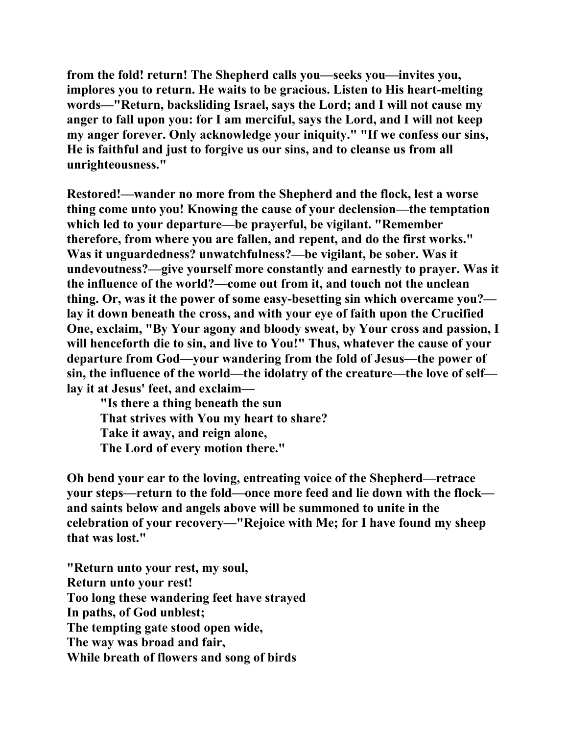**from the fold! return! The Shepherd calls you—seeks you—invites you, implores you to return. He waits to be gracious. Listen to His heart-melting words—"Return, backsliding Israel, says the Lord; and I will not cause my anger to fall upon you: for I am merciful, says the Lord, and I will not keep my anger forever. Only acknowledge your iniquity." "If we confess our sins, He is faithful and just to forgive us our sins, and to cleanse us from all unrighteousness."** 

**Restored!—wander no more from the Shepherd and the flock, lest a worse thing come unto you! Knowing the cause of your declension—the temptation which led to your departure—be prayerful, be vigilant. "Remember therefore, from where you are fallen, and repent, and do the first works." Was it unguardedness? unwatchfulness?—be vigilant, be sober. Was it undevoutness?—give yourself more constantly and earnestly to prayer. Was it the influence of the world?—come out from it, and touch not the unclean thing. Or, was it the power of some easy-besetting sin which overcame you? lay it down beneath the cross, and with your eye of faith upon the Crucified One, exclaim, "By Your agony and bloody sweat, by Your cross and passion, I will henceforth die to sin, and live to You!" Thus, whatever the cause of your departure from God—your wandering from the fold of Jesus—the power of sin, the influence of the world—the idolatry of the creature—the love of self lay it at Jesus' feet, and exclaim—** 

 **"Is there a thing beneath the sun That strives with You my heart to share? Take it away, and reign alone, The Lord of every motion there."** 

**Oh bend your ear to the loving, entreating voice of the Shepherd—retrace your steps—return to the fold—once more feed and lie down with the flock and saints below and angels above will be summoned to unite in the celebration of your recovery—"Rejoice with Me; for I have found my sheep that was lost."** 

**"Return unto your rest, my soul, Return unto your rest! Too long these wandering feet have strayed In paths, of God unblest; The tempting gate stood open wide, The way was broad and fair, While breath of flowers and song of birds**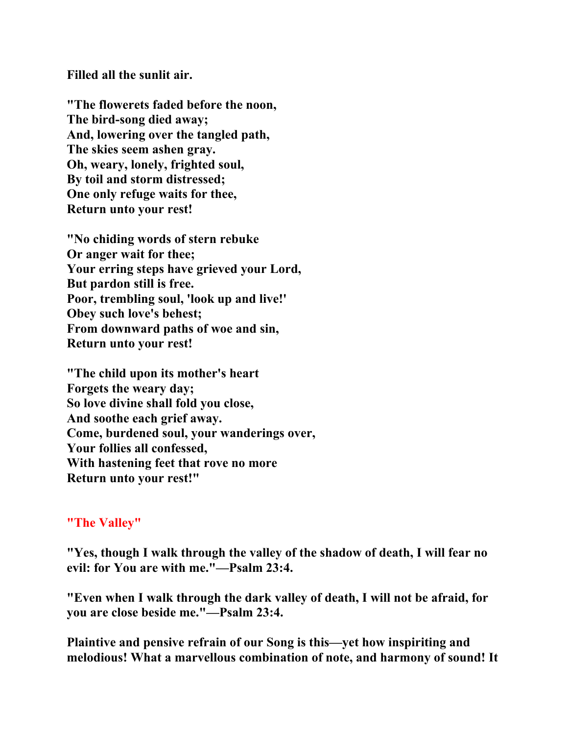**Filled all the sunlit air.** 

**"The flowerets faded before the noon, The bird-song died away; And, lowering over the tangled path, The skies seem ashen gray. Oh, weary, lonely, frighted soul, By toil and storm distressed; One only refuge waits for thee, Return unto your rest!** 

**"No chiding words of stern rebuke Or anger wait for thee; Your erring steps have grieved your Lord, But pardon still is free. Poor, trembling soul, 'look up and live!' Obey such love's behest; From downward paths of woe and sin, Return unto your rest!** 

**"The child upon its mother's heart Forgets the weary day; So love divine shall fold you close, And soothe each grief away. Come, burdened soul, your wanderings over, Your follies all confessed, With hastening feet that rove no more Return unto your rest!"** 

# **"The Valley"**

**"Yes, though I walk through the valley of the shadow of death, I will fear no evil: for You are with me."—Psalm 23:4.** 

**"Even when I walk through the dark valley of death, I will not be afraid, for you are close beside me."—Psalm 23:4.** 

**Plaintive and pensive refrain of our Song is this—yet how inspiriting and melodious! What a marvellous combination of note, and harmony of sound! It**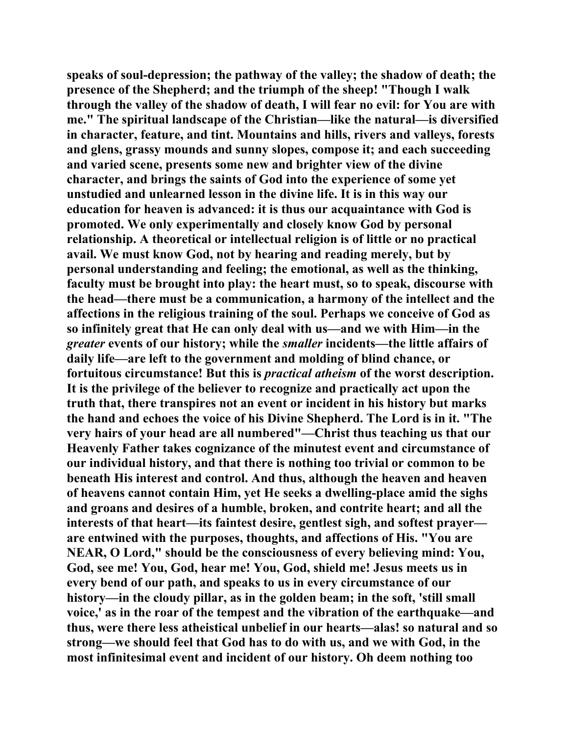**speaks of soul-depression; the pathway of the valley; the shadow of death; the presence of the Shepherd; and the triumph of the sheep! "Though I walk through the valley of the shadow of death, I will fear no evil: for You are with me." The spiritual landscape of the Christian—like the natural—is diversified in character, feature, and tint. Mountains and hills, rivers and valleys, forests and glens, grassy mounds and sunny slopes, compose it; and each succeeding and varied scene, presents some new and brighter view of the divine character, and brings the saints of God into the experience of some yet unstudied and unlearned lesson in the divine life. It is in this way our education for heaven is advanced: it is thus our acquaintance with God is promoted. We only experimentally and closely know God by personal relationship. A theoretical or intellectual religion is of little or no practical avail. We must know God, not by hearing and reading merely, but by personal understanding and feeling; the emotional, as well as the thinking, faculty must be brought into play: the heart must, so to speak, discourse with the head—there must be a communication, a harmony of the intellect and the affections in the religious training of the soul. Perhaps we conceive of God as so infinitely great that He can only deal with us—and we with Him—in the**  *greater* **events of our history; while the** *smaller* **incidents—the little affairs of daily life—are left to the government and molding of blind chance, or fortuitous circumstance! But this is** *practical atheism* **of the worst description. It is the privilege of the believer to recognize and practically act upon the truth that, there transpires not an event or incident in his history but marks the hand and echoes the voice of his Divine Shepherd. The Lord is in it. "The very hairs of your head are all numbered"—Christ thus teaching us that our Heavenly Father takes cognizance of the minutest event and circumstance of our individual history, and that there is nothing too trivial or common to be beneath His interest and control. And thus, although the heaven and heaven of heavens cannot contain Him, yet He seeks a dwelling-place amid the sighs and groans and desires of a humble, broken, and contrite heart; and all the interests of that heart—its faintest desire, gentlest sigh, and softest prayer are entwined with the purposes, thoughts, and affections of His. "You are NEAR, O Lord," should be the consciousness of every believing mind: You, God, see me! You, God, hear me! You, God, shield me! Jesus meets us in every bend of our path, and speaks to us in every circumstance of our history—in the cloudy pillar, as in the golden beam; in the soft, 'still small voice,' as in the roar of the tempest and the vibration of the earthquake—and thus, were there less atheistical unbelief in our hearts—alas! so natural and so strong—we should feel that God has to do with us, and we with God, in the most infinitesimal event and incident of our history. Oh deem nothing too**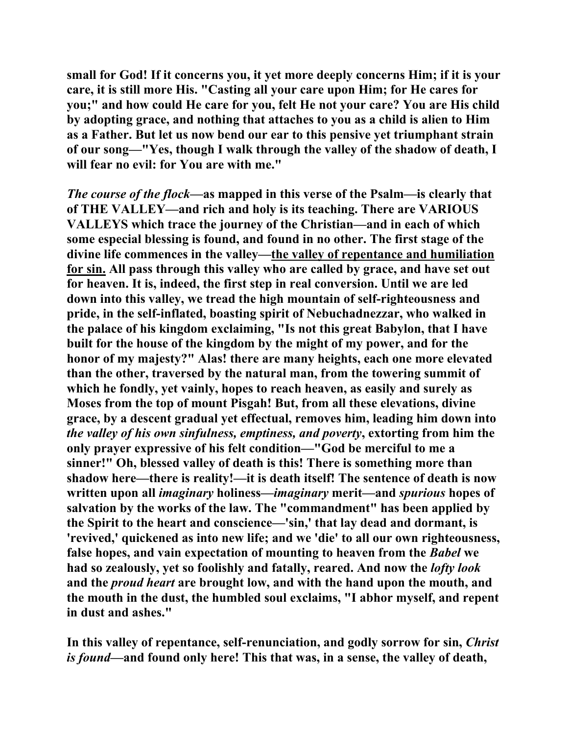**small for God! If it concerns you, it yet more deeply concerns Him; if it is your care, it is still more His. "Casting all your care upon Him; for He cares for you;" and how could He care for you, felt He not your care? You are His child by adopting grace, and nothing that attaches to you as a child is alien to Him as a Father. But let us now bend our ear to this pensive yet triumphant strain of our song—"Yes, though I walk through the valley of the shadow of death, I will fear no evil: for You are with me."** 

*The course of the flock***—as mapped in this verse of the Psalm—is clearly that of THE VALLEY—and rich and holy is its teaching. There are VARIOUS VALLEYS which trace the journey of the Christian—and in each of which some especial blessing is found, and found in no other. The first stage of the divine life commences in the valley—the valley of repentance and humiliation for sin. All pass through this valley who are called by grace, and have set out for heaven. It is, indeed, the first step in real conversion. Until we are led down into this valley, we tread the high mountain of self-righteousness and pride, in the self-inflated, boasting spirit of Nebuchadnezzar, who walked in the palace of his kingdom exclaiming, "Is not this great Babylon, that I have built for the house of the kingdom by the might of my power, and for the honor of my majesty?" Alas! there are many heights, each one more elevated than the other, traversed by the natural man, from the towering summit of which he fondly, yet vainly, hopes to reach heaven, as easily and surely as Moses from the top of mount Pisgah! But, from all these elevations, divine grace, by a descent gradual yet effectual, removes him, leading him down into**  *the valley of his own sinfulness, emptiness, and poverty***, extorting from him the only prayer expressive of his felt condition—"God be merciful to me a sinner!" Oh, blessed valley of death is this! There is something more than shadow here—there is reality!—it is death itself! The sentence of death is now written upon all** *imaginary* **holiness—***imaginary* **merit—and** *spurious* **hopes of salvation by the works of the law. The "commandment" has been applied by the Spirit to the heart and conscience—'sin,' that lay dead and dormant, is 'revived,' quickened as into new life; and we 'die' to all our own righteousness, false hopes, and vain expectation of mounting to heaven from the** *Babel* **we had so zealously, yet so foolishly and fatally, reared. And now the** *lofty look* **and the** *proud heart* **are brought low, and with the hand upon the mouth, and the mouth in the dust, the humbled soul exclaims, "I abhor myself, and repent in dust and ashes."** 

**In this valley of repentance, self-renunciation, and godly sorrow for sin,** *Christ is found***—and found only here! This that was, in a sense, the valley of death,**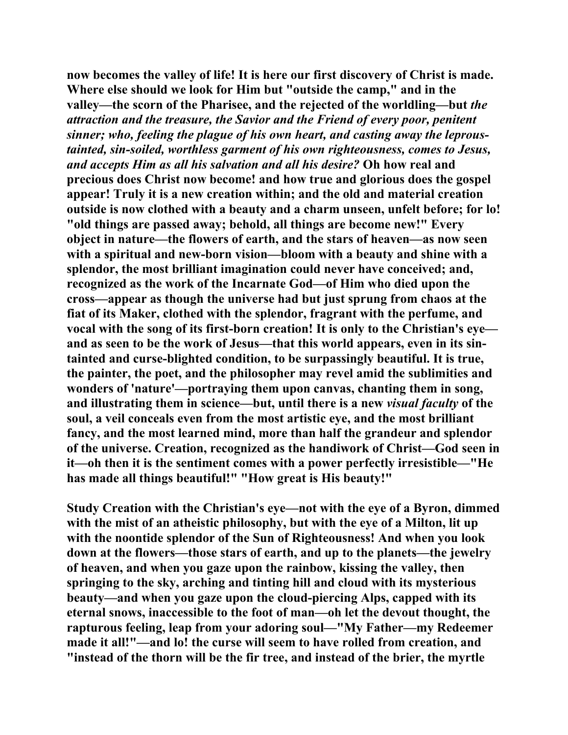**now becomes the valley of life! It is here our first discovery of Christ is made. Where else should we look for Him but "outside the camp," and in the valley—the scorn of the Pharisee, and the rejected of the worldling—but** *the attraction and the treasure, the Savior and the Friend of every poor, penitent sinner; who, feeling the plague of his own heart, and casting away the leproustainted, sin-soiled, worthless garment of his own righteousness, comes to Jesus, and accepts Him as all his salvation and all his desire?* **Oh how real and precious does Christ now become! and how true and glorious does the gospel appear! Truly it is a new creation within; and the old and material creation outside is now clothed with a beauty and a charm unseen, unfelt before; for lo! "old things are passed away; behold, all things are become new!" Every object in nature—the flowers of earth, and the stars of heaven—as now seen with a spiritual and new-born vision—bloom with a beauty and shine with a splendor, the most brilliant imagination could never have conceived; and, recognized as the work of the Incarnate God—of Him who died upon the cross—appear as though the universe had but just sprung from chaos at the fiat of its Maker, clothed with the splendor, fragrant with the perfume, and vocal with the song of its first-born creation! It is only to the Christian's eye and as seen to be the work of Jesus—that this world appears, even in its sintainted and curse-blighted condition, to be surpassingly beautiful. It is true, the painter, the poet, and the philosopher may revel amid the sublimities and wonders of 'nature'—portraying them upon canvas, chanting them in song, and illustrating them in science—but, until there is a new** *visual faculty* **of the soul, a veil conceals even from the most artistic eye, and the most brilliant fancy, and the most learned mind, more than half the grandeur and splendor of the universe. Creation, recognized as the handiwork of Christ—God seen in it—oh then it is the sentiment comes with a power perfectly irresistible—"He has made all things beautiful!" "How great is His beauty!"** 

**Study Creation with the Christian's eye—not with the eye of a Byron, dimmed**  with the mist of an atheistic philosophy, but with the eye of a Milton, lit up **with the noontide splendor of the Sun of Righteousness! And when you look down at the flowers—those stars of earth, and up to the planets—the jewelry of heaven, and when you gaze upon the rainbow, kissing the valley, then springing to the sky, arching and tinting hill and cloud with its mysterious beauty—and when you gaze upon the cloud-piercing Alps, capped with its eternal snows, inaccessible to the foot of man—oh let the devout thought, the rapturous feeling, leap from your adoring soul—"My Father—my Redeemer made it all!"—and lo! the curse will seem to have rolled from creation, and "instead of the thorn will be the fir tree, and instead of the brier, the myrtle**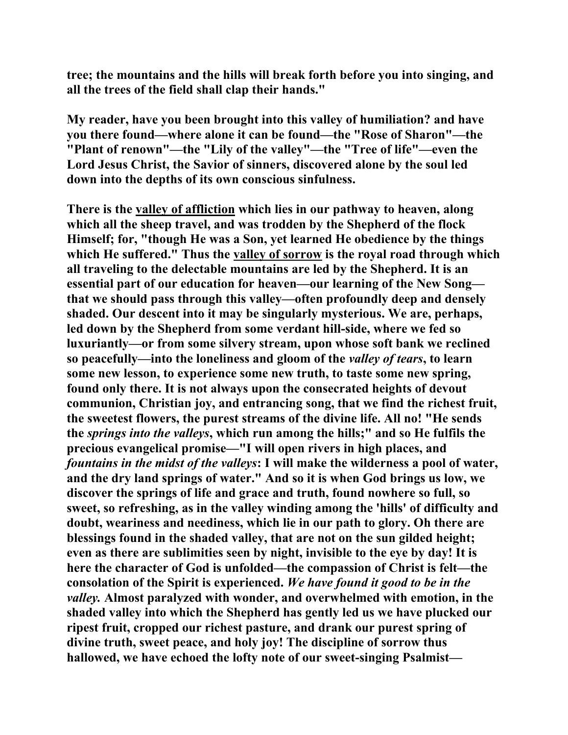**tree; the mountains and the hills will break forth before you into singing, and all the trees of the field shall clap their hands."** 

**My reader, have you been brought into this valley of humiliation? and have you there found—where alone it can be found—the "Rose of Sharon"—the "Plant of renown"—the "Lily of the valley"—the "Tree of life"—even the Lord Jesus Christ, the Savior of sinners, discovered alone by the soul led down into the depths of its own conscious sinfulness.** 

**There is the valley of affliction which lies in our pathway to heaven, along which all the sheep travel, and was trodden by the Shepherd of the flock Himself; for, "though He was a Son, yet learned He obedience by the things which He suffered." Thus the valley of sorrow is the royal road through which all traveling to the delectable mountains are led by the Shepherd. It is an essential part of our education for heaven—our learning of the New Song that we should pass through this valley—often profoundly deep and densely shaded. Our descent into it may be singularly mysterious. We are, perhaps, led down by the Shepherd from some verdant hill-side, where we fed so luxuriantly—or from some silvery stream, upon whose soft bank we reclined so peacefully—into the loneliness and gloom of the** *valley of tears***, to learn some new lesson, to experience some new truth, to taste some new spring, found only there. It is not always upon the consecrated heights of devout communion, Christian joy, and entrancing song, that we find the richest fruit, the sweetest flowers, the purest streams of the divine life. All no! "He sends the** *springs into the valleys***, which run among the hills;" and so He fulfils the precious evangelical promise—"I will open rivers in high places, and**  *fountains in the midst of the valleys***: I will make the wilderness a pool of water, and the dry land springs of water." And so it is when God brings us low, we discover the springs of life and grace and truth, found nowhere so full, so sweet, so refreshing, as in the valley winding among the 'hills' of difficulty and doubt, weariness and neediness, which lie in our path to glory. Oh there are blessings found in the shaded valley, that are not on the sun gilded height; even as there are sublimities seen by night, invisible to the eye by day! It is here the character of God is unfolded—the compassion of Christ is felt—the consolation of the Spirit is experienced.** *We have found it good to be in the valley.* **Almost paralyzed with wonder, and overwhelmed with emotion, in the shaded valley into which the Shepherd has gently led us we have plucked our ripest fruit, cropped our richest pasture, and drank our purest spring of divine truth, sweet peace, and holy joy! The discipline of sorrow thus hallowed, we have echoed the lofty note of our sweet-singing Psalmist—**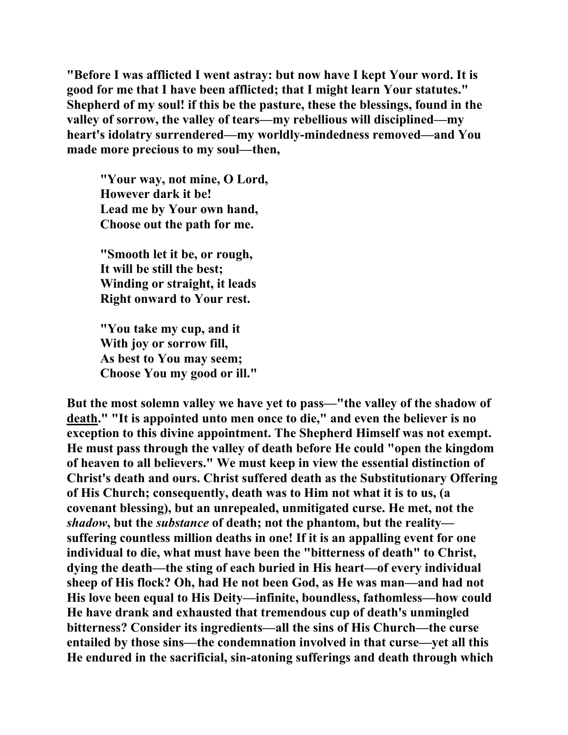**"Before I was afflicted I went astray: but now have I kept Your word. It is good for me that I have been afflicted; that I might learn Your statutes." Shepherd of my soul! if this be the pasture, these the blessings, found in the valley of sorrow, the valley of tears—my rebellious will disciplined—my heart's idolatry surrendered—my worldly-mindedness removed—and You made more precious to my soul—then,** 

 **"Your way, not mine, O Lord, However dark it be! Lead me by Your own hand, Choose out the path for me.** 

 **"Smooth let it be, or rough, It will be still the best; Winding or straight, it leads Right onward to Your rest.** 

 **"You take my cup, and it With joy or sorrow fill, As best to You may seem; Choose You my good or ill."** 

**But the most solemn valley we have yet to pass—"the valley of the shadow of death." "It is appointed unto men once to die," and even the believer is no exception to this divine appointment. The Shepherd Himself was not exempt. He must pass through the valley of death before He could "open the kingdom of heaven to all believers." We must keep in view the essential distinction of Christ's death and ours. Christ suffered death as the Substitutionary Offering of His Church; consequently, death was to Him not what it is to us, (a covenant blessing), but an unrepealed, unmitigated curse. He met, not the**  *shadow***, but the** *substance* **of death; not the phantom, but the reality suffering countless million deaths in one! If it is an appalling event for one individual to die, what must have been the "bitterness of death" to Christ, dying the death—the sting of each buried in His heart—of every individual sheep of His flock? Oh, had He not been God, as He was man—and had not His love been equal to His Deity—infinite, boundless, fathomless—how could He have drank and exhausted that tremendous cup of death's unmingled bitterness? Consider its ingredients—all the sins of His Church—the curse entailed by those sins—the condemnation involved in that curse—yet all this He endured in the sacrificial, sin-atoning sufferings and death through which**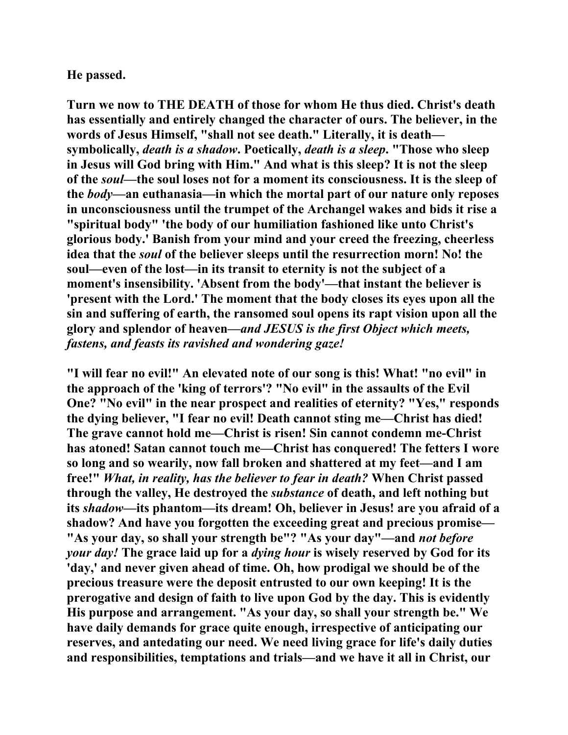### **He passed.**

**Turn we now to THE DEATH of those for whom He thus died. Christ's death has essentially and entirely changed the character of ours. The believer, in the words of Jesus Himself, "shall not see death." Literally, it is death symbolically,** *death is a shadow***. Poetically,** *death is a sleep***. "Those who sleep in Jesus will God bring with Him." And what is this sleep? It is not the sleep of the** *soul***—the soul loses not for a moment its consciousness. It is the sleep of the** *body***—an euthanasia—in which the mortal part of our nature only reposes in unconsciousness until the trumpet of the Archangel wakes and bids it rise a "spiritual body" 'the body of our humiliation fashioned like unto Christ's glorious body.' Banish from your mind and your creed the freezing, cheerless idea that the** *soul* **of the believer sleeps until the resurrection morn! No! the soul—even of the lost—in its transit to eternity is not the subject of a moment's insensibility. 'Absent from the body'—that instant the believer is 'present with the Lord.' The moment that the body closes its eyes upon all the sin and suffering of earth, the ransomed soul opens its rapt vision upon all the glory and splendor of heaven—***and JESUS is the first Object which meets, fastens, and feasts its ravished and wondering gaze!*

**"I will fear no evil!" An elevated note of our song is this! What! "no evil" in the approach of the 'king of terrors'? "No evil" in the assaults of the Evil One? "No evil" in the near prospect and realities of eternity? "Yes," responds the dying believer, "I fear no evil! Death cannot sting me—Christ has died! The grave cannot hold me—Christ is risen! Sin cannot condemn me-Christ has atoned! Satan cannot touch me—Christ has conquered! The fetters I wore so long and so wearily, now fall broken and shattered at my feet—and I am free!"** *What, in reality, has the believer to fear in death?* **When Christ passed through the valley, He destroyed the** *substance* **of death, and left nothing but its** *shadow***—its phantom—its dream! Oh, believer in Jesus! are you afraid of a shadow? And have you forgotten the exceeding great and precious promise— "As your day, so shall your strength be"? "As your day"—and** *not before your day!* **The grace laid up for a** *dying hour* **is wisely reserved by God for its 'day,' and never given ahead of time. Oh, how prodigal we should be of the precious treasure were the deposit entrusted to our own keeping! It is the prerogative and design of faith to live upon God by the day. This is evidently His purpose and arrangement. "As your day, so shall your strength be." We have daily demands for grace quite enough, irrespective of anticipating our reserves, and antedating our need. We need living grace for life's daily duties and responsibilities, temptations and trials—and we have it all in Christ, our**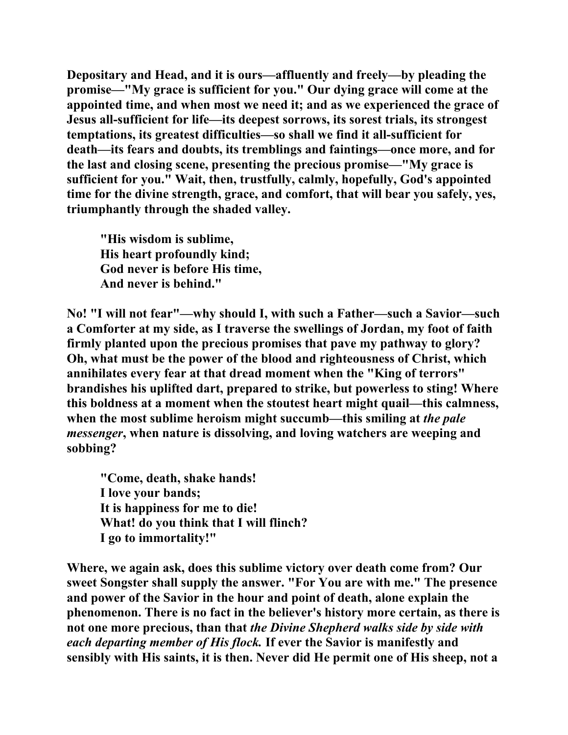**Depositary and Head, and it is ours—affluently and freely—by pleading the promise—"My grace is sufficient for you." Our dying grace will come at the appointed time, and when most we need it; and as we experienced the grace of Jesus all-sufficient for life—its deepest sorrows, its sorest trials, its strongest temptations, its greatest difficulties—so shall we find it all-sufficient for death—its fears and doubts, its tremblings and faintings—once more, and for the last and closing scene, presenting the precious promise—"My grace is sufficient for you." Wait, then, trustfully, calmly, hopefully, God's appointed time for the divine strength, grace, and comfort, that will bear you safely, yes, triumphantly through the shaded valley.** 

 **"His wisdom is sublime, His heart profoundly kind; God never is before His time, And never is behind."** 

**No! "I will not fear"—why should I, with such a Father—such a Savior—such a Comforter at my side, as I traverse the swellings of Jordan, my foot of faith firmly planted upon the precious promises that pave my pathway to glory? Oh, what must be the power of the blood and righteousness of Christ, which annihilates every fear at that dread moment when the "King of terrors" brandishes his uplifted dart, prepared to strike, but powerless to sting! Where this boldness at a moment when the stoutest heart might quail—this calmness, when the most sublime heroism might succumb—this smiling at** *the pale messenger***, when nature is dissolving, and loving watchers are weeping and sobbing?** 

 **"Come, death, shake hands! I love your bands; It is happiness for me to die! What! do you think that I will flinch? I go to immortality!"** 

**Where, we again ask, does this sublime victory over death come from? Our sweet Songster shall supply the answer. "For You are with me." The presence and power of the Savior in the hour and point of death, alone explain the phenomenon. There is no fact in the believer's history more certain, as there is not one more precious, than that** *the Divine Shepherd walks side by side with each departing member of His flock.* **If ever the Savior is manifestly and sensibly with His saints, it is then. Never did He permit one of His sheep, not a**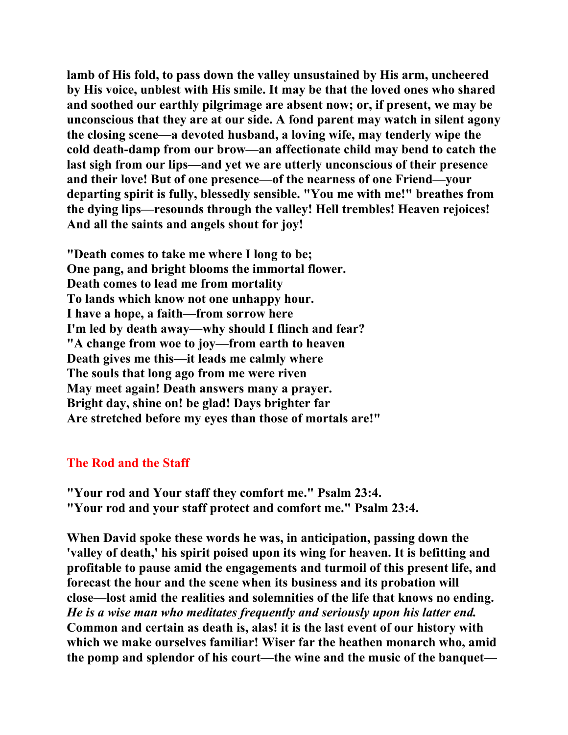**lamb of His fold, to pass down the valley unsustained by His arm, uncheered by His voice, unblest with His smile. It may be that the loved ones who shared and soothed our earthly pilgrimage are absent now; or, if present, we may be unconscious that they are at our side. A fond parent may watch in silent agony the closing scene—a devoted husband, a loving wife, may tenderly wipe the cold death-damp from our brow—an affectionate child may bend to catch the last sigh from our lips—and yet we are utterly unconscious of their presence and their love! But of one presence—of the nearness of one Friend—your departing spirit is fully, blessedly sensible. "You me with me!" breathes from the dying lips—resounds through the valley! Hell trembles! Heaven rejoices! And all the saints and angels shout for joy!** 

**"Death comes to take me where I long to be; One pang, and bright blooms the immortal flower. Death comes to lead me from mortality To lands which know not one unhappy hour. I have a hope, a faith—from sorrow here I'm led by death away—why should I flinch and fear? "A change from woe to joy—from earth to heaven Death gives me this—it leads me calmly where The souls that long ago from me were riven May meet again! Death answers many a prayer. Bright day, shine on! be glad! Days brighter far Are stretched before my eyes than those of mortals are!"** 

## **The Rod and the Staff**

**"Your rod and Your staff they comfort me." Psalm 23:4. "Your rod and your staff protect and comfort me." Psalm 23:4.** 

**When David spoke these words he was, in anticipation, passing down the 'valley of death,' his spirit poised upon its wing for heaven. It is befitting and profitable to pause amid the engagements and turmoil of this present life, and forecast the hour and the scene when its business and its probation will close—lost amid the realities and solemnities of the life that knows no ending.**  *He is a wise man who meditates frequently and seriously upon his latter end.* **Common and certain as death is, alas! it is the last event of our history with which we make ourselves familiar! Wiser far the heathen monarch who, amid the pomp and splendor of his court—the wine and the music of the banquet—**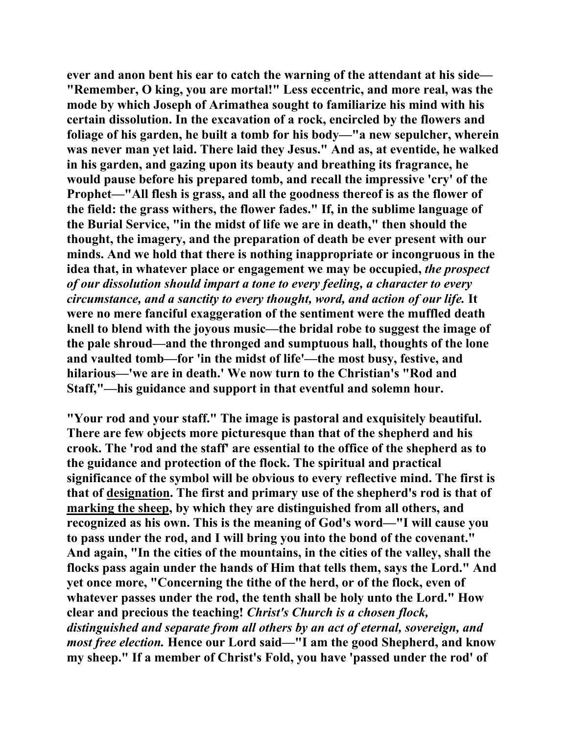**ever and anon bent his ear to catch the warning of the attendant at his side— "Remember, O king, you are mortal!" Less eccentric, and more real, was the mode by which Joseph of Arimathea sought to familiarize his mind with his certain dissolution. In the excavation of a rock, encircled by the flowers and foliage of his garden, he built a tomb for his body—"a new sepulcher, wherein was never man yet laid. There laid they Jesus." And as, at eventide, he walked in his garden, and gazing upon its beauty and breathing its fragrance, he would pause before his prepared tomb, and recall the impressive 'cry' of the Prophet—"All flesh is grass, and all the goodness thereof is as the flower of the field: the grass withers, the flower fades." If, in the sublime language of the Burial Service, "in the midst of life we are in death," then should the thought, the imagery, and the preparation of death be ever present with our minds. And we hold that there is nothing inappropriate or incongruous in the idea that, in whatever place or engagement we may be occupied,** *the prospect of our dissolution should impart a tone to every feeling, a character to every circumstance, and a sanctity to every thought, word, and action of our life.* **It were no mere fanciful exaggeration of the sentiment were the muffled death knell to blend with the joyous music—the bridal robe to suggest the image of the pale shroud—and the thronged and sumptuous hall, thoughts of the lone and vaulted tomb—for 'in the midst of life'—the most busy, festive, and hilarious—'we are in death.' We now turn to the Christian's "Rod and Staff,"—his guidance and support in that eventful and solemn hour.** 

**"Your rod and your staff." The image is pastoral and exquisitely beautiful. There are few objects more picturesque than that of the shepherd and his crook. The 'rod and the staff' are essential to the office of the shepherd as to the guidance and protection of the flock. The spiritual and practical significance of the symbol will be obvious to every reflective mind. The first is that of designation. The first and primary use of the shepherd's rod is that of marking the sheep, by which they are distinguished from all others, and recognized as his own. This is the meaning of God's word—"I will cause you to pass under the rod, and I will bring you into the bond of the covenant." And again, "In the cities of the mountains, in the cities of the valley, shall the flocks pass again under the hands of Him that tells them, says the Lord." And yet once more, "Concerning the tithe of the herd, or of the flock, even of whatever passes under the rod, the tenth shall be holy unto the Lord." How clear and precious the teaching!** *Christ's Church is a chosen flock, distinguished and separate from all others by an act of eternal, sovereign, and most free election.* **Hence our Lord said—"I am the good Shepherd, and know my sheep." If a member of Christ's Fold, you have 'passed under the rod' of**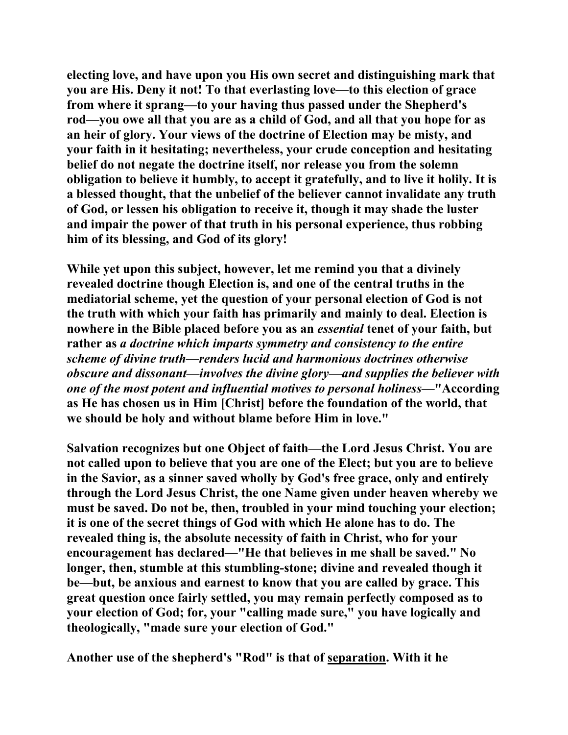**electing love, and have upon you His own secret and distinguishing mark that you are His. Deny it not! To that everlasting love—to this election of grace from where it sprang—to your having thus passed under the Shepherd's rod—you owe all that you are as a child of God, and all that you hope for as an heir of glory. Your views of the doctrine of Election may be misty, and your faith in it hesitating; nevertheless, your crude conception and hesitating belief do not negate the doctrine itself, nor release you from the solemn obligation to believe it humbly, to accept it gratefully, and to live it holily. It is a blessed thought, that the unbelief of the believer cannot invalidate any truth of God, or lessen his obligation to receive it, though it may shade the luster and impair the power of that truth in his personal experience, thus robbing him of its blessing, and God of its glory!** 

**While yet upon this subject, however, let me remind you that a divinely revealed doctrine though Election is, and one of the central truths in the mediatorial scheme, yet the question of your personal election of God is not the truth with which your faith has primarily and mainly to deal. Election is nowhere in the Bible placed before you as an** *essential* **tenet of your faith, but rather as** *a doctrine which imparts symmetry and consistency to the entire scheme of divine truth—renders lucid and harmonious doctrines otherwise obscure and dissonant—involves the divine glory—and supplies the believer with one of the most potent and influential motives to personal holiness***—"According as He has chosen us in Him [Christ] before the foundation of the world, that we should be holy and without blame before Him in love."** 

**Salvation recognizes but one Object of faith—the Lord Jesus Christ. You are not called upon to believe that you are one of the Elect; but you are to believe in the Savior, as a sinner saved wholly by God's free grace, only and entirely through the Lord Jesus Christ, the one Name given under heaven whereby we must be saved. Do not be, then, troubled in your mind touching your election; it is one of the secret things of God with which He alone has to do. The revealed thing is, the absolute necessity of faith in Christ, who for your encouragement has declared—"He that believes in me shall be saved." No longer, then, stumble at this stumbling-stone; divine and revealed though it be—but, be anxious and earnest to know that you are called by grace. This great question once fairly settled, you may remain perfectly composed as to your election of God; for, your "calling made sure," you have logically and theologically, "made sure your election of God."** 

**Another use of the shepherd's "Rod" is that of separation. With it he**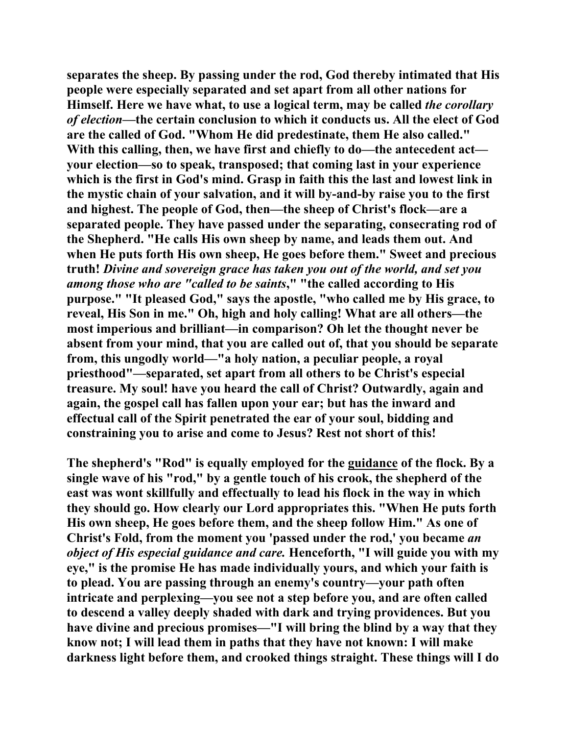**separates the sheep. By passing under the rod, God thereby intimated that His people were especially separated and set apart from all other nations for Himself. Here we have what, to use a logical term, may be called** *the corollary of election***—the certain conclusion to which it conducts us. All the elect of God are the called of God. "Whom He did predestinate, them He also called." With this calling, then, we have first and chiefly to do—the antecedent act your election—so to speak, transposed; that coming last in your experience which is the first in God's mind. Grasp in faith this the last and lowest link in the mystic chain of your salvation, and it will by-and-by raise you to the first and highest. The people of God, then—the sheep of Christ's flock—are a separated people. They have passed under the separating, consecrating rod of the Shepherd. "He calls His own sheep by name, and leads them out. And when He puts forth His own sheep, He goes before them." Sweet and precious truth!** *Divine and sovereign grace has taken you out of the world, and set you among those who are "called to be saints***," "the called according to His purpose." "It pleased God," says the apostle, "who called me by His grace, to reveal, His Son in me." Oh, high and holy calling! What are all others—the most imperious and brilliant—in comparison? Oh let the thought never be absent from your mind, that you are called out of, that you should be separate from, this ungodly world—"a holy nation, a peculiar people, a royal priesthood"—separated, set apart from all others to be Christ's especial treasure. My soul! have you heard the call of Christ? Outwardly, again and again, the gospel call has fallen upon your ear; but has the inward and effectual call of the Spirit penetrated the ear of your soul, bidding and constraining you to arise and come to Jesus? Rest not short of this!** 

**The shepherd's "Rod" is equally employed for the guidance of the flock. By a single wave of his "rod," by a gentle touch of his crook, the shepherd of the east was wont skillfully and effectually to lead his flock in the way in which they should go. How clearly our Lord appropriates this. "When He puts forth His own sheep, He goes before them, and the sheep follow Him." As one of Christ's Fold, from the moment you 'passed under the rod,' you became** *an object of His especial guidance and care.* **Henceforth, "I will guide you with my eye," is the promise He has made individually yours, and which your faith is to plead. You are passing through an enemy's country—your path often intricate and perplexing—you see not a step before you, and are often called to descend a valley deeply shaded with dark and trying providences. But you have divine and precious promises—"I will bring the blind by a way that they know not; I will lead them in paths that they have not known: I will make darkness light before them, and crooked things straight. These things will I do**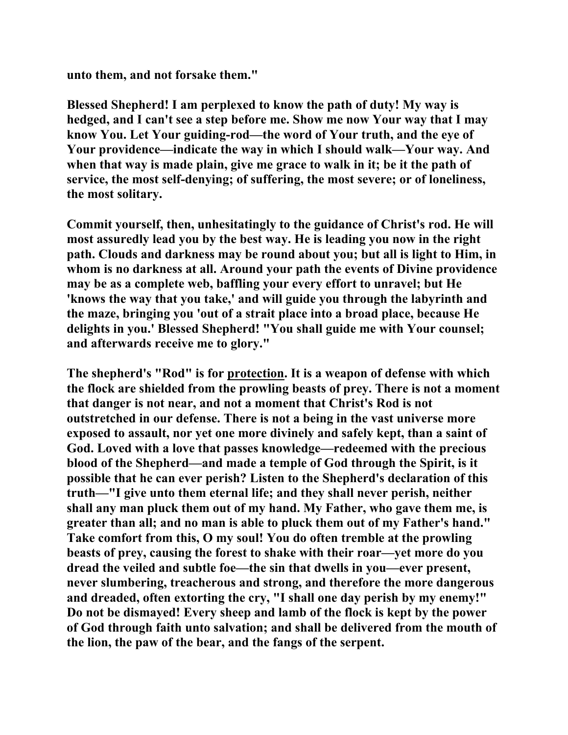**unto them, and not forsake them."** 

**Blessed Shepherd! I am perplexed to know the path of duty! My way is hedged, and I can't see a step before me. Show me now Your way that I may know You. Let Your guiding-rod—the word of Your truth, and the eye of Your providence—indicate the way in which I should walk—Your way. And when that way is made plain, give me grace to walk in it; be it the path of service, the most self-denying; of suffering, the most severe; or of loneliness, the most solitary.** 

**Commit yourself, then, unhesitatingly to the guidance of Christ's rod. He will most assuredly lead you by the best way. He is leading you now in the right path. Clouds and darkness may be round about you; but all is light to Him, in whom is no darkness at all. Around your path the events of Divine providence may be as a complete web, baffling your every effort to unravel; but He 'knows the way that you take,' and will guide you through the labyrinth and the maze, bringing you 'out of a strait place into a broad place, because He delights in you.' Blessed Shepherd! "You shall guide me with Your counsel; and afterwards receive me to glory."** 

**The shepherd's "Rod" is for protection. It is a weapon of defense with which the flock are shielded from the prowling beasts of prey. There is not a moment that danger is not near, and not a moment that Christ's Rod is not outstretched in our defense. There is not a being in the vast universe more exposed to assault, nor yet one more divinely and safely kept, than a saint of God. Loved with a love that passes knowledge—redeemed with the precious blood of the Shepherd—and made a temple of God through the Spirit, is it possible that he can ever perish? Listen to the Shepherd's declaration of this truth—"I give unto them eternal life; and they shall never perish, neither shall any man pluck them out of my hand. My Father, who gave them me, is greater than all; and no man is able to pluck them out of my Father's hand." Take comfort from this, O my soul! You do often tremble at the prowling beasts of prey, causing the forest to shake with their roar—yet more do you dread the veiled and subtle foe—the sin that dwells in you—ever present, never slumbering, treacherous and strong, and therefore the more dangerous and dreaded, often extorting the cry, "I shall one day perish by my enemy!" Do not be dismayed! Every sheep and lamb of the flock is kept by the power of God through faith unto salvation; and shall be delivered from the mouth of the lion, the paw of the bear, and the fangs of the serpent.**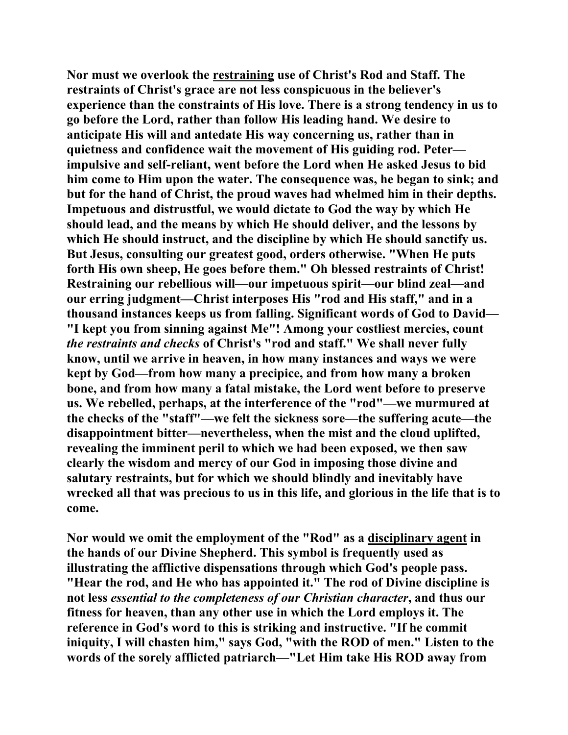**Nor must we overlook the restraining use of Christ's Rod and Staff. The restraints of Christ's grace are not less conspicuous in the believer's experience than the constraints of His love. There is a strong tendency in us to go before the Lord, rather than follow His leading hand. We desire to anticipate His will and antedate His way concerning us, rather than in quietness and confidence wait the movement of His guiding rod. Peter impulsive and self-reliant, went before the Lord when He asked Jesus to bid him come to Him upon the water. The consequence was, he began to sink; and but for the hand of Christ, the proud waves had whelmed him in their depths. Impetuous and distrustful, we would dictate to God the way by which He should lead, and the means by which He should deliver, and the lessons by which He should instruct, and the discipline by which He should sanctify us. But Jesus, consulting our greatest good, orders otherwise. "When He puts forth His own sheep, He goes before them." Oh blessed restraints of Christ! Restraining our rebellious will—our impetuous spirit—our blind zeal—and our erring judgment—Christ interposes His "rod and His staff," and in a thousand instances keeps us from falling. Significant words of God to David— "I kept you from sinning against Me"! Among your costliest mercies, count**  *the restraints and checks* **of Christ's "rod and staff." We shall never fully know, until we arrive in heaven, in how many instances and ways we were kept by God—from how many a precipice, and from how many a broken bone, and from how many a fatal mistake, the Lord went before to preserve us. We rebelled, perhaps, at the interference of the "rod"—we murmured at the checks of the "staff"—we felt the sickness sore—the suffering acute—the disappointment bitter—nevertheless, when the mist and the cloud uplifted, revealing the imminent peril to which we had been exposed, we then saw clearly the wisdom and mercy of our God in imposing those divine and salutary restraints, but for which we should blindly and inevitably have wrecked all that was precious to us in this life, and glorious in the life that is to come.** 

**Nor would we omit the employment of the "Rod" as a disciplinary agent in the hands of our Divine Shepherd. This symbol is frequently used as illustrating the afflictive dispensations through which God's people pass. "Hear the rod, and He who has appointed it." The rod of Divine discipline is not less** *essential to the completeness of our Christian character***, and thus our fitness for heaven, than any other use in which the Lord employs it. The reference in God's word to this is striking and instructive. "If he commit iniquity, I will chasten him," says God, "with the ROD of men." Listen to the words of the sorely afflicted patriarch—"Let Him take His ROD away from**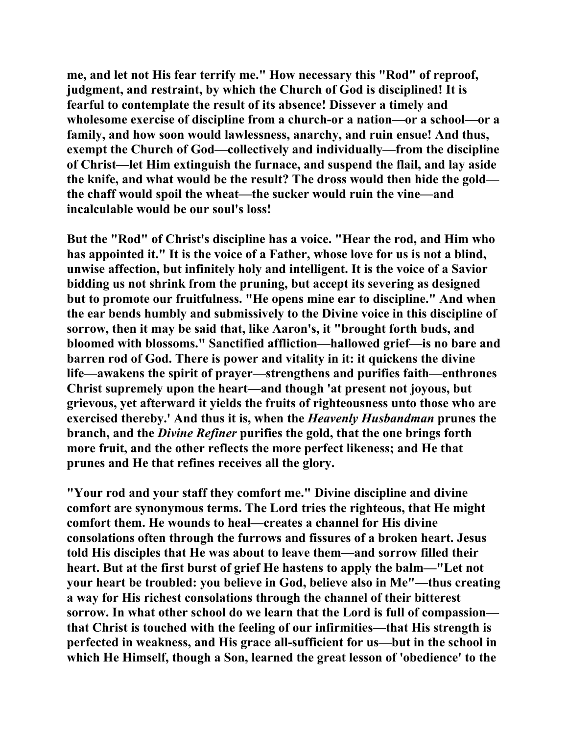**me, and let not His fear terrify me." How necessary this "Rod" of reproof, judgment, and restraint, by which the Church of God is disciplined! It is fearful to contemplate the result of its absence! Dissever a timely and wholesome exercise of discipline from a church-or a nation—or a school—or a family, and how soon would lawlessness, anarchy, and ruin ensue! And thus, exempt the Church of God—collectively and individually—from the discipline of Christ—let Him extinguish the furnace, and suspend the flail, and lay aside the knife, and what would be the result? The dross would then hide the gold the chaff would spoil the wheat—the sucker would ruin the vine—and incalculable would be our soul's loss!** 

**But the "Rod" of Christ's discipline has a voice. "Hear the rod, and Him who has appointed it." It is the voice of a Father, whose love for us is not a blind, unwise affection, but infinitely holy and intelligent. It is the voice of a Savior bidding us not shrink from the pruning, but accept its severing as designed but to promote our fruitfulness. "He opens mine ear to discipline." And when the ear bends humbly and submissively to the Divine voice in this discipline of sorrow, then it may be said that, like Aaron's, it "brought forth buds, and bloomed with blossoms." Sanctified affliction—hallowed grief—is no bare and barren rod of God. There is power and vitality in it: it quickens the divine life—awakens the spirit of prayer—strengthens and purifies faith—enthrones Christ supremely upon the heart—and though 'at present not joyous, but grievous, yet afterward it yields the fruits of righteousness unto those who are exercised thereby.' And thus it is, when the** *Heavenly Husbandman* **prunes the branch, and the** *Divine Refiner* **purifies the gold, that the one brings forth more fruit, and the other reflects the more perfect likeness; and He that prunes and He that refines receives all the glory.** 

**"Your rod and your staff they comfort me." Divine discipline and divine comfort are synonymous terms. The Lord tries the righteous, that He might comfort them. He wounds to heal—creates a channel for His divine consolations often through the furrows and fissures of a broken heart. Jesus told His disciples that He was about to leave them—and sorrow filled their heart. But at the first burst of grief He hastens to apply the balm—"Let not your heart be troubled: you believe in God, believe also in Me"—thus creating a way for His richest consolations through the channel of their bitterest sorrow. In what other school do we learn that the Lord is full of compassion that Christ is touched with the feeling of our infirmities—that His strength is perfected in weakness, and His grace all-sufficient for us—but in the school in which He Himself, though a Son, learned the great lesson of 'obedience' to the**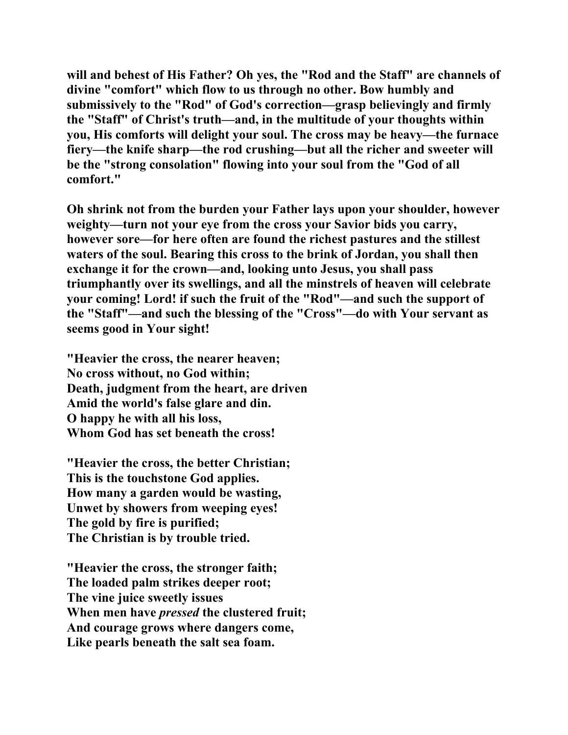**will and behest of His Father? Oh yes, the "Rod and the Staff" are channels of divine "comfort" which flow to us through no other. Bow humbly and submissively to the "Rod" of God's correction—grasp believingly and firmly the "Staff" of Christ's truth—and, in the multitude of your thoughts within you, His comforts will delight your soul. The cross may be heavy—the furnace fiery—the knife sharp—the rod crushing—but all the richer and sweeter will be the "strong consolation" flowing into your soul from the "God of all comfort."** 

**Oh shrink not from the burden your Father lays upon your shoulder, however weighty—turn not your eye from the cross your Savior bids you carry, however sore—for here often are found the richest pastures and the stillest waters of the soul. Bearing this cross to the brink of Jordan, you shall then exchange it for the crown—and, looking unto Jesus, you shall pass triumphantly over its swellings, and all the minstrels of heaven will celebrate your coming! Lord! if such the fruit of the "Rod"—and such the support of the "Staff"—and such the blessing of the "Cross"—do with Your servant as seems good in Your sight!** 

**"Heavier the cross, the nearer heaven; No cross without, no God within; Death, judgment from the heart, are driven Amid the world's false glare and din. O happy he with all his loss, Whom God has set beneath the cross!** 

**"Heavier the cross, the better Christian; This is the touchstone God applies. How many a garden would be wasting, Unwet by showers from weeping eyes! The gold by fire is purified; The Christian is by trouble tried.** 

**"Heavier the cross, the stronger faith; The loaded palm strikes deeper root; The vine juice sweetly issues When men have** *pressed* **the clustered fruit; And courage grows where dangers come, Like pearls beneath the salt sea foam.**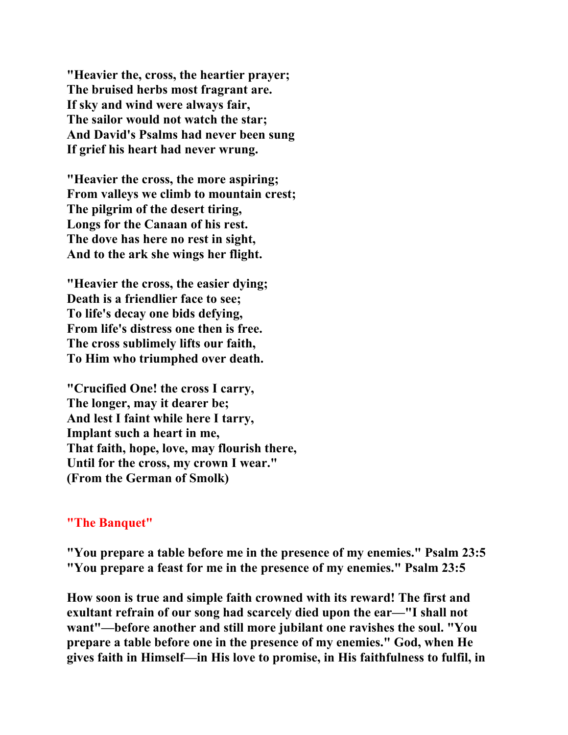**"Heavier the, cross, the heartier prayer; The bruised herbs most fragrant are. If sky and wind were always fair, The sailor would not watch the star; And David's Psalms had never been sung If grief his heart had never wrung.** 

**"Heavier the cross, the more aspiring; From valleys we climb to mountain crest; The pilgrim of the desert tiring, Longs for the Canaan of his rest. The dove has here no rest in sight, And to the ark she wings her flight.** 

**"Heavier the cross, the easier dying; Death is a friendlier face to see; To life's decay one bids defying, From life's distress one then is free. The cross sublimely lifts our faith, To Him who triumphed over death.** 

**"Crucified One! the cross I carry, The longer, may it dearer be; And lest I faint while here I tarry, Implant such a heart in me, That faith, hope, love, may flourish there, Until for the cross, my crown I wear." (From the German of Smolk)** 

## **"The Banquet"**

**"You prepare a table before me in the presence of my enemies." Psalm 23:5 "You prepare a feast for me in the presence of my enemies." Psalm 23:5** 

**How soon is true and simple faith crowned with its reward! The first and exultant refrain of our song had scarcely died upon the ear—"I shall not want"—before another and still more jubilant one ravishes the soul. "You prepare a table before one in the presence of my enemies." God, when He gives faith in Himself—in His love to promise, in His faithfulness to fulfil, in**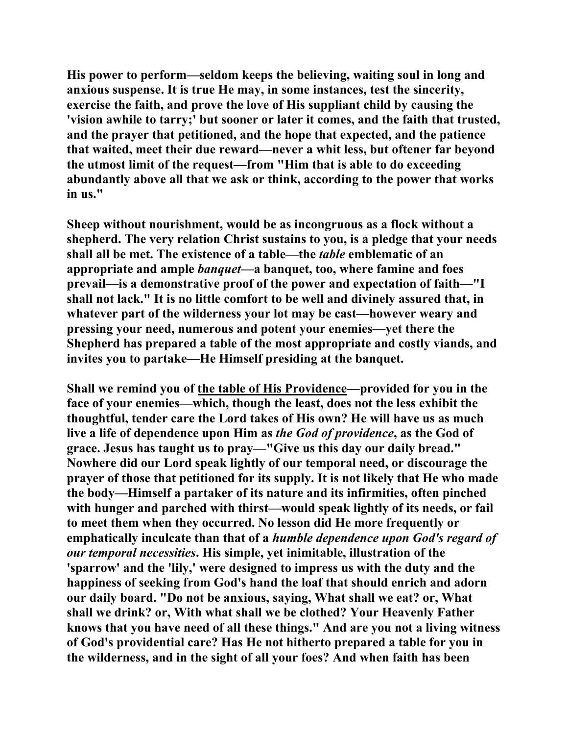**His power to perform—seldom keeps the believing, waiting soul in long and anxious suspense. It is true He may, in some instances, test the sincerity, exercise the faith, and prove the love of His suppliant child by causing the 'vision awhile to tarry;' but sooner or later it comes, and the faith that trusted, and the prayer that petitioned, and the hope that expected, and the patience that waited, meet their due reward—never a whit less, but oftener far beyond the utmost limit of the request—from "Him that is able to do exceeding abundantly above all that we ask or think, according to the power that works in us."** 

**Sheep without nourishment, would be as incongruous as a flock without a shepherd. The very relation Christ sustains to you, is a pledge that your needs shall all be met. The existence of a table—the** *table* **emblematic of an appropriate and ample** *banquet***—a banquet, too, where famine and foes prevail—is a demonstrative proof of the power and expectation of faith—"I shall not lack." It is no little comfort to be well and divinely assured that, in whatever part of the wilderness your lot may be cast—however weary and pressing your need, numerous and potent your enemies—yet there the Shepherd has prepared a table of the most appropriate and costly viands, and invites you to partake—He Himself presiding at the banquet.** 

**Shall we remind you of the table of His Providence—provided for you in the face of your enemies—which, though the least, does not the less exhibit the thoughtful, tender care the Lord takes of His own? He will have us as much live a life of dependence upon Him as** *the God of providence***, as the God of grace. Jesus has taught us to pray—"Give us this day our daily bread." Nowhere did our Lord speak lightly of our temporal need, or discourage the prayer of those that petitioned for its supply. It is not likely that He who made the body—Himself a partaker of its nature and its infirmities, often pinched with hunger and parched with thirst—would speak lightly of its needs, or fail to meet them when they occurred. No lesson did He more frequently or emphatically inculcate than that of a** *humble dependence upon God's regard of our temporal necessities***. His simple, yet inimitable, illustration of the 'sparrow' and the 'lily,' were designed to impress us with the duty and the happiness of seeking from God's hand the loaf that should enrich and adorn our daily board. "Do not be anxious, saying, What shall we eat? or, What shall we drink? or, With what shall we be clothed? Your Heavenly Father knows that you have need of all these things." And are you not a living witness of God's providential care? Has He not hitherto prepared a table for you in the wilderness, and in the sight of all your foes? And when faith has been**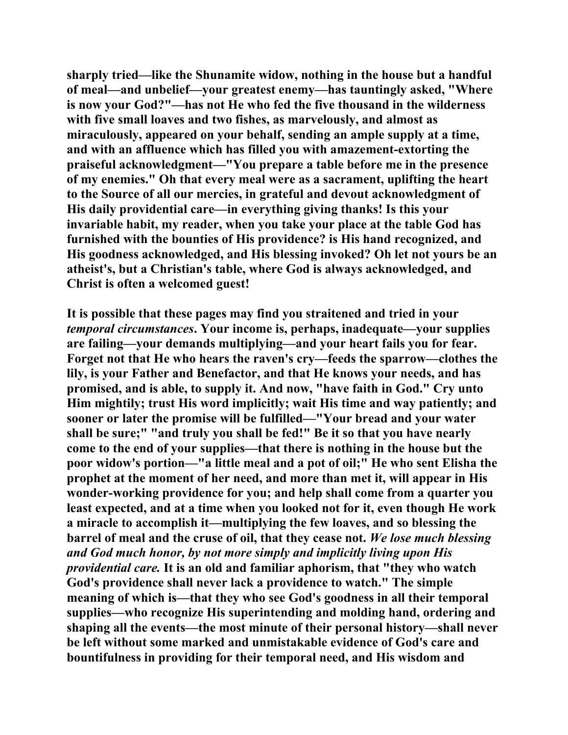**sharply tried—like the Shunamite widow, nothing in the house but a handful of meal—and unbelief—your greatest enemy—has tauntingly asked, "Where is now your God?"—has not He who fed the five thousand in the wilderness with five small loaves and two fishes, as marvelously, and almost as miraculously, appeared on your behalf, sending an ample supply at a time, and with an affluence which has filled you with amazement-extorting the praiseful acknowledgment—"You prepare a table before me in the presence of my enemies." Oh that every meal were as a sacrament, uplifting the heart to the Source of all our mercies, in grateful and devout acknowledgment of His daily providential care—in everything giving thanks! Is this your invariable habit, my reader, when you take your place at the table God has furnished with the bounties of His providence? is His hand recognized, and His goodness acknowledged, and His blessing invoked? Oh let not yours be an atheist's, but a Christian's table, where God is always acknowledged, and Christ is often a welcomed guest!** 

**It is possible that these pages may find you straitened and tried in your**  *temporal circumstances***. Your income is, perhaps, inadequate—your supplies are failing—your demands multiplying—and your heart fails you for fear. Forget not that He who hears the raven's cry—feeds the sparrow—clothes the lily, is your Father and Benefactor, and that He knows your needs, and has promised, and is able, to supply it. And now, "have faith in God." Cry unto Him mightily; trust His word implicitly; wait His time and way patiently; and sooner or later the promise will be fulfilled—"Your bread and your water shall be sure;" "and truly you shall be fed!" Be it so that you have nearly come to the end of your supplies—that there is nothing in the house but the poor widow's portion—"a little meal and a pot of oil;" He who sent Elisha the prophet at the moment of her need, and more than met it, will appear in His wonder-working providence for you; and help shall come from a quarter you least expected, and at a time when you looked not for it, even though He work a miracle to accomplish it—multiplying the few loaves, and so blessing the barrel of meal and the cruse of oil, that they cease not.** *We lose much blessing and God much honor, by not more simply and implicitly living upon His providential care.* **It is an old and familiar aphorism, that "they who watch God's providence shall never lack a providence to watch." The simple meaning of which is—that they who see God's goodness in all their temporal supplies—who recognize His superintending and molding hand, ordering and shaping all the events—the most minute of their personal history—shall never be left without some marked and unmistakable evidence of God's care and bountifulness in providing for their temporal need, and His wisdom and**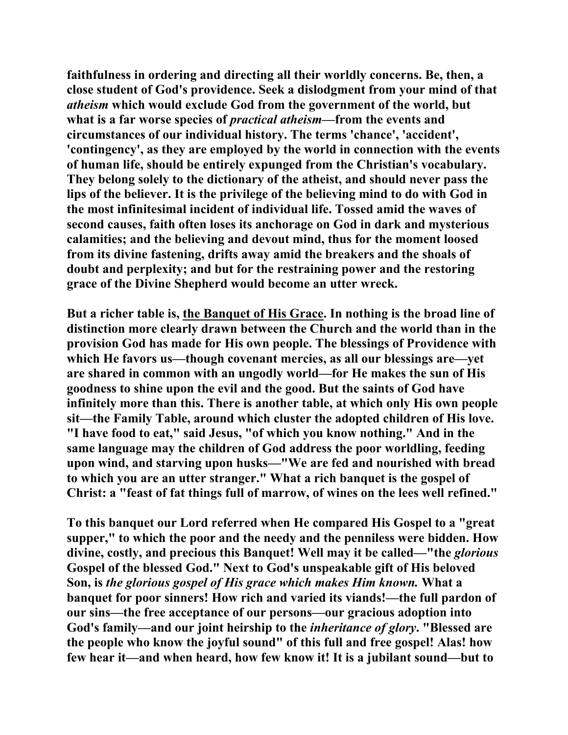**faithfulness in ordering and directing all their worldly concerns. Be, then, a close student of God's providence. Seek a dislodgment from your mind of that**  *atheism* **which would exclude God from the government of the world, but what is a far worse species of** *practical atheism***—from the events and circumstances of our individual history. The terms 'chance', 'accident', 'contingency', as they are employed by the world in connection with the events of human life, should be entirely expunged from the Christian's vocabulary. They belong solely to the dictionary of the atheist, and should never pass the lips of the believer. It is the privilege of the believing mind to do with God in the most infinitesimal incident of individual life. Tossed amid the waves of second causes, faith often loses its anchorage on God in dark and mysterious calamities; and the believing and devout mind, thus for the moment loosed from its divine fastening, drifts away amid the breakers and the shoals of doubt and perplexity; and but for the restraining power and the restoring grace of the Divine Shepherd would become an utter wreck.** 

**But a richer table is, the Banquet of His Grace. In nothing is the broad line of distinction more clearly drawn between the Church and the world than in the provision God has made for His own people. The blessings of Providence with which He favors us—though covenant mercies, as all our blessings are—yet are shared in common with an ungodly world—for He makes the sun of His goodness to shine upon the evil and the good. But the saints of God have infinitely more than this. There is another table, at which only His own people sit—the Family Table, around which cluster the adopted children of His love. "I have food to eat," said Jesus, "of which you know nothing." And in the same language may the children of God address the poor worldling, feeding upon wind, and starving upon husks—"We are fed and nourished with bread to which you are an utter stranger." What a rich banquet is the gospel of Christ: a "feast of fat things full of marrow, of wines on the lees well refined."** 

**To this banquet our Lord referred when He compared His Gospel to a "great supper," to which the poor and the needy and the penniless were bidden. How divine, costly, and precious this Banquet! Well may it be called—"the** *glorious* **Gospel of the blessed God." Next to God's unspeakable gift of His beloved Son, is** *the glorious gospel of His grace which makes Him known.* **What a banquet for poor sinners! How rich and varied its viands!—the full pardon of our sins—the free acceptance of our persons—our gracious adoption into God's family—and our joint heirship to the** *inheritance of glory***. "Blessed are the people who know the joyful sound" of this full and free gospel! Alas! how few hear it—and when heard, how few know it! It is a jubilant sound—but to**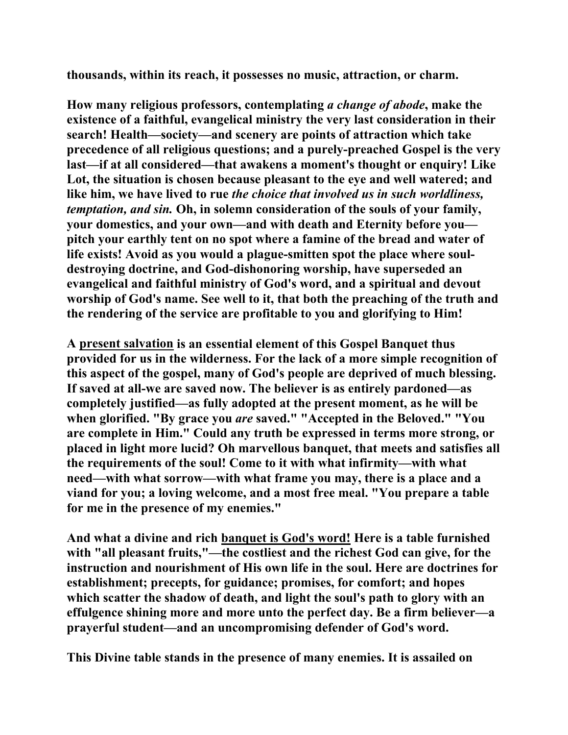**thousands, within its reach, it possesses no music, attraction, or charm.** 

**How many religious professors, contemplating** *a change of abode***, make the existence of a faithful, evangelical ministry the very last consideration in their search! Health—society—and scenery are points of attraction which take precedence of all religious questions; and a purely-preached Gospel is the very last—if at all considered—that awakens a moment's thought or enquiry! Like Lot, the situation is chosen because pleasant to the eye and well watered; and like him, we have lived to rue** *the choice that involved us in such worldliness, temptation, and sin.* **Oh, in solemn consideration of the souls of your family, your domestics, and your own—and with death and Eternity before you pitch your earthly tent on no spot where a famine of the bread and water of life exists! Avoid as you would a plague-smitten spot the place where souldestroying doctrine, and God-dishonoring worship, have superseded an evangelical and faithful ministry of God's word, and a spiritual and devout worship of God's name. See well to it, that both the preaching of the truth and the rendering of the service are profitable to you and glorifying to Him!** 

**A present salvation is an essential element of this Gospel Banquet thus provided for us in the wilderness. For the lack of a more simple recognition of this aspect of the gospel, many of God's people are deprived of much blessing. If saved at all-we are saved now. The believer is as entirely pardoned—as completely justified—as fully adopted at the present moment, as he will be when glorified. "By grace you** *are* **saved." "Accepted in the Beloved." "You are complete in Him." Could any truth be expressed in terms more strong, or placed in light more lucid? Oh marvellous banquet, that meets and satisfies all the requirements of the soul! Come to it with what infirmity—with what need—with what sorrow—with what frame you may, there is a place and a viand for you; a loving welcome, and a most free meal. "You prepare a table for me in the presence of my enemies."** 

**And what a divine and rich banquet is God's word! Here is a table furnished**  with "all pleasant fruits,"—the costliest and the richest God can give, for the **instruction and nourishment of His own life in the soul. Here are doctrines for establishment; precepts, for guidance; promises, for comfort; and hopes which scatter the shadow of death, and light the soul's path to glory with an effulgence shining more and more unto the perfect day. Be a firm believer—a prayerful student—and an uncompromising defender of God's word.** 

**This Divine table stands in the presence of many enemies. It is assailed on**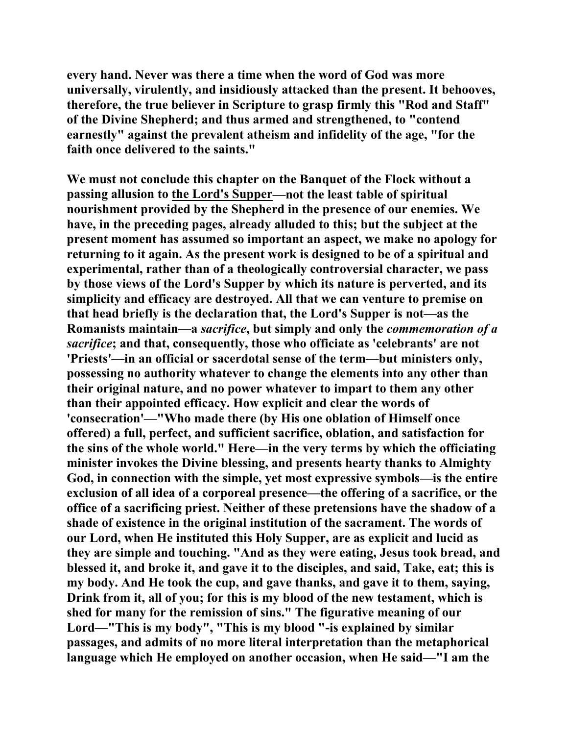**every hand. Never was there a time when the word of God was more universally, virulently, and insidiously attacked than the present. It behooves, therefore, the true believer in Scripture to grasp firmly this "Rod and Staff" of the Divine Shepherd; and thus armed and strengthened, to "contend earnestly" against the prevalent atheism and infidelity of the age, "for the faith once delivered to the saints."** 

**We must not conclude this chapter on the Banquet of the Flock without a passing allusion to the Lord's Supper—not the least table of spiritual nourishment provided by the Shepherd in the presence of our enemies. We have, in the preceding pages, already alluded to this; but the subject at the present moment has assumed so important an aspect, we make no apology for returning to it again. As the present work is designed to be of a spiritual and experimental, rather than of a theologically controversial character, we pass by those views of the Lord's Supper by which its nature is perverted, and its simplicity and efficacy are destroyed. All that we can venture to premise on that head briefly is the declaration that, the Lord's Supper is not—as the Romanists maintain—a** *sacrifice***, but simply and only the** *commemoration of a sacrifice***; and that, consequently, those who officiate as 'celebrants' are not 'Priests'—in an official or sacerdotal sense of the term—but ministers only, possessing no authority whatever to change the elements into any other than their original nature, and no power whatever to impart to them any other than their appointed efficacy. How explicit and clear the words of 'consecration'—"Who made there (by His one oblation of Himself once offered) a full, perfect, and sufficient sacrifice, oblation, and satisfaction for the sins of the whole world." Here—in the very terms by which the officiating minister invokes the Divine blessing, and presents hearty thanks to Almighty God, in connection with the simple, yet most expressive symbols—is the entire exclusion of all idea of a corporeal presence—the offering of a sacrifice, or the office of a sacrificing priest. Neither of these pretensions have the shadow of a shade of existence in the original institution of the sacrament. The words of our Lord, when He instituted this Holy Supper, are as explicit and lucid as they are simple and touching. "And as they were eating, Jesus took bread, and blessed it, and broke it, and gave it to the disciples, and said, Take, eat; this is my body. And He took the cup, and gave thanks, and gave it to them, saying, Drink from it, all of you; for this is my blood of the new testament, which is shed for many for the remission of sins." The figurative meaning of our Lord—"This is my body", "This is my blood "-is explained by similar passages, and admits of no more literal interpretation than the metaphorical language which He employed on another occasion, when He said—"I am the**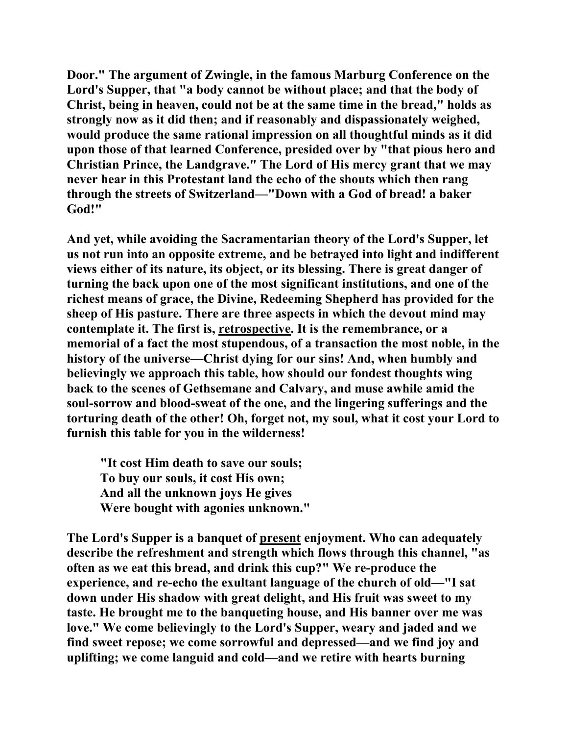**Door." The argument of Zwingle, in the famous Marburg Conference on the Lord's Supper, that "a body cannot be without place; and that the body of Christ, being in heaven, could not be at the same time in the bread," holds as strongly now as it did then; and if reasonably and dispassionately weighed, would produce the same rational impression on all thoughtful minds as it did upon those of that learned Conference, presided over by "that pious hero and Christian Prince, the Landgrave." The Lord of His mercy grant that we may never hear in this Protestant land the echo of the shouts which then rang through the streets of Switzerland—"Down with a God of bread! a baker God!"** 

**And yet, while avoiding the Sacramentarian theory of the Lord's Supper, let us not run into an opposite extreme, and be betrayed into light and indifferent views either of its nature, its object, or its blessing. There is great danger of turning the back upon one of the most significant institutions, and one of the richest means of grace, the Divine, Redeeming Shepherd has provided for the sheep of His pasture. There are three aspects in which the devout mind may contemplate it. The first is, retrospective. It is the remembrance, or a memorial of a fact the most stupendous, of a transaction the most noble, in the history of the universe—Christ dying for our sins! And, when humbly and believingly we approach this table, how should our fondest thoughts wing back to the scenes of Gethsemane and Calvary, and muse awhile amid the soul-sorrow and blood-sweat of the one, and the lingering sufferings and the torturing death of the other! Oh, forget not, my soul, what it cost your Lord to furnish this table for you in the wilderness!** 

 **"It cost Him death to save our souls; To buy our souls, it cost His own; And all the unknown joys He gives Were bought with agonies unknown."** 

**The Lord's Supper is a banquet of present enjoyment. Who can adequately describe the refreshment and strength which flows through this channel, "as often as we eat this bread, and drink this cup?" We re-produce the experience, and re-echo the exultant language of the church of old—"I sat down under His shadow with great delight, and His fruit was sweet to my taste. He brought me to the banqueting house, and His banner over me was love." We come believingly to the Lord's Supper, weary and jaded and we find sweet repose; we come sorrowful and depressed—and we find joy and uplifting; we come languid and cold—and we retire with hearts burning**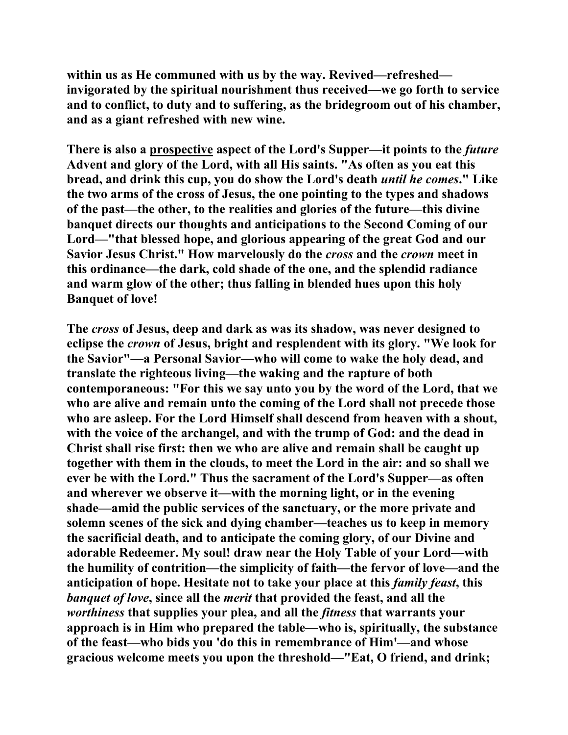**within us as He communed with us by the way. Revived—refreshed invigorated by the spiritual nourishment thus received—we go forth to service and to conflict, to duty and to suffering, as the bridegroom out of his chamber, and as a giant refreshed with new wine.** 

There is also a **prospective** aspect of the Lord's Supper—it points to the *future* **Advent and glory of the Lord, with all His saints. "As often as you eat this bread, and drink this cup, you do show the Lord's death** *until he comes***." Like the two arms of the cross of Jesus, the one pointing to the types and shadows of the past—the other, to the realities and glories of the future—this divine banquet directs our thoughts and anticipations to the Second Coming of our Lord—"that blessed hope, and glorious appearing of the great God and our Savior Jesus Christ." How marvelously do the** *cross* **and the** *crown* **meet in this ordinance—the dark, cold shade of the one, and the splendid radiance and warm glow of the other; thus falling in blended hues upon this holy Banquet of love!** 

**The** *cross* **of Jesus, deep and dark as was its shadow, was never designed to eclipse the** *crown* **of Jesus, bright and resplendent with its glory. "We look for the Savior"—a Personal Savior—who will come to wake the holy dead, and translate the righteous living—the waking and the rapture of both contemporaneous: "For this we say unto you by the word of the Lord, that we who are alive and remain unto the coming of the Lord shall not precede those who are asleep. For the Lord Himself shall descend from heaven with a shout, with the voice of the archangel, and with the trump of God: and the dead in Christ shall rise first: then we who are alive and remain shall be caught up together with them in the clouds, to meet the Lord in the air: and so shall we ever be with the Lord." Thus the sacrament of the Lord's Supper—as often and wherever we observe it—with the morning light, or in the evening shade—amid the public services of the sanctuary, or the more private and solemn scenes of the sick and dying chamber—teaches us to keep in memory the sacrificial death, and to anticipate the coming glory, of our Divine and adorable Redeemer. My soul! draw near the Holy Table of your Lord—with the humility of contrition—the simplicity of faith—the fervor of love—and the anticipation of hope. Hesitate not to take your place at this** *family feast***, this**  *banquet of love***, since all the** *merit* **that provided the feast, and all the**  *worthiness* **that supplies your plea, and all the** *fitness* **that warrants your approach is in Him who prepared the table—who is, spiritually, the substance of the feast—who bids you 'do this in remembrance of Him'—and whose gracious welcome meets you upon the threshold—"Eat, O friend, and drink;**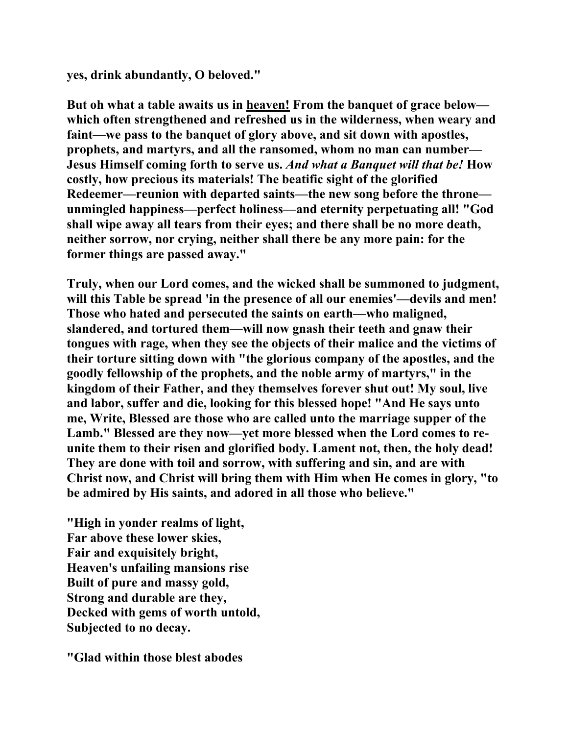**yes, drink abundantly, O beloved."** 

**But oh what a table awaits us in heaven! From the banquet of grace below which often strengthened and refreshed us in the wilderness, when weary and faint—we pass to the banquet of glory above, and sit down with apostles, prophets, and martyrs, and all the ransomed, whom no man can number— Jesus Himself coming forth to serve us.** *And what a Banquet will that be!* **How costly, how precious its materials! The beatific sight of the glorified Redeemer—reunion with departed saints—the new song before the throne unmingled happiness—perfect holiness—and eternity perpetuating all! "God shall wipe away all tears from their eyes; and there shall be no more death, neither sorrow, nor crying, neither shall there be any more pain: for the former things are passed away."** 

**Truly, when our Lord comes, and the wicked shall be summoned to judgment, will this Table be spread 'in the presence of all our enemies'—devils and men! Those who hated and persecuted the saints on earth—who maligned, slandered, and tortured them—will now gnash their teeth and gnaw their tongues with rage, when they see the objects of their malice and the victims of their torture sitting down with "the glorious company of the apostles, and the goodly fellowship of the prophets, and the noble army of martyrs," in the kingdom of their Father, and they themselves forever shut out! My soul, live and labor, suffer and die, looking for this blessed hope! "And He says unto me, Write, Blessed are those who are called unto the marriage supper of the Lamb." Blessed are they now—yet more blessed when the Lord comes to reunite them to their risen and glorified body. Lament not, then, the holy dead! They are done with toil and sorrow, with suffering and sin, and are with Christ now, and Christ will bring them with Him when He comes in glory, "to be admired by His saints, and adored in all those who believe."** 

**"High in yonder realms of light, Far above these lower skies, Fair and exquisitely bright, Heaven's unfailing mansions rise Built of pure and massy gold, Strong and durable are they, Decked with gems of worth untold, Subjected to no decay.** 

**"Glad within those blest abodes**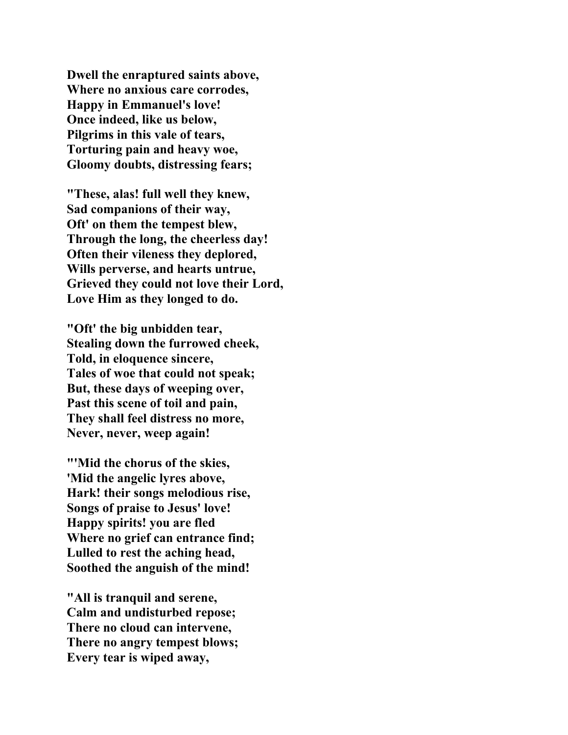**Dwell the enraptured saints above, Where no anxious care corrodes, Happy in Emmanuel's love! Once indeed, like us below, Pilgrims in this vale of tears, Torturing pain and heavy woe, Gloomy doubts, distressing fears;** 

**"These, alas! full well they knew, Sad companions of their way, Oft' on them the tempest blew, Through the long, the cheerless day! Often their vileness they deplored, Wills perverse, and hearts untrue, Grieved they could not love their Lord, Love Him as they longed to do.** 

**"Oft' the big unbidden tear, Stealing down the furrowed cheek, Told, in eloquence sincere, Tales of woe that could not speak; But, these days of weeping over, Past this scene of toil and pain, They shall feel distress no more, Never, never, weep again!** 

**"'Mid the chorus of the skies, 'Mid the angelic lyres above, Hark! their songs melodious rise, Songs of praise to Jesus' love! Happy spirits! you are fled Where no grief can entrance find; Lulled to rest the aching head, Soothed the anguish of the mind!** 

**"All is tranquil and serene, Calm and undisturbed repose; There no cloud can intervene, There no angry tempest blows; Every tear is wiped away,**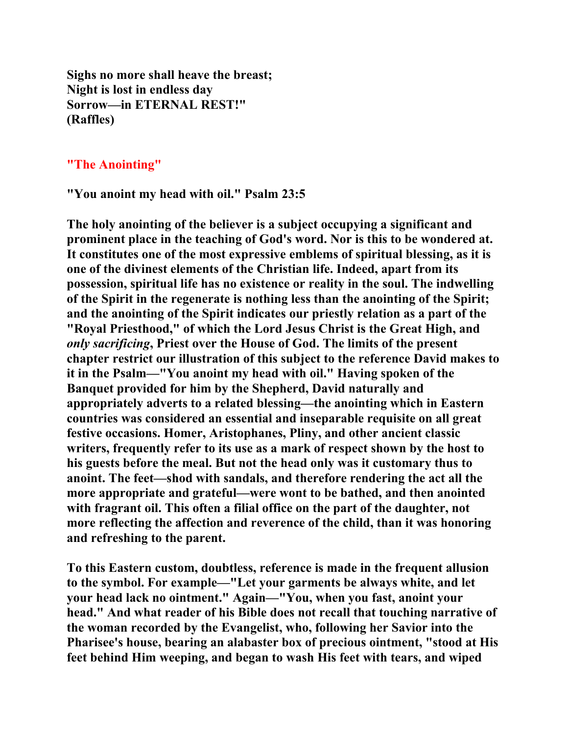**Sighs no more shall heave the breast; Night is lost in endless day Sorrow—in ETERNAL REST!" (Raffles)** 

### **"The Anointing"**

**"You anoint my head with oil." Psalm 23:5** 

**The holy anointing of the believer is a subject occupying a significant and prominent place in the teaching of God's word. Nor is this to be wondered at. It constitutes one of the most expressive emblems of spiritual blessing, as it is one of the divinest elements of the Christian life. Indeed, apart from its possession, spiritual life has no existence or reality in the soul. The indwelling of the Spirit in the regenerate is nothing less than the anointing of the Spirit; and the anointing of the Spirit indicates our priestly relation as a part of the "Royal Priesthood," of which the Lord Jesus Christ is the Great High, and**  *only sacrificing***, Priest over the House of God. The limits of the present chapter restrict our illustration of this subject to the reference David makes to it in the Psalm—"You anoint my head with oil." Having spoken of the Banquet provided for him by the Shepherd, David naturally and appropriately adverts to a related blessing—the anointing which in Eastern countries was considered an essential and inseparable requisite on all great festive occasions. Homer, Aristophanes, Pliny, and other ancient classic writers, frequently refer to its use as a mark of respect shown by the host to his guests before the meal. But not the head only was it customary thus to anoint. The feet—shod with sandals, and therefore rendering the act all the more appropriate and grateful—were wont to be bathed, and then anointed with fragrant oil. This often a filial office on the part of the daughter, not more reflecting the affection and reverence of the child, than it was honoring and refreshing to the parent.** 

**To this Eastern custom, doubtless, reference is made in the frequent allusion to the symbol. For example—"Let your garments be always white, and let your head lack no ointment." Again—"You, when you fast, anoint your head." And what reader of his Bible does not recall that touching narrative of the woman recorded by the Evangelist, who, following her Savior into the Pharisee's house, bearing an alabaster box of precious ointment, "stood at His feet behind Him weeping, and began to wash His feet with tears, and wiped**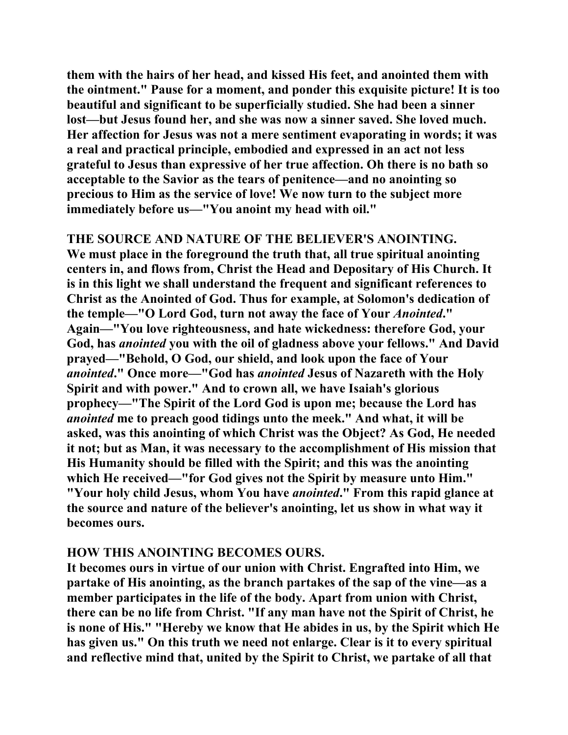**them with the hairs of her head, and kissed His feet, and anointed them with the ointment." Pause for a moment, and ponder this exquisite picture! It is too beautiful and significant to be superficially studied. She had been a sinner lost—but Jesus found her, and she was now a sinner saved. She loved much. Her affection for Jesus was not a mere sentiment evaporating in words; it was a real and practical principle, embodied and expressed in an act not less grateful to Jesus than expressive of her true affection. Oh there is no bath so acceptable to the Savior as the tears of penitence—and no anointing so precious to Him as the service of love! We now turn to the subject more immediately before us—"You anoint my head with oil."** 

## **THE SOURCE AND NATURE OF THE BELIEVER'S ANOINTING.**

**We must place in the foreground the truth that, all true spiritual anointing centers in, and flows from, Christ the Head and Depositary of His Church. It is in this light we shall understand the frequent and significant references to Christ as the Anointed of God. Thus for example, at Solomon's dedication of the temple—"O Lord God, turn not away the face of Your** *Anointed***." Again—"You love righteousness, and hate wickedness: therefore God, your God, has** *anointed* **you with the oil of gladness above your fellows." And David prayed—"Behold, O God, our shield, and look upon the face of Your**  *anointed***." Once more—"God has** *anointed* **Jesus of Nazareth with the Holy Spirit and with power." And to crown all, we have Isaiah's glorious prophecy—"The Spirit of the Lord God is upon me; because the Lord has**  *anointed* **me to preach good tidings unto the meek." And what, it will be asked, was this anointing of which Christ was the Object? As God, He needed it not; but as Man, it was necessary to the accomplishment of His mission that His Humanity should be filled with the Spirit; and this was the anointing which He received—"for God gives not the Spirit by measure unto Him." "Your holy child Jesus, whom You have** *anointed***." From this rapid glance at the source and nature of the believer's anointing, let us show in what way it becomes ours.** 

#### **HOW THIS ANOINTING BECOMES OURS.**

**It becomes ours in virtue of our union with Christ. Engrafted into Him, we partake of His anointing, as the branch partakes of the sap of the vine—as a member participates in the life of the body. Apart from union with Christ, there can be no life from Christ. "If any man have not the Spirit of Christ, he is none of His." "Hereby we know that He abides in us, by the Spirit which He has given us." On this truth we need not enlarge. Clear is it to every spiritual and reflective mind that, united by the Spirit to Christ, we partake of all that**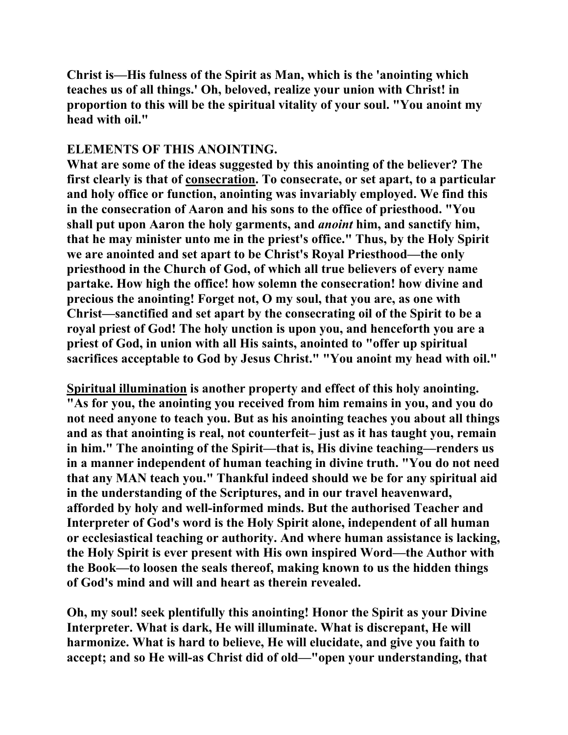**Christ is—His fulness of the Spirit as Man, which is the 'anointing which teaches us of all things.' Oh, beloved, realize your union with Christ! in proportion to this will be the spiritual vitality of your soul. "You anoint my head with oil."** 

# **ELEMENTS OF THIS ANOINTING.**

**What are some of the ideas suggested by this anointing of the believer? The first clearly is that of consecration. To consecrate, or set apart, to a particular and holy office or function, anointing was invariably employed. We find this in the consecration of Aaron and his sons to the office of priesthood. "You shall put upon Aaron the holy garments, and** *anoint* **him, and sanctify him, that he may minister unto me in the priest's office." Thus, by the Holy Spirit we are anointed and set apart to be Christ's Royal Priesthood—the only priesthood in the Church of God, of which all true believers of every name partake. How high the office! how solemn the consecration! how divine and precious the anointing! Forget not, O my soul, that you are, as one with Christ—sanctified and set apart by the consecrating oil of the Spirit to be a royal priest of God! The holy unction is upon you, and henceforth you are a priest of God, in union with all His saints, anointed to "offer up spiritual sacrifices acceptable to God by Jesus Christ." "You anoint my head with oil."** 

**Spiritual illumination is another property and effect of this holy anointing. "As for you, the anointing you received from him remains in you, and you do not need anyone to teach you. But as his anointing teaches you about all things and as that anointing is real, not counterfeit– just as it has taught you, remain in him." The anointing of the Spirit—that is, His divine teaching—renders us in a manner independent of human teaching in divine truth. "You do not need that any MAN teach you." Thankful indeed should we be for any spiritual aid in the understanding of the Scriptures, and in our travel heavenward, afforded by holy and well-informed minds. But the authorised Teacher and Interpreter of God's word is the Holy Spirit alone, independent of all human or ecclesiastical teaching or authority. And where human assistance is lacking, the Holy Spirit is ever present with His own inspired Word—the Author with the Book—to loosen the seals thereof, making known to us the hidden things of God's mind and will and heart as therein revealed.** 

**Oh, my soul! seek plentifully this anointing! Honor the Spirit as your Divine Interpreter. What is dark, He will illuminate. What is discrepant, He will harmonize. What is hard to believe, He will elucidate, and give you faith to accept; and so He will-as Christ did of old—"open your understanding, that**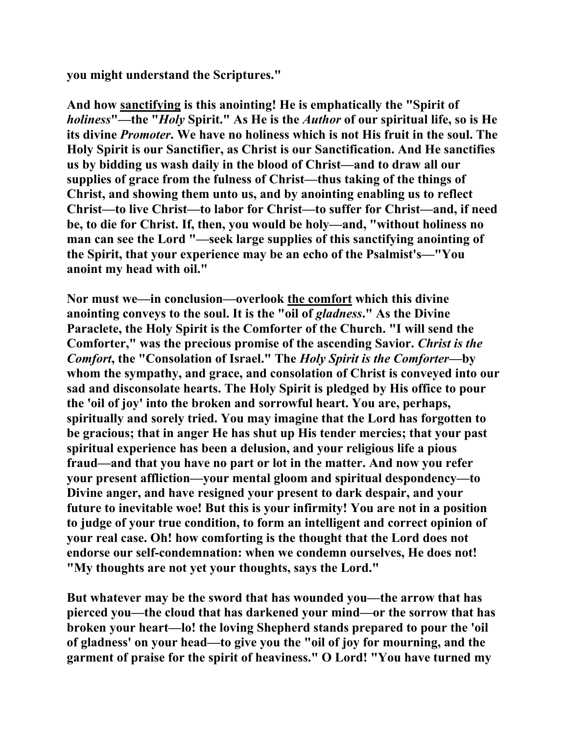**you might understand the Scriptures."** 

**And how sanctifying is this anointing! He is emphatically the "Spirit of**  *holiness***"—the "***Holy* **Spirit." As He is the** *Author* **of our spiritual life, so is He its divine** *Promoter***. We have no holiness which is not His fruit in the soul. The Holy Spirit is our Sanctifier, as Christ is our Sanctification. And He sanctifies us by bidding us wash daily in the blood of Christ—and to draw all our supplies of grace from the fulness of Christ—thus taking of the things of Christ, and showing them unto us, and by anointing enabling us to reflect Christ—to live Christ—to labor for Christ—to suffer for Christ—and, if need be, to die for Christ. If, then, you would be holy—and, "without holiness no man can see the Lord "—seek large supplies of this sanctifying anointing of the Spirit, that your experience may be an echo of the Psalmist's—"You anoint my head with oil."** 

**Nor must we—in conclusion—overlook the comfort which this divine anointing conveys to the soul. It is the "oil of** *gladness***." As the Divine Paraclete, the Holy Spirit is the Comforter of the Church. "I will send the Comforter," was the precious promise of the ascending Savior.** *Christ is the Comfort***, the "Consolation of Israel." The** *Holy Spirit is the Comforter***—by whom the sympathy, and grace, and consolation of Christ is conveyed into our sad and disconsolate hearts. The Holy Spirit is pledged by His office to pour the 'oil of joy' into the broken and sorrowful heart. You are, perhaps, spiritually and sorely tried. You may imagine that the Lord has forgotten to be gracious; that in anger He has shut up His tender mercies; that your past spiritual experience has been a delusion, and your religious life a pious fraud—and that you have no part or lot in the matter. And now you refer your present affliction—your mental gloom and spiritual despondency—to Divine anger, and have resigned your present to dark despair, and your future to inevitable woe! But this is your infirmity! You are not in a position to judge of your true condition, to form an intelligent and correct opinion of your real case. Oh! how comforting is the thought that the Lord does not endorse our self-condemnation: when we condemn ourselves, He does not! "My thoughts are not yet your thoughts, says the Lord."** 

**But whatever may be the sword that has wounded you—the arrow that has pierced you—the cloud that has darkened your mind—or the sorrow that has broken your heart—lo! the loving Shepherd stands prepared to pour the 'oil of gladness' on your head—to give you the "oil of joy for mourning, and the garment of praise for the spirit of heaviness." O Lord! "You have turned my**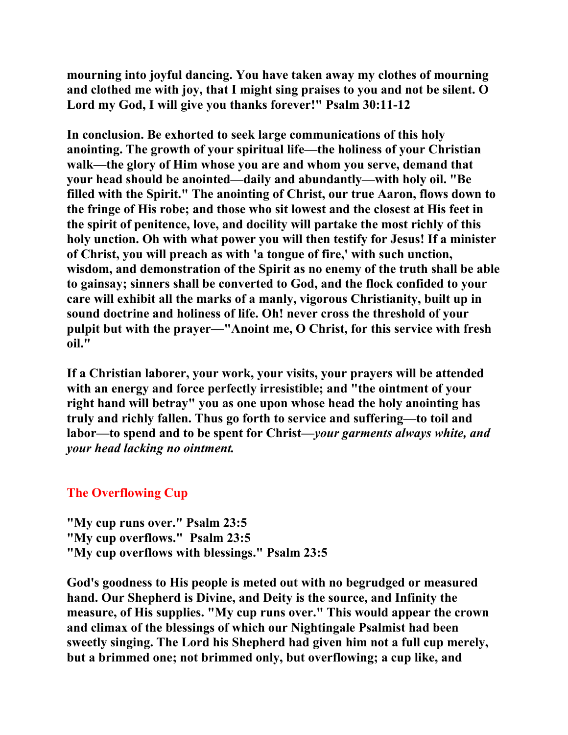**mourning into joyful dancing. You have taken away my clothes of mourning and clothed me with joy, that I might sing praises to you and not be silent. O Lord my God, I will give you thanks forever!" Psalm 30:11-12** 

**In conclusion. Be exhorted to seek large communications of this holy anointing. The growth of your spiritual life—the holiness of your Christian walk—the glory of Him whose you are and whom you serve, demand that your head should be anointed—daily and abundantly—with holy oil. "Be filled with the Spirit." The anointing of Christ, our true Aaron, flows down to the fringe of His robe; and those who sit lowest and the closest at His feet in the spirit of penitence, love, and docility will partake the most richly of this holy unction. Oh with what power you will then testify for Jesus! If a minister of Christ, you will preach as with 'a tongue of fire,' with such unction, wisdom, and demonstration of the Spirit as no enemy of the truth shall be able to gainsay; sinners shall be converted to God, and the flock confided to your care will exhibit all the marks of a manly, vigorous Christianity, built up in sound doctrine and holiness of life. Oh! never cross the threshold of your pulpit but with the prayer—"Anoint me, O Christ, for this service with fresh oil."** 

**If a Christian laborer, your work, your visits, your prayers will be attended with an energy and force perfectly irresistible; and "the ointment of your right hand will betray" you as one upon whose head the holy anointing has truly and richly fallen. Thus go forth to service and suffering—to toil and labor—to spend and to be spent for Christ—***your garments always white, and your head lacking no ointment.*

## **The Overflowing Cup**

**"My cup runs over." Psalm 23:5 "My cup overflows." Psalm 23:5 "My cup overflows with blessings." Psalm 23:5** 

**God's goodness to His people is meted out with no begrudged or measured hand. Our Shepherd is Divine, and Deity is the source, and Infinity the measure, of His supplies. "My cup runs over." This would appear the crown and climax of the blessings of which our Nightingale Psalmist had been sweetly singing. The Lord his Shepherd had given him not a full cup merely, but a brimmed one; not brimmed only, but overflowing; a cup like, and**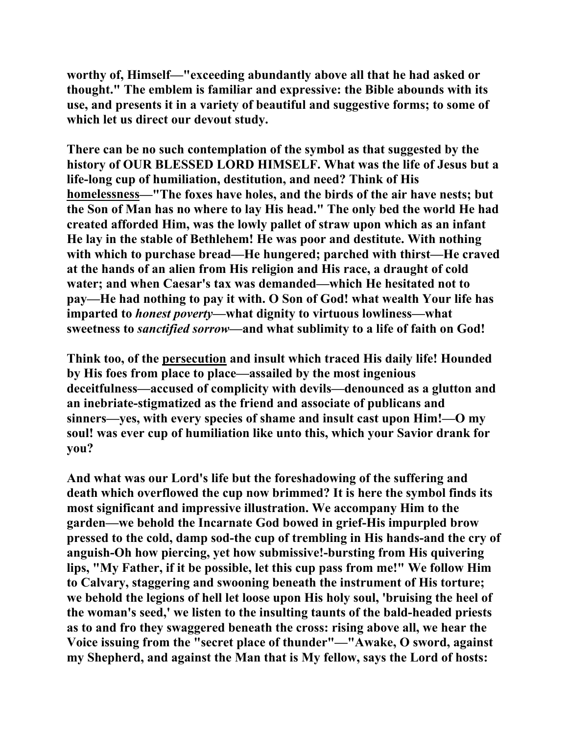**worthy of, Himself—"exceeding abundantly above all that he had asked or thought." The emblem is familiar and expressive: the Bible abounds with its use, and presents it in a variety of beautiful and suggestive forms; to some of which let us direct our devout study.** 

**There can be no such contemplation of the symbol as that suggested by the history of OUR BLESSED LORD HIMSELF. What was the life of Jesus but a life-long cup of humiliation, destitution, and need? Think of His homelessness—"The foxes have holes, and the birds of the air have nests; but the Son of Man has no where to lay His head." The only bed the world He had created afforded Him, was the lowly pallet of straw upon which as an infant He lay in the stable of Bethlehem! He was poor and destitute. With nothing with which to purchase bread—He hungered; parched with thirst—He craved at the hands of an alien from His religion and His race, a draught of cold water; and when Caesar's tax was demanded—which He hesitated not to pay—He had nothing to pay it with. O Son of God! what wealth Your life has imparted to** *honest poverty***—what dignity to virtuous lowliness—what sweetness to** *sanctified sorrow***—and what sublimity to a life of faith on God!** 

**Think too, of the persecution and insult which traced His daily life! Hounded by His foes from place to place—assailed by the most ingenious deceitfulness—accused of complicity with devils—denounced as a glutton and an inebriate-stigmatized as the friend and associate of publicans and sinners—yes, with every species of shame and insult cast upon Him!—O my soul! was ever cup of humiliation like unto this, which your Savior drank for you?** 

**And what was our Lord's life but the foreshadowing of the suffering and death which overflowed the cup now brimmed? It is here the symbol finds its most significant and impressive illustration. We accompany Him to the garden—we behold the Incarnate God bowed in grief-His impurpled brow pressed to the cold, damp sod-the cup of trembling in His hands-and the cry of anguish-Oh how piercing, yet how submissive!-bursting from His quivering lips, "My Father, if it be possible, let this cup pass from me!" We follow Him to Calvary, staggering and swooning beneath the instrument of His torture; we behold the legions of hell let loose upon His holy soul, 'bruising the heel of the woman's seed,' we listen to the insulting taunts of the bald-headed priests as to and fro they swaggered beneath the cross: rising above all, we hear the Voice issuing from the "secret place of thunder"—"Awake, O sword, against my Shepherd, and against the Man that is My fellow, says the Lord of hosts:**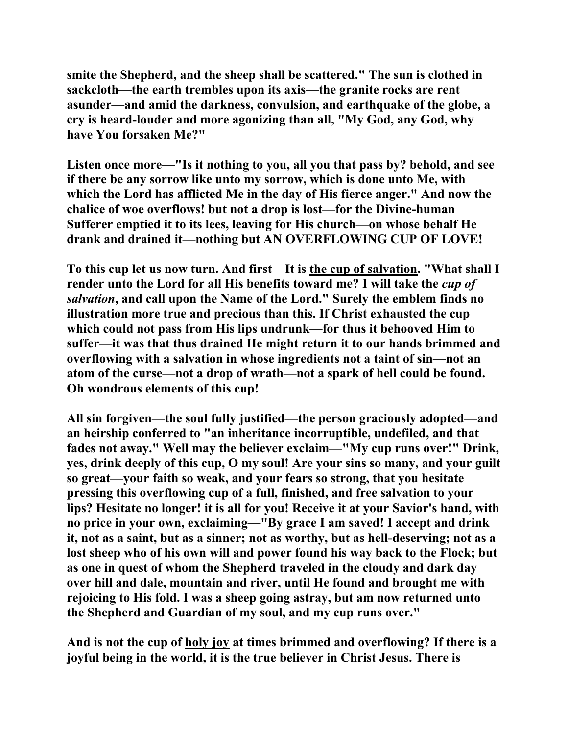**smite the Shepherd, and the sheep shall be scattered." The sun is clothed in sackcloth—the earth trembles upon its axis—the granite rocks are rent asunder—and amid the darkness, convulsion, and earthquake of the globe, a cry is heard-louder and more agonizing than all, "My God, any God, why have You forsaken Me?"** 

**Listen once more—"Is it nothing to you, all you that pass by? behold, and see if there be any sorrow like unto my sorrow, which is done unto Me, with which the Lord has afflicted Me in the day of His fierce anger." And now the chalice of woe overflows! but not a drop is lost—for the Divine-human Sufferer emptied it to its lees, leaving for His church—on whose behalf He drank and drained it—nothing but AN OVERFLOWING CUP OF LOVE!** 

**To this cup let us now turn. And first—It is the cup of salvation. "What shall I render unto the Lord for all His benefits toward me? I will take the** *cup of salvation***, and call upon the Name of the Lord." Surely the emblem finds no illustration more true and precious than this. If Christ exhausted the cup which could not pass from His lips undrunk—for thus it behooved Him to suffer—it was that thus drained He might return it to our hands brimmed and overflowing with a salvation in whose ingredients not a taint of sin—not an atom of the curse—not a drop of wrath—not a spark of hell could be found. Oh wondrous elements of this cup!** 

**All sin forgiven—the soul fully justified—the person graciously adopted—and an heirship conferred to "an inheritance incorruptible, undefiled, and that fades not away." Well may the believer exclaim—"My cup runs over!" Drink, yes, drink deeply of this cup, O my soul! Are your sins so many, and your guilt so great—your faith so weak, and your fears so strong, that you hesitate pressing this overflowing cup of a full, finished, and free salvation to your lips? Hesitate no longer! it is all for you! Receive it at your Savior's hand, with no price in your own, exclaiming—"By grace I am saved! I accept and drink it, not as a saint, but as a sinner; not as worthy, but as hell-deserving; not as a lost sheep who of his own will and power found his way back to the Flock; but as one in quest of whom the Shepherd traveled in the cloudy and dark day over hill and dale, mountain and river, until He found and brought me with rejoicing to His fold. I was a sheep going astray, but am now returned unto the Shepherd and Guardian of my soul, and my cup runs over."** 

**And is not the cup of holy joy at times brimmed and overflowing? If there is a joyful being in the world, it is the true believer in Christ Jesus. There is**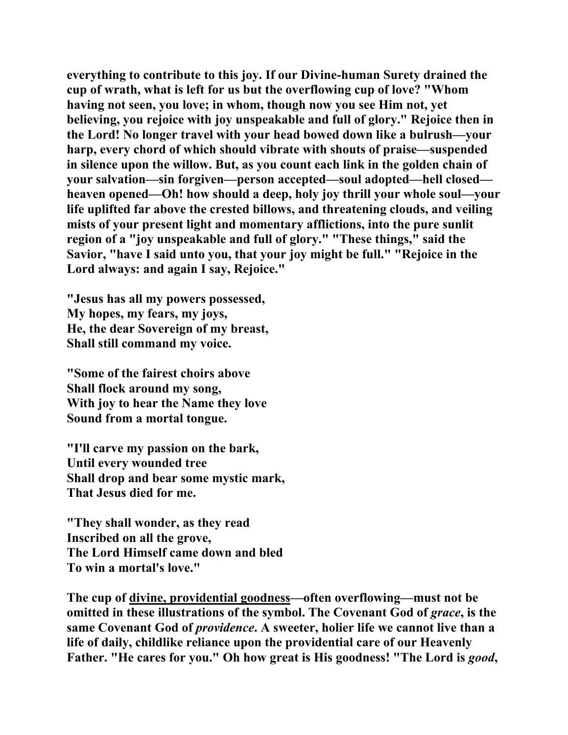**everything to contribute to this joy. If our Divine-human Surety drained the cup of wrath, what is left for us but the overflowing cup of love? "Whom having not seen, you love; in whom, though now you see Him not, yet believing, you rejoice with joy unspeakable and full of glory." Rejoice then in the Lord! No longer travel with your head bowed down like a bulrush—your harp, every chord of which should vibrate with shouts of praise—suspended in silence upon the willow. But, as you count each link in the golden chain of your salvation—sin forgiven—person accepted—soul adopted—hell closed heaven opened—Oh! how should a deep, holy joy thrill your whole soul—your life uplifted far above the crested billows, and threatening clouds, and veiling mists of your present light and momentary afflictions, into the pure sunlit region of a "joy unspeakable and full of glory." "These things," said the Savior, "have I said unto you, that your joy might be full." "Rejoice in the Lord always: and again I say, Rejoice."** 

**"Jesus has all my powers possessed, My hopes, my fears, my joys, He, the dear Sovereign of my breast, Shall still command my voice.** 

**"Some of the fairest choirs above Shall flock around my song, With joy to hear the Name they love Sound from a mortal tongue.** 

**"I'll carve my passion on the bark, Until every wounded tree Shall drop and bear some mystic mark, That Jesus died for me.** 

**"They shall wonder, as they read Inscribed on all the grove, The Lord Himself came down and bled To win a mortal's love."** 

**The cup of divine, providential goodness—often overflowing—must not be omitted in these illustrations of the symbol. The Covenant God of** *grace***, is the same Covenant God of** *providence***. A sweeter, holier life we cannot live than a life of daily, childlike reliance upon the providential care of our Heavenly Father. "He cares for you." Oh how great is His goodness! "The Lord is** *good***,**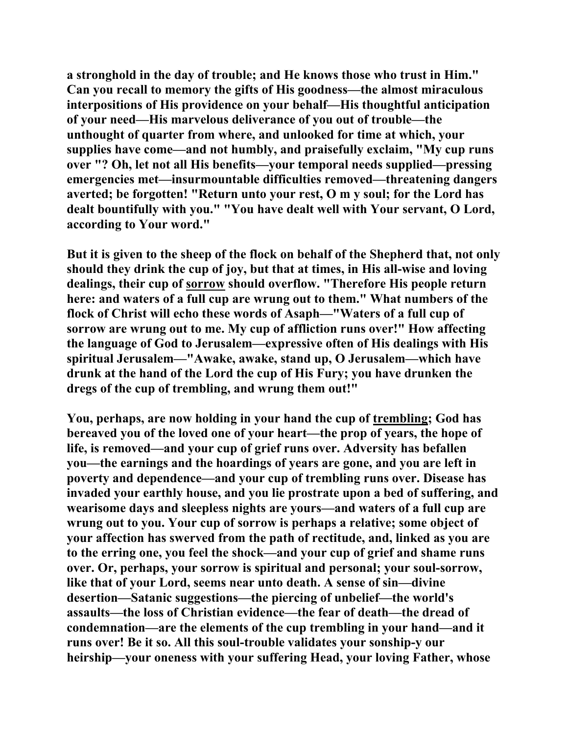**a stronghold in the day of trouble; and He knows those who trust in Him." Can you recall to memory the gifts of His goodness—the almost miraculous interpositions of His providence on your behalf—His thoughtful anticipation of your need—His marvelous deliverance of you out of trouble—the unthought of quarter from where, and unlooked for time at which, your supplies have come—and not humbly, and praisefully exclaim, "My cup runs over "? Oh, let not all His benefits—your temporal needs supplied—pressing emergencies met—insurmountable difficulties removed—threatening dangers averted; be forgotten! "Return unto your rest, O m y soul; for the Lord has dealt bountifully with you." "You have dealt well with Your servant, O Lord, according to Your word."** 

**But it is given to the sheep of the flock on behalf of the Shepherd that, not only should they drink the cup of joy, but that at times, in His all-wise and loving dealings, their cup of sorrow should overflow. "Therefore His people return here: and waters of a full cup are wrung out to them." What numbers of the flock of Christ will echo these words of Asaph—"Waters of a full cup of sorrow are wrung out to me. My cup of affliction runs over!" How affecting the language of God to Jerusalem—expressive often of His dealings with His spiritual Jerusalem—"Awake, awake, stand up, O Jerusalem—which have drunk at the hand of the Lord the cup of His Fury; you have drunken the dregs of the cup of trembling, and wrung them out!"** 

**You, perhaps, are now holding in your hand the cup of trembling; God has bereaved you of the loved one of your heart—the prop of years, the hope of life, is removed—and your cup of grief runs over. Adversity has befallen you—the earnings and the hoardings of years are gone, and you are left in poverty and dependence—and your cup of trembling runs over. Disease has invaded your earthly house, and you lie prostrate upon a bed of suffering, and wearisome days and sleepless nights are yours—and waters of a full cup are wrung out to you. Your cup of sorrow is perhaps a relative; some object of your affection has swerved from the path of rectitude, and, linked as you are to the erring one, you feel the shock—and your cup of grief and shame runs over. Or, perhaps, your sorrow is spiritual and personal; your soul-sorrow, like that of your Lord, seems near unto death. A sense of sin—divine desertion—Satanic suggestions—the piercing of unbelief—the world's assaults—the loss of Christian evidence—the fear of death—the dread of condemnation—are the elements of the cup trembling in your hand—and it runs over! Be it so. All this soul-trouble validates your sonship-y our heirship—your oneness with your suffering Head, your loving Father, whose**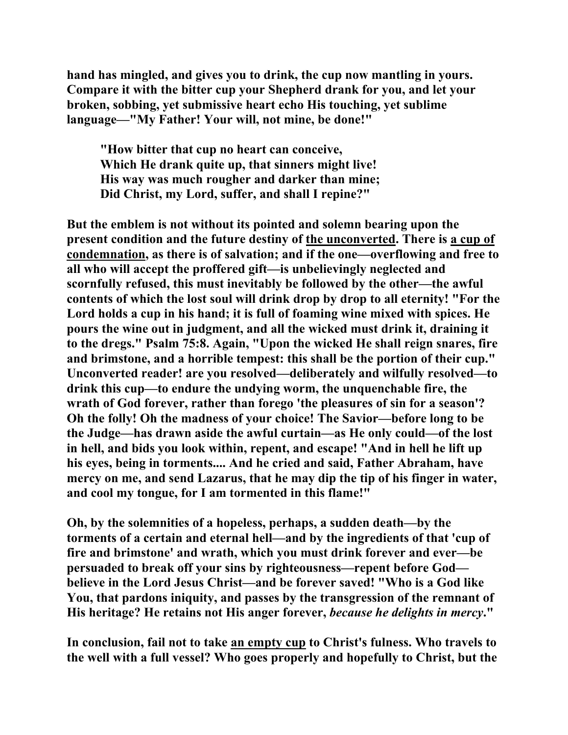**hand has mingled, and gives you to drink, the cup now mantling in yours. Compare it with the bitter cup your Shepherd drank for you, and let your broken, sobbing, yet submissive heart echo His touching, yet sublime language—"My Father! Your will, not mine, be done!"** 

 **"How bitter that cup no heart can conceive, Which He drank quite up, that sinners might live! His way was much rougher and darker than mine; Did Christ, my Lord, suffer, and shall I repine?"** 

**But the emblem is not without its pointed and solemn bearing upon the present condition and the future destiny of the unconverted. There is a cup of condemnation, as there is of salvation; and if the one—overflowing and free to all who will accept the proffered gift—is unbelievingly neglected and scornfully refused, this must inevitably be followed by the other—the awful contents of which the lost soul will drink drop by drop to all eternity! "For the Lord holds a cup in his hand; it is full of foaming wine mixed with spices. He pours the wine out in judgment, and all the wicked must drink it, draining it to the dregs." Psalm 75:8. Again, "Upon the wicked He shall reign snares, fire and brimstone, and a horrible tempest: this shall be the portion of their cup." Unconverted reader! are you resolved—deliberately and wilfully resolved—to drink this cup—to endure the undying worm, the unquenchable fire, the wrath of God forever, rather than forego 'the pleasures of sin for a season'? Oh the folly! Oh the madness of your choice! The Savior—before long to be the Judge—has drawn aside the awful curtain—as He only could—of the lost in hell, and bids you look within, repent, and escape! "And in hell he lift up his eyes, being in torments.... And he cried and said, Father Abraham, have mercy on me, and send Lazarus, that he may dip the tip of his finger in water, and cool my tongue, for I am tormented in this flame!"** 

**Oh, by the solemnities of a hopeless, perhaps, a sudden death—by the torments of a certain and eternal hell—and by the ingredients of that 'cup of fire and brimstone' and wrath, which you must drink forever and ever—be persuaded to break off your sins by righteousness—repent before God believe in the Lord Jesus Christ—and be forever saved! "Who is a God like You, that pardons iniquity, and passes by the transgression of the remnant of His heritage? He retains not His anger forever,** *because he delights in mercy***."** 

**In conclusion, fail not to take an empty cup to Christ's fulness. Who travels to the well with a full vessel? Who goes properly and hopefully to Christ, but the**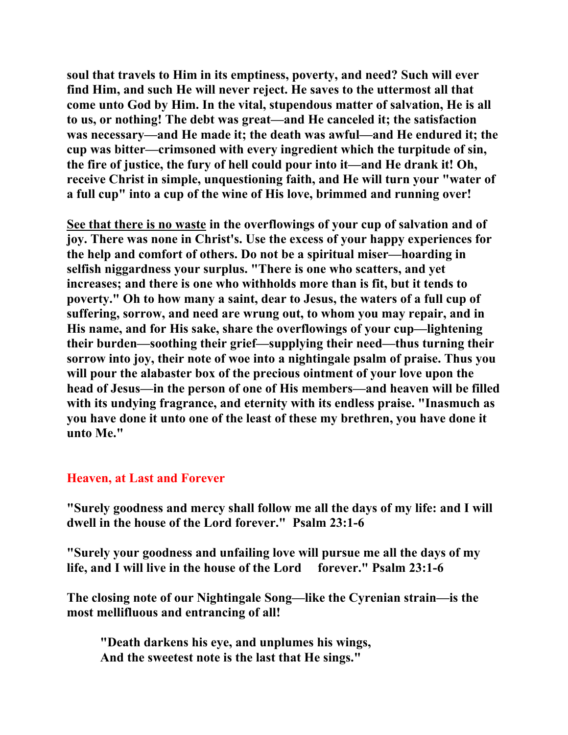**soul that travels to Him in its emptiness, poverty, and need? Such will ever find Him, and such He will never reject. He saves to the uttermost all that come unto God by Him. In the vital, stupendous matter of salvation, He is all to us, or nothing! The debt was great—and He canceled it; the satisfaction was necessary—and He made it; the death was awful—and He endured it; the cup was bitter—crimsoned with every ingredient which the turpitude of sin, the fire of justice, the fury of hell could pour into it—and He drank it! Oh, receive Christ in simple, unquestioning faith, and He will turn your "water of a full cup" into a cup of the wine of His love, brimmed and running over!** 

**See that there is no waste in the overflowings of your cup of salvation and of joy. There was none in Christ's. Use the excess of your happy experiences for the help and comfort of others. Do not be a spiritual miser—hoarding in selfish niggardness your surplus. "There is one who scatters, and yet increases; and there is one who withholds more than is fit, but it tends to poverty." Oh to how many a saint, dear to Jesus, the waters of a full cup of suffering, sorrow, and need are wrung out, to whom you may repair, and in His name, and for His sake, share the overflowings of your cup—lightening their burden—soothing their grief—supplying their need—thus turning their sorrow into joy, their note of woe into a nightingale psalm of praise. Thus you will pour the alabaster box of the precious ointment of your love upon the head of Jesus—in the person of one of His members—and heaven will be filled with its undying fragrance, and eternity with its endless praise. "Inasmuch as you have done it unto one of the least of these my brethren, you have done it unto Me."** 

## **Heaven, at Last and Forever**

**"Surely goodness and mercy shall follow me all the days of my life: and I will dwell in the house of the Lord forever." Psalm 23:1-6** 

**"Surely your goodness and unfailing love will pursue me all the days of my life, and I will live in the house of the Lord forever." Psalm 23:1-6** 

**The closing note of our Nightingale Song—like the Cyrenian strain—is the most mellifluous and entrancing of all!** 

 **"Death darkens his eye, and unplumes his wings, And the sweetest note is the last that He sings."**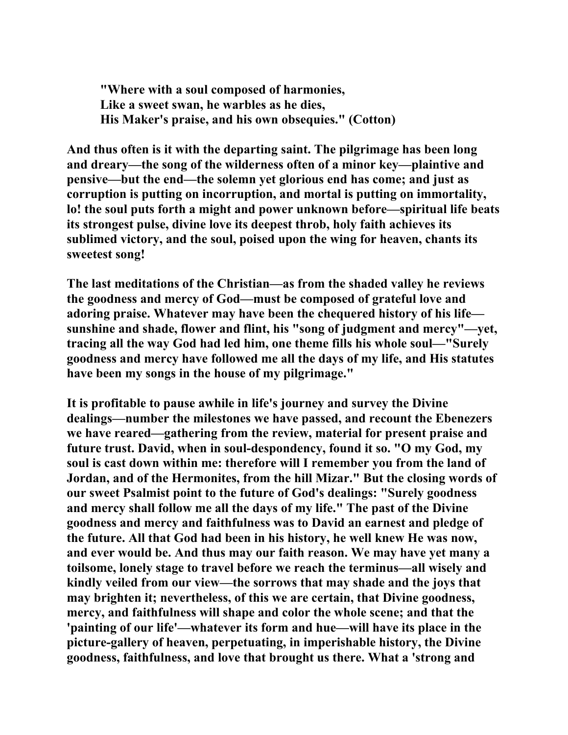**"Where with a soul composed of harmonies, Like a sweet swan, he warbles as he dies, His Maker's praise, and his own obsequies." (Cotton)** 

**And thus often is it with the departing saint. The pilgrimage has been long and dreary—the song of the wilderness often of a minor key—plaintive and pensive—but the end—the solemn yet glorious end has come; and just as corruption is putting on incorruption, and mortal is putting on immortality, lo! the soul puts forth a might and power unknown before—spiritual life beats its strongest pulse, divine love its deepest throb, holy faith achieves its sublimed victory, and the soul, poised upon the wing for heaven, chants its sweetest song!** 

**The last meditations of the Christian—as from the shaded valley he reviews the goodness and mercy of God—must be composed of grateful love and adoring praise. Whatever may have been the chequered history of his life sunshine and shade, flower and flint, his "song of judgment and mercy"—yet, tracing all the way God had led him, one theme fills his whole soul—"Surely goodness and mercy have followed me all the days of my life, and His statutes have been my songs in the house of my pilgrimage."** 

**It is profitable to pause awhile in life's journey and survey the Divine dealings—number the milestones we have passed, and recount the Ebenezers we have reared—gathering from the review, material for present praise and future trust. David, when in soul-despondency, found it so. "O my God, my soul is cast down within me: therefore will I remember you from the land of Jordan, and of the Hermonites, from the hill Mizar." But the closing words of our sweet Psalmist point to the future of God's dealings: "Surely goodness and mercy shall follow me all the days of my life." The past of the Divine goodness and mercy and faithfulness was to David an earnest and pledge of the future. All that God had been in his history, he well knew He was now, and ever would be. And thus may our faith reason. We may have yet many a toilsome, lonely stage to travel before we reach the terminus—all wisely and kindly veiled from our view—the sorrows that may shade and the joys that may brighten it; nevertheless, of this we are certain, that Divine goodness, mercy, and faithfulness will shape and color the whole scene; and that the 'painting of our life'—whatever its form and hue—will have its place in the picture-gallery of heaven, perpetuating, in imperishable history, the Divine goodness, faithfulness, and love that brought us there. What a 'strong and**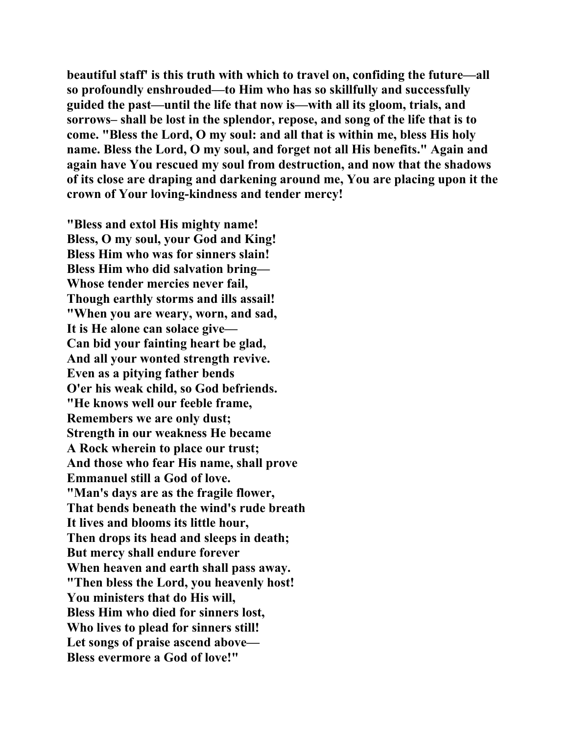**beautiful staff' is this truth with which to travel on, confiding the future—all so profoundly enshrouded—to Him who has so skillfully and successfully guided the past—until the life that now is—with all its gloom, trials, and sorrows– shall be lost in the splendor, repose, and song of the life that is to come. "Bless the Lord, O my soul: and all that is within me, bless His holy name. Bless the Lord, O my soul, and forget not all His benefits." Again and again have You rescued my soul from destruction, and now that the shadows of its close are draping and darkening around me, You are placing upon it the crown of Your loving-kindness and tender mercy!** 

**"Bless and extol His mighty name! Bless, O my soul, your God and King! Bless Him who was for sinners slain! Bless Him who did salvation bring— Whose tender mercies never fail, Though earthly storms and ills assail! "When you are weary, worn, and sad, It is He alone can solace give— Can bid your fainting heart be glad, And all your wonted strength revive. Even as a pitying father bends O'er his weak child, so God befriends. "He knows well our feeble frame, Remembers we are only dust; Strength in our weakness He became A Rock wherein to place our trust; And those who fear His name, shall prove Emmanuel still a God of love. "Man's days are as the fragile flower, That bends beneath the wind's rude breath It lives and blooms its little hour, Then drops its head and sleeps in death; But mercy shall endure forever When heaven and earth shall pass away. "Then bless the Lord, you heavenly host! You ministers that do His will, Bless Him who died for sinners lost, Who lives to plead for sinners still! Let songs of praise ascend above— Bless evermore a God of love!"**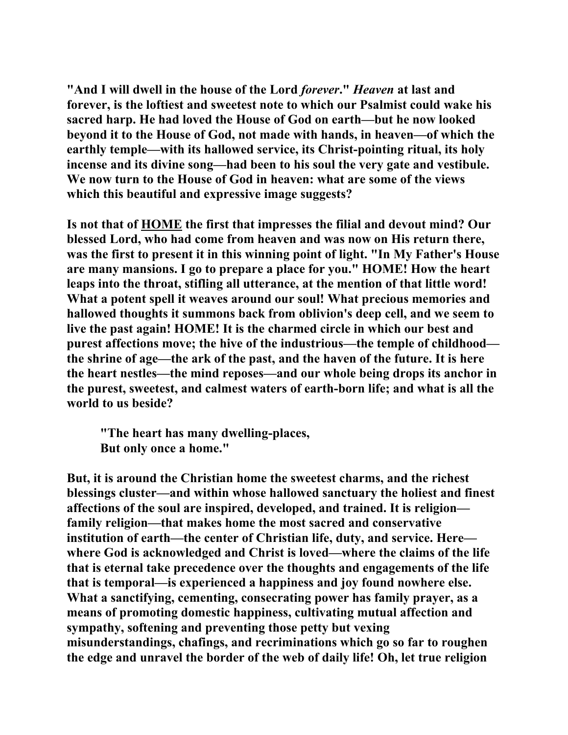**"And I will dwell in the house of the Lord** *forever***."** *Heaven* **at last and forever, is the loftiest and sweetest note to which our Psalmist could wake his sacred harp. He had loved the House of God on earth—but he now looked beyond it to the House of God, not made with hands, in heaven—of which the earthly temple—with its hallowed service, its Christ-pointing ritual, its holy incense and its divine song—had been to his soul the very gate and vestibule. We now turn to the House of God in heaven: what are some of the views which this beautiful and expressive image suggests?** 

**Is not that of HOME the first that impresses the filial and devout mind? Our blessed Lord, who had come from heaven and was now on His return there, was the first to present it in this winning point of light. "In My Father's House are many mansions. I go to prepare a place for you." HOME! How the heart leaps into the throat, stifling all utterance, at the mention of that little word! What a potent spell it weaves around our soul! What precious memories and hallowed thoughts it summons back from oblivion's deep cell, and we seem to live the past again! HOME! It is the charmed circle in which our best and purest affections move; the hive of the industrious—the temple of childhood the shrine of age—the ark of the past, and the haven of the future. It is here the heart nestles—the mind reposes—and our whole being drops its anchor in the purest, sweetest, and calmest waters of earth-born life; and what is all the world to us beside?** 

 **"The heart has many dwelling-places, But only once a home."** 

**But, it is around the Christian home the sweetest charms, and the richest blessings cluster—and within whose hallowed sanctuary the holiest and finest affections of the soul are inspired, developed, and trained. It is religion family religion—that makes home the most sacred and conservative institution of earth—the center of Christian life, duty, and service. Here where God is acknowledged and Christ is loved—where the claims of the life that is eternal take precedence over the thoughts and engagements of the life that is temporal—is experienced a happiness and joy found nowhere else. What a sanctifying, cementing, consecrating power has family prayer, as a means of promoting domestic happiness, cultivating mutual affection and sympathy, softening and preventing those petty but vexing misunderstandings, chafings, and recriminations which go so far to roughen the edge and unravel the border of the web of daily life! Oh, let true religion**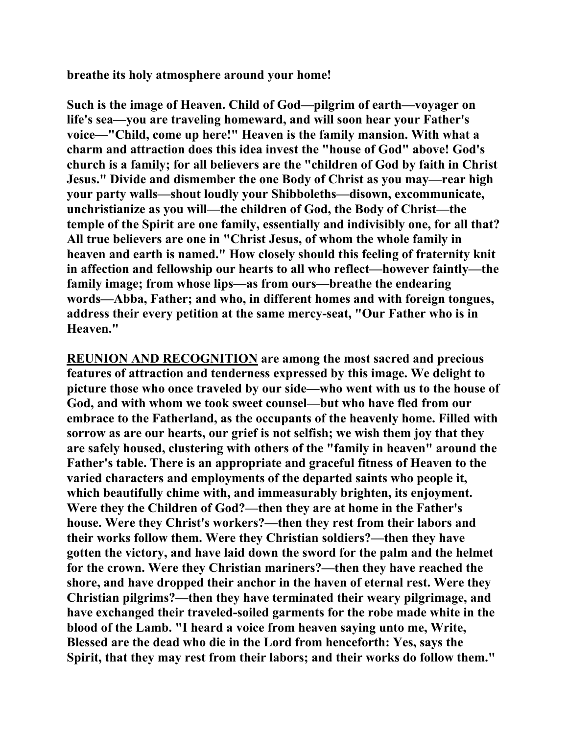**breathe its holy atmosphere around your home!** 

**Such is the image of Heaven. Child of God—pilgrim of earth—voyager on life's sea—you are traveling homeward, and will soon hear your Father's voice—"Child, come up here!" Heaven is the family mansion. With what a charm and attraction does this idea invest the "house of God" above! God's church is a family; for all believers are the "children of God by faith in Christ Jesus." Divide and dismember the one Body of Christ as you may—rear high your party walls—shout loudly your Shibboleths—disown, excommunicate, unchristianize as you will—the children of God, the Body of Christ—the temple of the Spirit are one family, essentially and indivisibly one, for all that? All true believers are one in "Christ Jesus, of whom the whole family in heaven and earth is named." How closely should this feeling of fraternity knit in affection and fellowship our hearts to all who reflect—however faintly—the family image; from whose lips—as from ours—breathe the endearing words—Abba, Father; and who, in different homes and with foreign tongues, address their every petition at the same mercy-seat, "Our Father who is in Heaven."** 

**REUNION AND RECOGNITION are among the most sacred and precious features of attraction and tenderness expressed by this image. We delight to picture those who once traveled by our side—who went with us to the house of God, and with whom we took sweet counsel—but who have fled from our embrace to the Fatherland, as the occupants of the heavenly home. Filled with sorrow as are our hearts, our grief is not selfish; we wish them joy that they are safely housed, clustering with others of the "family in heaven" around the Father's table. There is an appropriate and graceful fitness of Heaven to the varied characters and employments of the departed saints who people it, which beautifully chime with, and immeasurably brighten, its enjoyment. Were they the Children of God?—then they are at home in the Father's house. Were they Christ's workers?—then they rest from their labors and their works follow them. Were they Christian soldiers?—then they have gotten the victory, and have laid down the sword for the palm and the helmet for the crown. Were they Christian mariners?—then they have reached the shore, and have dropped their anchor in the haven of eternal rest. Were they Christian pilgrims?—then they have terminated their weary pilgrimage, and have exchanged their traveled-soiled garments for the robe made white in the blood of the Lamb. "I heard a voice from heaven saying unto me, Write, Blessed are the dead who die in the Lord from henceforth: Yes, says the Spirit, that they may rest from their labors; and their works do follow them."**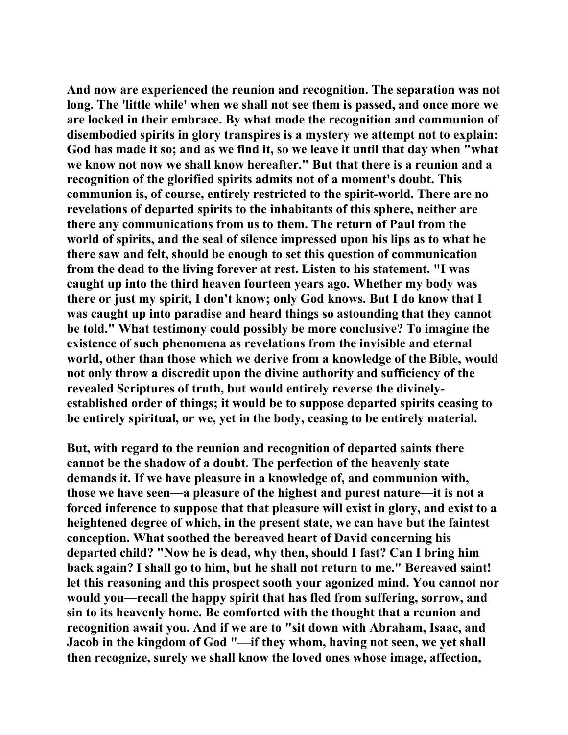**And now are experienced the reunion and recognition. The separation was not long. The 'little while' when we shall not see them is passed, and once more we are locked in their embrace. By what mode the recognition and communion of disembodied spirits in glory transpires is a mystery we attempt not to explain: God has made it so; and as we find it, so we leave it until that day when "what we know not now we shall know hereafter." But that there is a reunion and a recognition of the glorified spirits admits not of a moment's doubt. This communion is, of course, entirely restricted to the spirit-world. There are no revelations of departed spirits to the inhabitants of this sphere, neither are there any communications from us to them. The return of Paul from the world of spirits, and the seal of silence impressed upon his lips as to what he there saw and felt, should be enough to set this question of communication from the dead to the living forever at rest. Listen to his statement. "I was caught up into the third heaven fourteen years ago. Whether my body was there or just my spirit, I don't know; only God knows. But I do know that I was caught up into paradise and heard things so astounding that they cannot be told." What testimony could possibly be more conclusive? To imagine the existence of such phenomena as revelations from the invisible and eternal world, other than those which we derive from a knowledge of the Bible, would not only throw a discredit upon the divine authority and sufficiency of the revealed Scriptures of truth, but would entirely reverse the divinelyestablished order of things; it would be to suppose departed spirits ceasing to be entirely spiritual, or we, yet in the body, ceasing to be entirely material.** 

**But, with regard to the reunion and recognition of departed saints there cannot be the shadow of a doubt. The perfection of the heavenly state demands it. If we have pleasure in a knowledge of, and communion with, those we have seen—a pleasure of the highest and purest nature—it is not a forced inference to suppose that that pleasure will exist in glory, and exist to a heightened degree of which, in the present state, we can have but the faintest conception. What soothed the bereaved heart of David concerning his departed child? "Now he is dead, why then, should I fast? Can I bring him back again? I shall go to him, but he shall not return to me." Bereaved saint! let this reasoning and this prospect sooth your agonized mind. You cannot nor would you—recall the happy spirit that has fled from suffering, sorrow, and sin to its heavenly home. Be comforted with the thought that a reunion and recognition await you. And if we are to "sit down with Abraham, Isaac, and Jacob in the kingdom of God "—if they whom, having not seen, we yet shall then recognize, surely we shall know the loved ones whose image, affection,**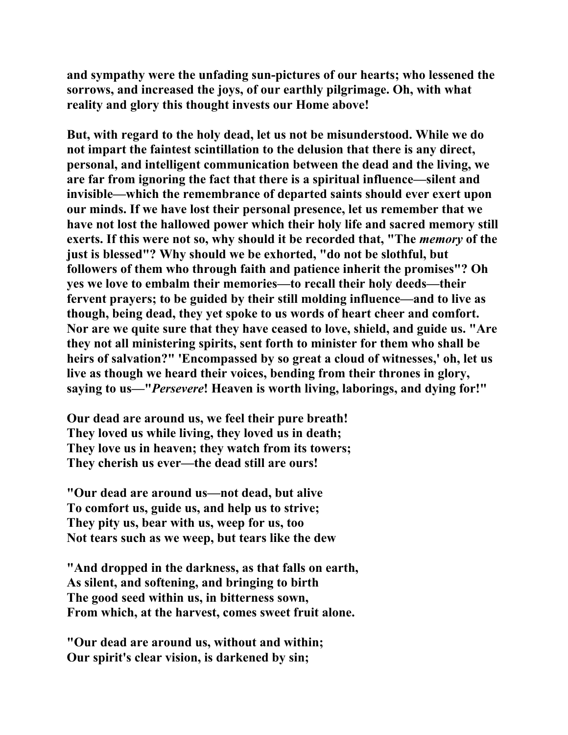**and sympathy were the unfading sun-pictures of our hearts; who lessened the sorrows, and increased the joys, of our earthly pilgrimage. Oh, with what reality and glory this thought invests our Home above!** 

**But, with regard to the holy dead, let us not be misunderstood. While we do not impart the faintest scintillation to the delusion that there is any direct, personal, and intelligent communication between the dead and the living, we are far from ignoring the fact that there is a spiritual influence—silent and invisible—which the remembrance of departed saints should ever exert upon our minds. If we have lost their personal presence, let us remember that we have not lost the hallowed power which their holy life and sacred memory still exerts. If this were not so, why should it be recorded that, "The** *memory* **of the just is blessed"? Why should we be exhorted, "do not be slothful, but followers of them who through faith and patience inherit the promises"? Oh yes we love to embalm their memories—to recall their holy deeds—their fervent prayers; to be guided by their still molding influence—and to live as though, being dead, they yet spoke to us words of heart cheer and comfort. Nor are we quite sure that they have ceased to love, shield, and guide us. "Are they not all ministering spirits, sent forth to minister for them who shall be heirs of salvation?" 'Encompassed by so great a cloud of witnesses,' oh, let us live as though we heard their voices, bending from their thrones in glory, saying to us—"***Persevere***! Heaven is worth living, laborings, and dying for!"** 

**Our dead are around us, we feel their pure breath! They loved us while living, they loved us in death; They love us in heaven; they watch from its towers; They cherish us ever—the dead still are ours!** 

**"Our dead are around us—not dead, but alive To comfort us, guide us, and help us to strive; They pity us, bear with us, weep for us, too Not tears such as we weep, but tears like the dew** 

**"And dropped in the darkness, as that falls on earth, As silent, and softening, and bringing to birth The good seed within us, in bitterness sown, From which, at the harvest, comes sweet fruit alone.** 

**"Our dead are around us, without and within; Our spirit's clear vision, is darkened by sin;**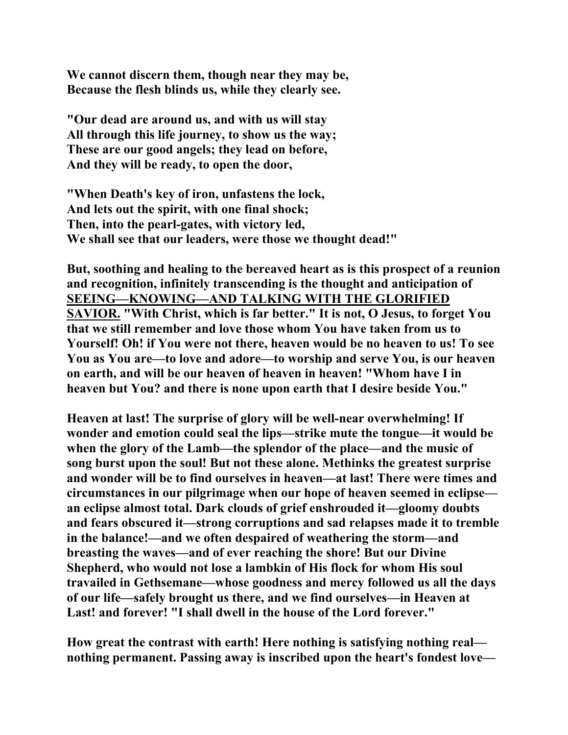**We cannot discern them, though near they may be, Because the flesh blinds us, while they clearly see.** 

**"Our dead are around us, and with us will stay All through this life journey, to show us the way; These are our good angels; they lead on before, And they will be ready, to open the door,** 

**"When Death's key of iron, unfastens the lock, And lets out the spirit, with one final shock; Then, into the pearl-gates, with victory led, We shall see that our leaders, were those we thought dead!"** 

**But, soothing and healing to the bereaved heart as is this prospect of a reunion and recognition, infinitely transcending is the thought and anticipation of SEEING—KNOWING—AND TALKING WITH THE GLORIFIED SAVIOR. "With Christ, which is far better." It is not, O Jesus, to forget You that we still remember and love those whom You have taken from us to Yourself! Oh! if You were not there, heaven would be no heaven to us! To see You as You are—to love and adore—to worship and serve You, is our heaven on earth, and will be our heaven of heaven in heaven! "Whom have I in heaven but You? and there is none upon earth that I desire beside You."** 

**Heaven at last! The surprise of glory will be well-near overwhelming! If wonder and emotion could seal the lips—strike mute the tongue—it would be when the glory of the Lamb—the splendor of the place—and the music of song burst upon the soul! But not these alone. Methinks the greatest surprise and wonder will be to find ourselves in heaven—at last! There were times and circumstances in our pilgrimage when our hope of heaven seemed in eclipse an eclipse almost total. Dark clouds of grief enshrouded it—gloomy doubts and fears obscured it—strong corruptions and sad relapses made it to tremble in the balance!—and we often despaired of weathering the storm—and breasting the waves—and of ever reaching the shore! But our Divine Shepherd, who would not lose a lambkin of His flock for whom His soul travailed in Gethsemane—whose goodness and mercy followed us all the days of our life—safely brought us there, and we find ourselves—in Heaven at Last! and forever! "I shall dwell in the house of the Lord forever."** 

**How great the contrast with earth! Here nothing is satisfying nothing real nothing permanent. Passing away is inscribed upon the heart's fondest love—**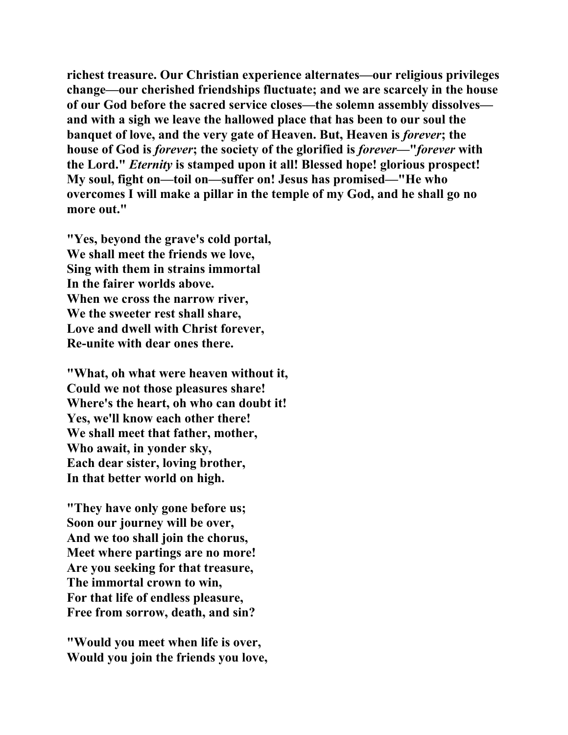**richest treasure. Our Christian experience alternates—our religious privileges change—our cherished friendships fluctuate; and we are scarcely in the house of our God before the sacred service closes—the solemn assembly dissolves and with a sigh we leave the hallowed place that has been to our soul the banquet of love, and the very gate of Heaven. But, Heaven is** *forever***; the house of God is** *forever***; the society of the glorified is** *forever***—"***forever* **with the Lord."** *Eternity* **is stamped upon it all! Blessed hope! glorious prospect! My soul, fight on—toil on—suffer on! Jesus has promised—"He who overcomes I will make a pillar in the temple of my God, and he shall go no more out."** 

**"Yes, beyond the grave's cold portal, We shall meet the friends we love, Sing with them in strains immortal In the fairer worlds above. When we cross the narrow river, We the sweeter rest shall share, Love and dwell with Christ forever, Re-unite with dear ones there.** 

**"What, oh what were heaven without it, Could we not those pleasures share! Where's the heart, oh who can doubt it! Yes, we'll know each other there! We shall meet that father, mother, Who await, in yonder sky, Each dear sister, loving brother, In that better world on high.** 

**"They have only gone before us; Soon our journey will be over, And we too shall join the chorus, Meet where partings are no more! Are you seeking for that treasure, The immortal crown to win, For that life of endless pleasure, Free from sorrow, death, and sin?** 

**"Would you meet when life is over, Would you join the friends you love,**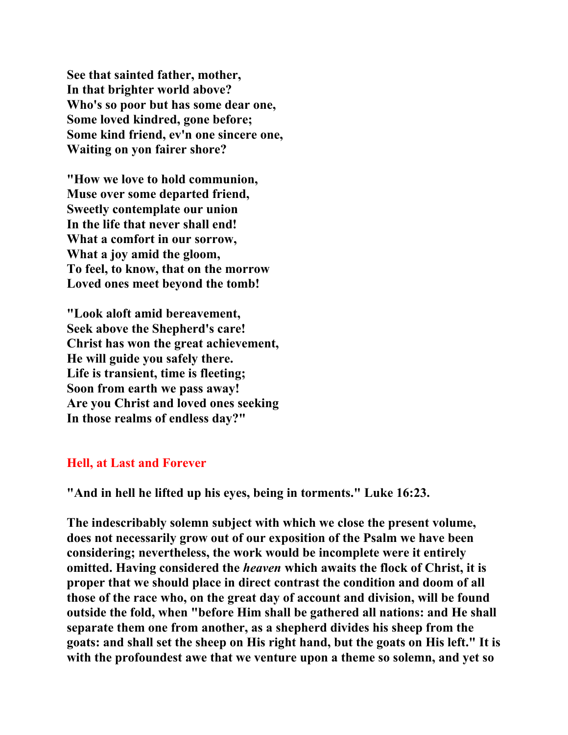**See that sainted father, mother, In that brighter world above? Who's so poor but has some dear one, Some loved kindred, gone before; Some kind friend, ev'n one sincere one, Waiting on yon fairer shore?** 

**"How we love to hold communion, Muse over some departed friend, Sweetly contemplate our union In the life that never shall end! What a comfort in our sorrow, What a joy amid the gloom, To feel, to know, that on the morrow Loved ones meet beyond the tomb!** 

**"Look aloft amid bereavement, Seek above the Shepherd's care! Christ has won the great achievement, He will guide you safely there. Life is transient, time is fleeting; Soon from earth we pass away! Are you Christ and loved ones seeking In those realms of endless day?"** 

## **Hell, at Last and Forever**

**"And in hell he lifted up his eyes, being in torments." Luke 16:23.** 

**The indescribably solemn subject with which we close the present volume, does not necessarily grow out of our exposition of the Psalm we have been considering; nevertheless, the work would be incomplete were it entirely omitted. Having considered the** *heaven* **which awaits the flock of Christ, it is proper that we should place in direct contrast the condition and doom of all those of the race who, on the great day of account and division, will be found outside the fold, when "before Him shall be gathered all nations: and He shall separate them one from another, as a shepherd divides his sheep from the goats: and shall set the sheep on His right hand, but the goats on His left." It is with the profoundest awe that we venture upon a theme so solemn, and yet so**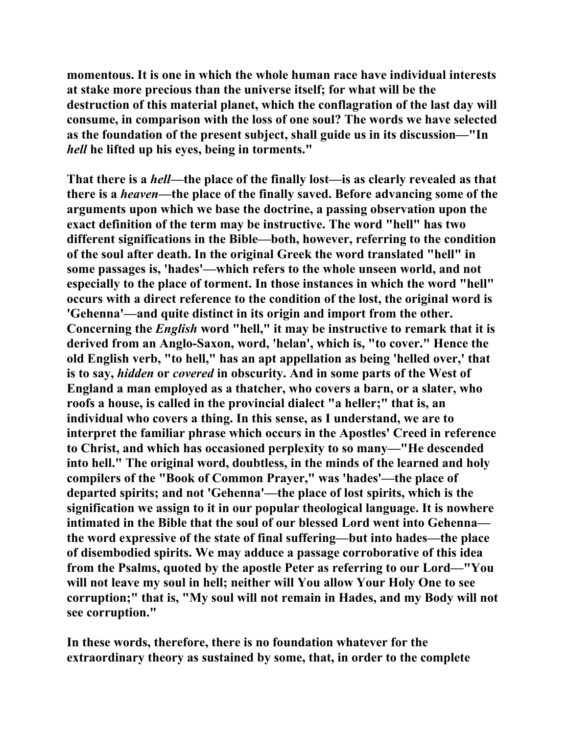**momentous. It is one in which the whole human race have individual interests at stake more precious than the universe itself; for what will be the destruction of this material planet, which the conflagration of the last day will consume, in comparison with the loss of one soul? The words we have selected as the foundation of the present subject, shall guide us in its discussion—"In**  *hell* **he lifted up his eyes, being in torments."** 

**That there is a** *hell***—the place of the finally lost—is as clearly revealed as that there is a** *heaven***—the place of the finally saved. Before advancing some of the arguments upon which we base the doctrine, a passing observation upon the exact definition of the term may be instructive. The word "hell" has two different significations in the Bible—both, however, referring to the condition of the soul after death. In the original Greek the word translated "hell" in some passages is, 'hades'—which refers to the whole unseen world, and not especially to the place of torment. In those instances in which the word "hell" occurs with a direct reference to the condition of the lost, the original word is 'Gehenna'—and quite distinct in its origin and import from the other. Concerning the** *English* **word "hell," it may be instructive to remark that it is derived from an Anglo-Saxon, word, 'helan', which is, "to cover." Hence the old English verb, "to hell," has an apt appellation as being 'helled over,' that is to say,** *hidden* **or** *covered* **in obscurity. And in some parts of the West of England a man employed as a thatcher, who covers a barn, or a slater, who roofs a house, is called in the provincial dialect "a heller;" that is, an individual who covers a thing. In this sense, as I understand, we are to interpret the familiar phrase which occurs in the Apostles' Creed in reference to Christ, and which has occasioned perplexity to so many—"He descended into hell." The original word, doubtless, in the minds of the learned and holy compilers of the "Book of Common Prayer," was 'hades'—the place of departed spirits; and not 'Gehenna'—the place of lost spirits, which is the signification we assign to it in our popular theological language. It is nowhere intimated in the Bible that the soul of our blessed Lord went into Gehenna the word expressive of the state of final suffering—but into hades—the place of disembodied spirits. We may adduce a passage corroborative of this idea from the Psalms, quoted by the apostle Peter as referring to our Lord—"You will not leave my soul in hell; neither will You allow Your Holy One to see corruption;" that is, "My soul will not remain in Hades, and my Body will not see corruption."** 

**In these words, therefore, there is no foundation whatever for the extraordinary theory as sustained by some, that, in order to the complete**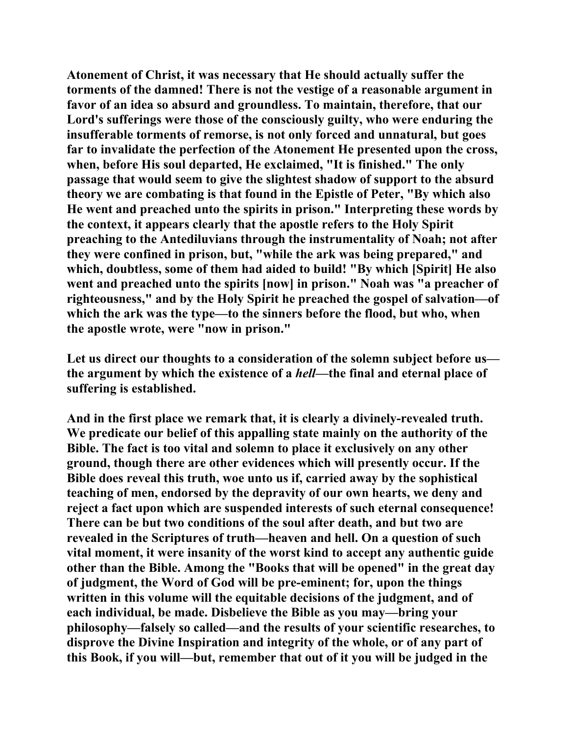**Atonement of Christ, it was necessary that He should actually suffer the torments of the damned! There is not the vestige of a reasonable argument in favor of an idea so absurd and groundless. To maintain, therefore, that our Lord's sufferings were those of the consciously guilty, who were enduring the insufferable torments of remorse, is not only forced and unnatural, but goes far to invalidate the perfection of the Atonement He presented upon the cross, when, before His soul departed, He exclaimed, "It is finished." The only passage that would seem to give the slightest shadow of support to the absurd theory we are combating is that found in the Epistle of Peter, "By which also He went and preached unto the spirits in prison." Interpreting these words by the context, it appears clearly that the apostle refers to the Holy Spirit preaching to the Antediluvians through the instrumentality of Noah; not after they were confined in prison, but, "while the ark was being prepared," and which, doubtless, some of them had aided to build! "By which [Spirit] He also went and preached unto the spirits [now] in prison." Noah was "a preacher of righteousness," and by the Holy Spirit he preached the gospel of salvation—of which the ark was the type—to the sinners before the flood, but who, when the apostle wrote, were "now in prison."** 

**Let us direct our thoughts to a consideration of the solemn subject before us the argument by which the existence of a** *hell***—the final and eternal place of suffering is established.** 

**And in the first place we remark that, it is clearly a divinely-revealed truth. We predicate our belief of this appalling state mainly on the authority of the Bible. The fact is too vital and solemn to place it exclusively on any other ground, though there are other evidences which will presently occur. If the Bible does reveal this truth, woe unto us if, carried away by the sophistical teaching of men, endorsed by the depravity of our own hearts, we deny and reject a fact upon which are suspended interests of such eternal consequence! There can be but two conditions of the soul after death, and but two are revealed in the Scriptures of truth—heaven and hell. On a question of such vital moment, it were insanity of the worst kind to accept any authentic guide other than the Bible. Among the "Books that will be opened" in the great day of judgment, the Word of God will be pre-eminent; for, upon the things written in this volume will the equitable decisions of the judgment, and of each individual, be made. Disbelieve the Bible as you may—bring your philosophy—falsely so called—and the results of your scientific researches, to disprove the Divine Inspiration and integrity of the whole, or of any part of this Book, if you will—but, remember that out of it you will be judged in the**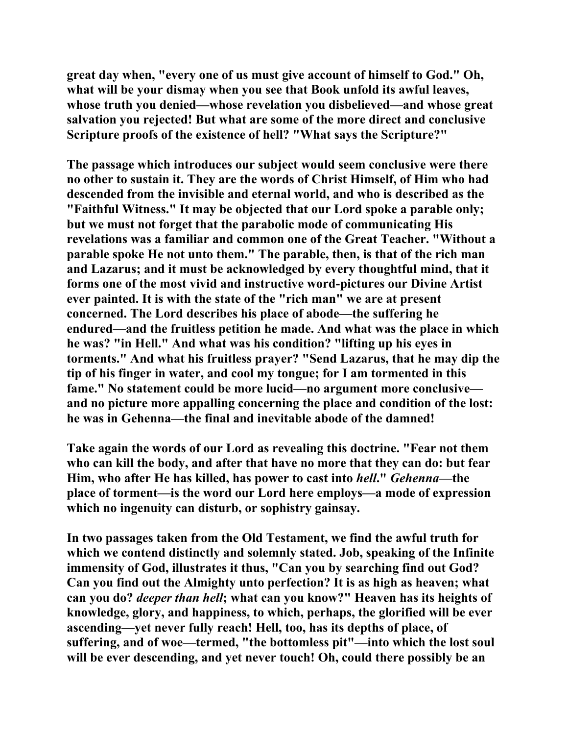**great day when, "every one of us must give account of himself to God." Oh, what will be your dismay when you see that Book unfold its awful leaves, whose truth you denied—whose revelation you disbelieved—and whose great salvation you rejected! But what are some of the more direct and conclusive Scripture proofs of the existence of hell? "What says the Scripture?"** 

**The passage which introduces our subject would seem conclusive were there no other to sustain it. They are the words of Christ Himself, of Him who had descended from the invisible and eternal world, and who is described as the "Faithful Witness." It may be objected that our Lord spoke a parable only; but we must not forget that the parabolic mode of communicating His revelations was a familiar and common one of the Great Teacher. "Without a parable spoke He not unto them." The parable, then, is that of the rich man and Lazarus; and it must be acknowledged by every thoughtful mind, that it forms one of the most vivid and instructive word-pictures our Divine Artist ever painted. It is with the state of the "rich man" we are at present concerned. The Lord describes his place of abode—the suffering he endured—and the fruitless petition he made. And what was the place in which he was? "in Hell." And what was his condition? "lifting up his eyes in torments." And what his fruitless prayer? "Send Lazarus, that he may dip the tip of his finger in water, and cool my tongue; for I am tormented in this fame." No statement could be more lucid—no argument more conclusive and no picture more appalling concerning the place and condition of the lost: he was in Gehenna—the final and inevitable abode of the damned!** 

**Take again the words of our Lord as revealing this doctrine. "Fear not them who can kill the body, and after that have no more that they can do: but fear Him, who after He has killed, has power to cast into** *hell***."** *Gehenna***—the place of torment—is the word our Lord here employs—a mode of expression which no ingenuity can disturb, or sophistry gainsay.** 

**In two passages taken from the Old Testament, we find the awful truth for which we contend distinctly and solemnly stated. Job, speaking of the Infinite immensity of God, illustrates it thus, "Can you by searching find out God? Can you find out the Almighty unto perfection? It is as high as heaven; what can you do?** *deeper than hell***; what can you know?" Heaven has its heights of knowledge, glory, and happiness, to which, perhaps, the glorified will be ever ascending—yet never fully reach! Hell, too, has its depths of place, of suffering, and of woe—termed, "the bottomless pit"—into which the lost soul will be ever descending, and yet never touch! Oh, could there possibly be an**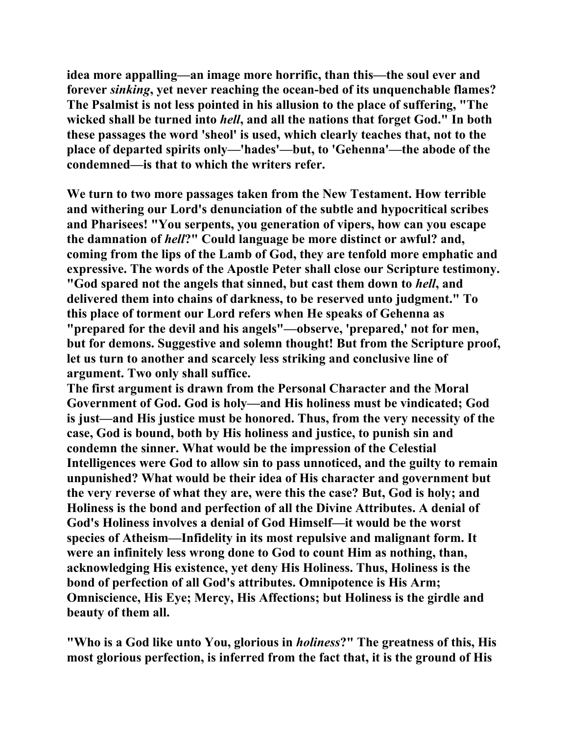**idea more appalling—an image more horrific, than this—the soul ever and forever** *sinking***, yet never reaching the ocean-bed of its unquenchable flames? The Psalmist is not less pointed in his allusion to the place of suffering, "The wicked shall be turned into** *hell***, and all the nations that forget God." In both these passages the word 'sheol' is used, which clearly teaches that, not to the place of departed spirits only—'hades'—but, to 'Gehenna'—the abode of the condemned—is that to which the writers refer.** 

**We turn to two more passages taken from the New Testament. How terrible and withering our Lord's denunciation of the subtle and hypocritical scribes and Pharisees! "You serpents, you generation of vipers, how can you escape the damnation of** *hell***?" Could language be more distinct or awful? and, coming from the lips of the Lamb of God, they are tenfold more emphatic and expressive. The words of the Apostle Peter shall close our Scripture testimony. "God spared not the angels that sinned, but cast them down to** *hell***, and delivered them into chains of darkness, to be reserved unto judgment." To this place of torment our Lord refers when He speaks of Gehenna as "prepared for the devil and his angels"—observe, 'prepared,' not for men, but for demons. Suggestive and solemn thought! But from the Scripture proof, let us turn to another and scarcely less striking and conclusive line of argument. Two only shall suffice.** 

**The first argument is drawn from the Personal Character and the Moral Government of God. God is holy—and His holiness must be vindicated; God is just—and His justice must be honored. Thus, from the very necessity of the case, God is bound, both by His holiness and justice, to punish sin and condemn the sinner. What would be the impression of the Celestial Intelligences were God to allow sin to pass unnoticed, and the guilty to remain unpunished? What would be their idea of His character and government but the very reverse of what they are, were this the case? But, God is holy; and Holiness is the bond and perfection of all the Divine Attributes. A denial of God's Holiness involves a denial of God Himself—it would be the worst species of Atheism—Infidelity in its most repulsive and malignant form. It were an infinitely less wrong done to God to count Him as nothing, than, acknowledging His existence, yet deny His Holiness. Thus, Holiness is the bond of perfection of all God's attributes. Omnipotence is His Arm; Omniscience, His Eye; Mercy, His Affections; but Holiness is the girdle and beauty of them all.** 

**"Who is a God like unto You, glorious in** *holiness***?" The greatness of this, His most glorious perfection, is inferred from the fact that, it is the ground of His**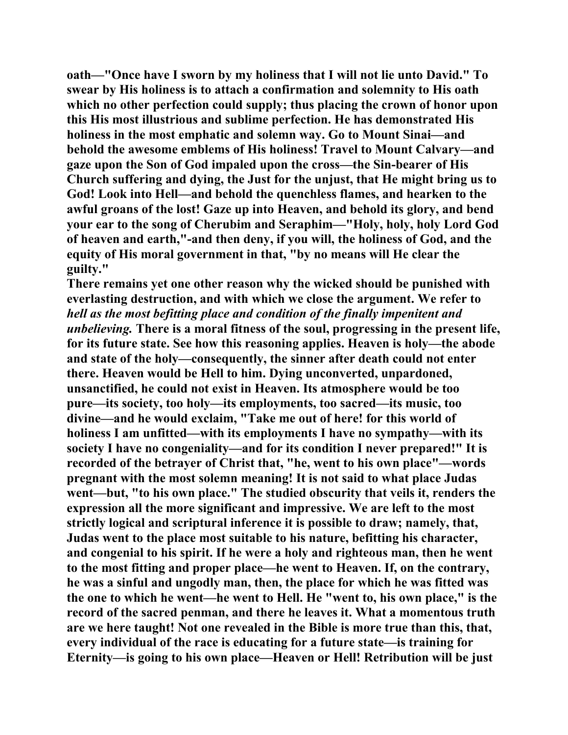**oath—"Once have I sworn by my holiness that I will not lie unto David." To swear by His holiness is to attach a confirmation and solemnity to His oath which no other perfection could supply; thus placing the crown of honor upon this His most illustrious and sublime perfection. He has demonstrated His holiness in the most emphatic and solemn way. Go to Mount Sinai—and behold the awesome emblems of His holiness! Travel to Mount Calvary—and gaze upon the Son of God impaled upon the cross—the Sin-bearer of His Church suffering and dying, the Just for the unjust, that He might bring us to God! Look into Hell—and behold the quenchless flames, and hearken to the awful groans of the lost! Gaze up into Heaven, and behold its glory, and bend your ear to the song of Cherubim and Seraphim—"Holy, holy, holy Lord God of heaven and earth,"-and then deny, if you will, the holiness of God, and the equity of His moral government in that, "by no means will He clear the guilty."** 

**There remains yet one other reason why the wicked should be punished with everlasting destruction, and with which we close the argument. We refer to**  *hell as the most befitting place and condition of the finally impenitent and unbelieving.* **There is a moral fitness of the soul, progressing in the present life, for its future state. See how this reasoning applies. Heaven is holy—the abode and state of the holy—consequently, the sinner after death could not enter there. Heaven would be Hell to him. Dying unconverted, unpardoned, unsanctified, he could not exist in Heaven. Its atmosphere would be too pure—its society, too holy—its employments, too sacred—its music, too divine—and he would exclaim, "Take me out of here! for this world of holiness I am unfitted—with its employments I have no sympathy—with its society I have no congeniality—and for its condition I never prepared!" It is recorded of the betrayer of Christ that, "he, went to his own place"—words pregnant with the most solemn meaning! It is not said to what place Judas went—but, "to his own place." The studied obscurity that veils it, renders the expression all the more significant and impressive. We are left to the most strictly logical and scriptural inference it is possible to draw; namely, that, Judas went to the place most suitable to his nature, befitting his character, and congenial to his spirit. If he were a holy and righteous man, then he went to the most fitting and proper place—he went to Heaven. If, on the contrary, he was a sinful and ungodly man, then, the place for which he was fitted was the one to which he went—he went to Hell. He "went to, his own place," is the record of the sacred penman, and there he leaves it. What a momentous truth are we here taught! Not one revealed in the Bible is more true than this, that, every individual of the race is educating for a future state—is training for Eternity—is going to his own place—Heaven or Hell! Retribution will be just**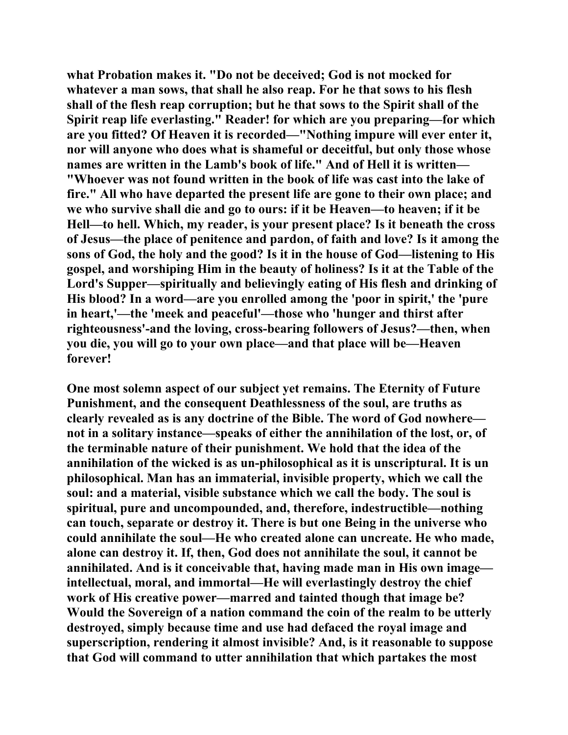**what Probation makes it. "Do not be deceived; God is not mocked for whatever a man sows, that shall he also reap. For he that sows to his flesh shall of the flesh reap corruption; but he that sows to the Spirit shall of the Spirit reap life everlasting." Reader! for which are you preparing—for which are you fitted? Of Heaven it is recorded—"Nothing impure will ever enter it, nor will anyone who does what is shameful or deceitful, but only those whose names are written in the Lamb's book of life." And of Hell it is written— "Whoever was not found written in the book of life was cast into the lake of fire." All who have departed the present life are gone to their own place; and we who survive shall die and go to ours: if it be Heaven—to heaven; if it be Hell—to hell. Which, my reader, is your present place? Is it beneath the cross of Jesus—the place of penitence and pardon, of faith and love? Is it among the sons of God, the holy and the good? Is it in the house of God—listening to His gospel, and worshiping Him in the beauty of holiness? Is it at the Table of the Lord's Supper—spiritually and believingly eating of His flesh and drinking of His blood? In a word—are you enrolled among the 'poor in spirit,' the 'pure in heart,'—the 'meek and peaceful'—those who 'hunger and thirst after righteousness'-and the loving, cross-bearing followers of Jesus?—then, when you die, you will go to your own place—and that place will be—Heaven forever!** 

**One most solemn aspect of our subject yet remains. The Eternity of Future Punishment, and the consequent Deathlessness of the soul, are truths as clearly revealed as is any doctrine of the Bible. The word of God nowhere not in a solitary instance—speaks of either the annihilation of the lost, or, of the terminable nature of their punishment. We hold that the idea of the annihilation of the wicked is as un-philosophical as it is unscriptural. It is un philosophical. Man has an immaterial, invisible property, which we call the soul: and a material, visible substance which we call the body. The soul is spiritual, pure and uncompounded, and, therefore, indestructible—nothing can touch, separate or destroy it. There is but one Being in the universe who could annihilate the soul—He who created alone can uncreate. He who made, alone can destroy it. If, then, God does not annihilate the soul, it cannot be annihilated. And is it conceivable that, having made man in His own image intellectual, moral, and immortal—He will everlastingly destroy the chief work of His creative power—marred and tainted though that image be? Would the Sovereign of a nation command the coin of the realm to be utterly destroyed, simply because time and use had defaced the royal image and superscription, rendering it almost invisible? And, is it reasonable to suppose that God will command to utter annihilation that which partakes the most**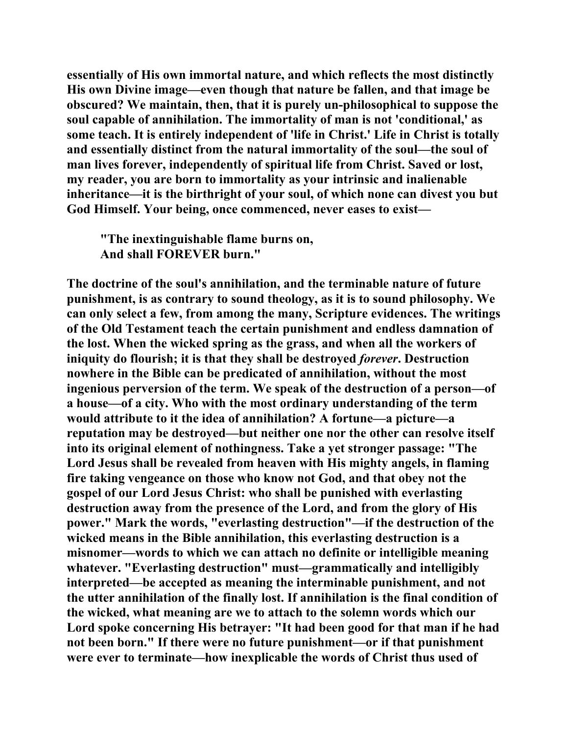**essentially of His own immortal nature, and which reflects the most distinctly His own Divine image—even though that nature be fallen, and that image be obscured? We maintain, then, that it is purely un-philosophical to suppose the soul capable of annihilation. The immortality of man is not 'conditional,' as some teach. It is entirely independent of 'life in Christ.' Life in Christ is totally and essentially distinct from the natural immortality of the soul—the soul of man lives forever, independently of spiritual life from Christ. Saved or lost, my reader, you are born to immortality as your intrinsic and inalienable inheritance—it is the birthright of your soul, of which none can divest you but God Himself. Your being, once commenced, never eases to exist—** 

 **"The inextinguishable flame burns on, And shall FOREVER burn."** 

**The doctrine of the soul's annihilation, and the terminable nature of future punishment, is as contrary to sound theology, as it is to sound philosophy. We can only select a few, from among the many, Scripture evidences. The writings of the Old Testament teach the certain punishment and endless damnation of the lost. When the wicked spring as the grass, and when all the workers of iniquity do flourish; it is that they shall be destroyed** *forever***. Destruction nowhere in the Bible can be predicated of annihilation, without the most ingenious perversion of the term. We speak of the destruction of a person—of a house—of a city. Who with the most ordinary understanding of the term would attribute to it the idea of annihilation? A fortune—a picture—a reputation may be destroyed—but neither one nor the other can resolve itself into its original element of nothingness. Take a yet stronger passage: "The Lord Jesus shall be revealed from heaven with His mighty angels, in flaming fire taking vengeance on those who know not God, and that obey not the gospel of our Lord Jesus Christ: who shall be punished with everlasting destruction away from the presence of the Lord, and from the glory of His power." Mark the words, "everlasting destruction"—if the destruction of the wicked means in the Bible annihilation, this everlasting destruction is a misnomer—words to which we can attach no definite or intelligible meaning whatever. "Everlasting destruction" must—grammatically and intelligibly interpreted—be accepted as meaning the interminable punishment, and not the utter annihilation of the finally lost. If annihilation is the final condition of the wicked, what meaning are we to attach to the solemn words which our Lord spoke concerning His betrayer: "It had been good for that man if he had not been born." If there were no future punishment—or if that punishment were ever to terminate—how inexplicable the words of Christ thus used of**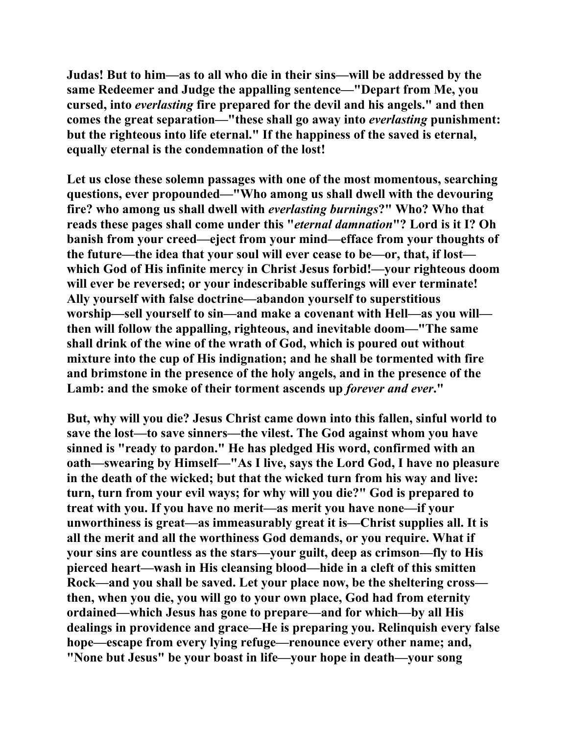**Judas! But to him—as to all who die in their sins—will be addressed by the same Redeemer and Judge the appalling sentence—"Depart from Me, you cursed, into** *everlasting* **fire prepared for the devil and his angels." and then comes the great separation—"these shall go away into** *everlasting* **punishment: but the righteous into life eternal." If the happiness of the saved is eternal, equally eternal is the condemnation of the lost!** 

**Let us close these solemn passages with one of the most momentous, searching questions, ever propounded—"Who among us shall dwell with the devouring fire? who among us shall dwell with** *everlasting burnings***?" Who? Who that reads these pages shall come under this "***eternal damnation***"? Lord is it I? Oh banish from your creed—eject from your mind—efface from your thoughts of the future—the idea that your soul will ever cease to be—or, that, if lost which God of His infinite mercy in Christ Jesus forbid!—your righteous doom will ever be reversed; or your indescribable sufferings will ever terminate! Ally yourself with false doctrine—abandon yourself to superstitious worship—sell yourself to sin—and make a covenant with Hell—as you will then will follow the appalling, righteous, and inevitable doom—"The same shall drink of the wine of the wrath of God, which is poured out without mixture into the cup of His indignation; and he shall be tormented with fire and brimstone in the presence of the holy angels, and in the presence of the Lamb: and the smoke of their torment ascends up** *forever and ever***."** 

**But, why will you die? Jesus Christ came down into this fallen, sinful world to save the lost—to save sinners—the vilest. The God against whom you have sinned is "ready to pardon." He has pledged His word, confirmed with an oath—swearing by Himself—"As I live, says the Lord God, I have no pleasure in the death of the wicked; but that the wicked turn from his way and live: turn, turn from your evil ways; for why will you die?" God is prepared to treat with you. If you have no merit—as merit you have none—if your unworthiness is great—as immeasurably great it is—Christ supplies all. It is all the merit and all the worthiness God demands, or you require. What if your sins are countless as the stars—your guilt, deep as crimson—fly to His pierced heart—wash in His cleansing blood—hide in a cleft of this smitten Rock—and you shall be saved. Let your place now, be the sheltering cross then, when you die, you will go to your own place, God had from eternity ordained—which Jesus has gone to prepare—and for which—by all His dealings in providence and grace—He is preparing you. Relinquish every false hope—escape from every lying refuge—renounce every other name; and, "None but Jesus" be your boast in life—your hope in death—your song**